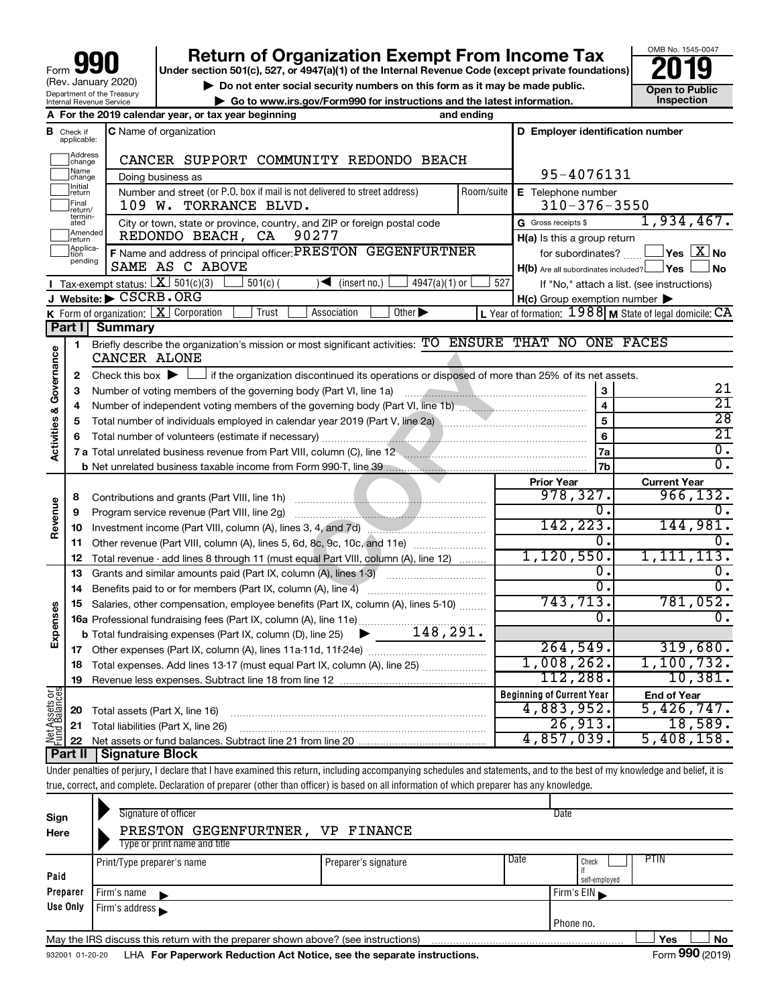# **your Section 501(c), 527, or 4947(a)(1) of the Internal Revenue Code (except private foundations) 2019**

OMB No. 1545-0047

| $\triangleright$ Do not enter social security numbers on this form as it may be made public. | <b>Open to Public</b> |
|----------------------------------------------------------------------------------------------|-----------------------|
| ► Go to www.irs.gov/Form990 for instructions and the latest information.                     | Inspection            |

| D Employer identification number<br><b>C</b> Name of organization<br>в<br>Check if<br>applicable:<br>Address<br>change<br>CANCER SUPPORT COMMUNITY REDONDO BEACH<br> Name<br> change<br>95-4076131<br>Doing business as<br>Initial<br>Jreturn<br>Number and street (or P.O. box if mail is not delivered to street address)<br>Room/suite<br>E Telephone number<br>Final<br>Treturn/<br>$310 - 376 - 3550$<br>109 W. TORRANCE BLVD.<br>$termin-$<br>1,934,467.<br>City or town, state or province, country, and ZIP or foreign postal code<br>G Gross receipts \$<br>ated<br>Amended<br>90277<br>REDONDO BEACH, CA<br>H(a) Is this a group return<br><b>Ireturn</b><br>Applica-<br>F Name and address of principal officer: PRESTON GEGENFURTNER<br>$\exists$ Yes $\boxed{\text{X}}$ No<br>for subordinates?<br>tion<br>pending<br>SAME AS C ABOVE<br>$H(b)$ Are all subordinates included? $\Box$ Yes<br>∫No<br>Tax-exempt status: $X \overline{301(c)(3)}$<br>$\sqrt{\frac{1}{1}}$ (insert no.)<br>$501(c)$ (<br>$4947(a)(1)$ or<br>527<br>If "No," attach a list. (see instructions)<br>J Website: CSCRB.ORG<br>$H(c)$ Group exemption number $\blacktriangleright$<br>K Form of organization:   X Corporation<br>Trust<br>Other $\blacktriangleright$<br>L Year of formation: $1988$ M State of legal domicile: $CA$<br>Association<br>Part I<br><b>Summary</b><br>Briefly describe the organization's mission or most significant activities: TO ENSURE THAT NO ONE FACES<br>1.<br>Governance<br>CANCER ALONE<br>Check this box $\blacktriangleright$ $\perp$<br>$\mathbf{2}$<br>21<br>3<br>3<br>$\overline{21}$<br>$\overline{\mathbf{4}}$<br>4<br><b>Activities &amp;</b><br>$\overline{28}$<br>$\overline{5}$<br>5<br>$\overline{21}$<br>6<br>6<br>$\overline{0}$ .<br>7a<br>7 a Total unrelated business revenue from Part VIII, column (C), line 12 <b>Column COVID 12</b><br>$\overline{0}$ .<br>7b<br><b>Prior Year</b><br><b>Current Year</b><br>978, 327.<br>966, 132.<br>8<br>Revenue<br>0.<br>0.<br>Program service revenue (Part VIII, line 2g)<br>9<br>142, 223.<br>144,981.<br>Investment income (Part VIII, column (A), lines 3, 4, and 7d)<br>10<br>0.<br>0.<br>11 Other revenue (Part VIII, column (A), lines 5, 6d, 8c, 9c, 10c, and 11e)<br>1, 120, 550.<br>1, 111, 113.<br>Total revenue - add lines 8 through 11 (must equal Part VIII, column (A), line 12)<br>12<br>Ο.<br>$\overline{0}$ .<br>13<br>Grants and similar amounts paid (Part IX, column (A), lines 1-3)<br>σ.<br>$\overline{0}$ .<br>Benefits paid to or for members (Part IX, column (A), line 4)<br>14<br>743,713.<br>781,052.<br>Salaries, other compensation, employee benefits (Part IX, column (A), lines 5-10)<br>15<br>Expenses<br>ō.<br>$\overline{0}$ .<br>16a Professional fundraising fees (Part IX, column (A), line 11e)<br>148,291.<br><b>b</b> Total fundraising expenses (Part IX, column (D), line 25)<br>264,549.<br>319,680.<br>1,008,262.<br>1,100,732.<br>Total expenses. Add lines 13-17 (must equal Part IX, column (A), line 25)<br>18<br>112,288.<br>10,381.<br>19<br>$rac{\text{or}}{\text{ces}}$<br><b>Beginning of Current Year</b><br><b>End of Year</b><br>Assets<br>d<br>Balanc<br>4,883,952.<br>5,426,747.<br>Total assets (Part X, line 16)<br>20<br>26,913.<br>18,589.<br>21 Total liabilities (Part X, line 26)<br>홍들<br>기<br>4,857,039.<br>5,408,158. |  | A For the 2019 calendar year, or tax year beginning | and ending |  |
|-------------------------------------------------------------------------------------------------------------------------------------------------------------------------------------------------------------------------------------------------------------------------------------------------------------------------------------------------------------------------------------------------------------------------------------------------------------------------------------------------------------------------------------------------------------------------------------------------------------------------------------------------------------------------------------------------------------------------------------------------------------------------------------------------------------------------------------------------------------------------------------------------------------------------------------------------------------------------------------------------------------------------------------------------------------------------------------------------------------------------------------------------------------------------------------------------------------------------------------------------------------------------------------------------------------------------------------------------------------------------------------------------------------------------------------------------------------------------------------------------------------------------------------------------------------------------------------------------------------------------------------------------------------------------------------------------------------------------------------------------------------------------------------------------------------------------------------------------------------------------------------------------------------------------------------------------------------------------------------------------------------------------------------------------------------------------------------------------------------------------------------------------------------------------------------------------------------------------------------------------------------------------------------------------------------------------------------------------------------------------------------------------------------------------------------------------------------------------------------------------------------------------------------------------------------------------------------------------------------------------------------------------------------------------------------------------------------------------------------------------------------------------------------------------------------------------------------------------------------------------------------------------------------------------------------------------------------------------------------------------------------------------------------------------------------------------------------------------------------------------------------------------------------------------------------------------------------------------------------------------------------------------------------------------------------------------------------------------------------------------------------|--|-----------------------------------------------------|------------|--|
|                                                                                                                                                                                                                                                                                                                                                                                                                                                                                                                                                                                                                                                                                                                                                                                                                                                                                                                                                                                                                                                                                                                                                                                                                                                                                                                                                                                                                                                                                                                                                                                                                                                                                                                                                                                                                                                                                                                                                                                                                                                                                                                                                                                                                                                                                                                                                                                                                                                                                                                                                                                                                                                                                                                                                                                                                                                                                                                                                                                                                                                                                                                                                                                                                                                                                                                                                                                     |  |                                                     |            |  |
|                                                                                                                                                                                                                                                                                                                                                                                                                                                                                                                                                                                                                                                                                                                                                                                                                                                                                                                                                                                                                                                                                                                                                                                                                                                                                                                                                                                                                                                                                                                                                                                                                                                                                                                                                                                                                                                                                                                                                                                                                                                                                                                                                                                                                                                                                                                                                                                                                                                                                                                                                                                                                                                                                                                                                                                                                                                                                                                                                                                                                                                                                                                                                                                                                                                                                                                                                                                     |  |                                                     |            |  |
|                                                                                                                                                                                                                                                                                                                                                                                                                                                                                                                                                                                                                                                                                                                                                                                                                                                                                                                                                                                                                                                                                                                                                                                                                                                                                                                                                                                                                                                                                                                                                                                                                                                                                                                                                                                                                                                                                                                                                                                                                                                                                                                                                                                                                                                                                                                                                                                                                                                                                                                                                                                                                                                                                                                                                                                                                                                                                                                                                                                                                                                                                                                                                                                                                                                                                                                                                                                     |  |                                                     |            |  |
|                                                                                                                                                                                                                                                                                                                                                                                                                                                                                                                                                                                                                                                                                                                                                                                                                                                                                                                                                                                                                                                                                                                                                                                                                                                                                                                                                                                                                                                                                                                                                                                                                                                                                                                                                                                                                                                                                                                                                                                                                                                                                                                                                                                                                                                                                                                                                                                                                                                                                                                                                                                                                                                                                                                                                                                                                                                                                                                                                                                                                                                                                                                                                                                                                                                                                                                                                                                     |  |                                                     |            |  |
|                                                                                                                                                                                                                                                                                                                                                                                                                                                                                                                                                                                                                                                                                                                                                                                                                                                                                                                                                                                                                                                                                                                                                                                                                                                                                                                                                                                                                                                                                                                                                                                                                                                                                                                                                                                                                                                                                                                                                                                                                                                                                                                                                                                                                                                                                                                                                                                                                                                                                                                                                                                                                                                                                                                                                                                                                                                                                                                                                                                                                                                                                                                                                                                                                                                                                                                                                                                     |  |                                                     |            |  |
|                                                                                                                                                                                                                                                                                                                                                                                                                                                                                                                                                                                                                                                                                                                                                                                                                                                                                                                                                                                                                                                                                                                                                                                                                                                                                                                                                                                                                                                                                                                                                                                                                                                                                                                                                                                                                                                                                                                                                                                                                                                                                                                                                                                                                                                                                                                                                                                                                                                                                                                                                                                                                                                                                                                                                                                                                                                                                                                                                                                                                                                                                                                                                                                                                                                                                                                                                                                     |  |                                                     |            |  |
|                                                                                                                                                                                                                                                                                                                                                                                                                                                                                                                                                                                                                                                                                                                                                                                                                                                                                                                                                                                                                                                                                                                                                                                                                                                                                                                                                                                                                                                                                                                                                                                                                                                                                                                                                                                                                                                                                                                                                                                                                                                                                                                                                                                                                                                                                                                                                                                                                                                                                                                                                                                                                                                                                                                                                                                                                                                                                                                                                                                                                                                                                                                                                                                                                                                                                                                                                                                     |  |                                                     |            |  |
|                                                                                                                                                                                                                                                                                                                                                                                                                                                                                                                                                                                                                                                                                                                                                                                                                                                                                                                                                                                                                                                                                                                                                                                                                                                                                                                                                                                                                                                                                                                                                                                                                                                                                                                                                                                                                                                                                                                                                                                                                                                                                                                                                                                                                                                                                                                                                                                                                                                                                                                                                                                                                                                                                                                                                                                                                                                                                                                                                                                                                                                                                                                                                                                                                                                                                                                                                                                     |  |                                                     |            |  |
|                                                                                                                                                                                                                                                                                                                                                                                                                                                                                                                                                                                                                                                                                                                                                                                                                                                                                                                                                                                                                                                                                                                                                                                                                                                                                                                                                                                                                                                                                                                                                                                                                                                                                                                                                                                                                                                                                                                                                                                                                                                                                                                                                                                                                                                                                                                                                                                                                                                                                                                                                                                                                                                                                                                                                                                                                                                                                                                                                                                                                                                                                                                                                                                                                                                                                                                                                                                     |  |                                                     |            |  |
|                                                                                                                                                                                                                                                                                                                                                                                                                                                                                                                                                                                                                                                                                                                                                                                                                                                                                                                                                                                                                                                                                                                                                                                                                                                                                                                                                                                                                                                                                                                                                                                                                                                                                                                                                                                                                                                                                                                                                                                                                                                                                                                                                                                                                                                                                                                                                                                                                                                                                                                                                                                                                                                                                                                                                                                                                                                                                                                                                                                                                                                                                                                                                                                                                                                                                                                                                                                     |  |                                                     |            |  |
|                                                                                                                                                                                                                                                                                                                                                                                                                                                                                                                                                                                                                                                                                                                                                                                                                                                                                                                                                                                                                                                                                                                                                                                                                                                                                                                                                                                                                                                                                                                                                                                                                                                                                                                                                                                                                                                                                                                                                                                                                                                                                                                                                                                                                                                                                                                                                                                                                                                                                                                                                                                                                                                                                                                                                                                                                                                                                                                                                                                                                                                                                                                                                                                                                                                                                                                                                                                     |  |                                                     |            |  |
|                                                                                                                                                                                                                                                                                                                                                                                                                                                                                                                                                                                                                                                                                                                                                                                                                                                                                                                                                                                                                                                                                                                                                                                                                                                                                                                                                                                                                                                                                                                                                                                                                                                                                                                                                                                                                                                                                                                                                                                                                                                                                                                                                                                                                                                                                                                                                                                                                                                                                                                                                                                                                                                                                                                                                                                                                                                                                                                                                                                                                                                                                                                                                                                                                                                                                                                                                                                     |  |                                                     |            |  |
|                                                                                                                                                                                                                                                                                                                                                                                                                                                                                                                                                                                                                                                                                                                                                                                                                                                                                                                                                                                                                                                                                                                                                                                                                                                                                                                                                                                                                                                                                                                                                                                                                                                                                                                                                                                                                                                                                                                                                                                                                                                                                                                                                                                                                                                                                                                                                                                                                                                                                                                                                                                                                                                                                                                                                                                                                                                                                                                                                                                                                                                                                                                                                                                                                                                                                                                                                                                     |  |                                                     |            |  |
|                                                                                                                                                                                                                                                                                                                                                                                                                                                                                                                                                                                                                                                                                                                                                                                                                                                                                                                                                                                                                                                                                                                                                                                                                                                                                                                                                                                                                                                                                                                                                                                                                                                                                                                                                                                                                                                                                                                                                                                                                                                                                                                                                                                                                                                                                                                                                                                                                                                                                                                                                                                                                                                                                                                                                                                                                                                                                                                                                                                                                                                                                                                                                                                                                                                                                                                                                                                     |  |                                                     |            |  |
|                                                                                                                                                                                                                                                                                                                                                                                                                                                                                                                                                                                                                                                                                                                                                                                                                                                                                                                                                                                                                                                                                                                                                                                                                                                                                                                                                                                                                                                                                                                                                                                                                                                                                                                                                                                                                                                                                                                                                                                                                                                                                                                                                                                                                                                                                                                                                                                                                                                                                                                                                                                                                                                                                                                                                                                                                                                                                                                                                                                                                                                                                                                                                                                                                                                                                                                                                                                     |  |                                                     |            |  |
|                                                                                                                                                                                                                                                                                                                                                                                                                                                                                                                                                                                                                                                                                                                                                                                                                                                                                                                                                                                                                                                                                                                                                                                                                                                                                                                                                                                                                                                                                                                                                                                                                                                                                                                                                                                                                                                                                                                                                                                                                                                                                                                                                                                                                                                                                                                                                                                                                                                                                                                                                                                                                                                                                                                                                                                                                                                                                                                                                                                                                                                                                                                                                                                                                                                                                                                                                                                     |  |                                                     |            |  |
|                                                                                                                                                                                                                                                                                                                                                                                                                                                                                                                                                                                                                                                                                                                                                                                                                                                                                                                                                                                                                                                                                                                                                                                                                                                                                                                                                                                                                                                                                                                                                                                                                                                                                                                                                                                                                                                                                                                                                                                                                                                                                                                                                                                                                                                                                                                                                                                                                                                                                                                                                                                                                                                                                                                                                                                                                                                                                                                                                                                                                                                                                                                                                                                                                                                                                                                                                                                     |  |                                                     |            |  |
|                                                                                                                                                                                                                                                                                                                                                                                                                                                                                                                                                                                                                                                                                                                                                                                                                                                                                                                                                                                                                                                                                                                                                                                                                                                                                                                                                                                                                                                                                                                                                                                                                                                                                                                                                                                                                                                                                                                                                                                                                                                                                                                                                                                                                                                                                                                                                                                                                                                                                                                                                                                                                                                                                                                                                                                                                                                                                                                                                                                                                                                                                                                                                                                                                                                                                                                                                                                     |  |                                                     |            |  |
|                                                                                                                                                                                                                                                                                                                                                                                                                                                                                                                                                                                                                                                                                                                                                                                                                                                                                                                                                                                                                                                                                                                                                                                                                                                                                                                                                                                                                                                                                                                                                                                                                                                                                                                                                                                                                                                                                                                                                                                                                                                                                                                                                                                                                                                                                                                                                                                                                                                                                                                                                                                                                                                                                                                                                                                                                                                                                                                                                                                                                                                                                                                                                                                                                                                                                                                                                                                     |  |                                                     |            |  |
|                                                                                                                                                                                                                                                                                                                                                                                                                                                                                                                                                                                                                                                                                                                                                                                                                                                                                                                                                                                                                                                                                                                                                                                                                                                                                                                                                                                                                                                                                                                                                                                                                                                                                                                                                                                                                                                                                                                                                                                                                                                                                                                                                                                                                                                                                                                                                                                                                                                                                                                                                                                                                                                                                                                                                                                                                                                                                                                                                                                                                                                                                                                                                                                                                                                                                                                                                                                     |  |                                                     |            |  |
|                                                                                                                                                                                                                                                                                                                                                                                                                                                                                                                                                                                                                                                                                                                                                                                                                                                                                                                                                                                                                                                                                                                                                                                                                                                                                                                                                                                                                                                                                                                                                                                                                                                                                                                                                                                                                                                                                                                                                                                                                                                                                                                                                                                                                                                                                                                                                                                                                                                                                                                                                                                                                                                                                                                                                                                                                                                                                                                                                                                                                                                                                                                                                                                                                                                                                                                                                                                     |  |                                                     |            |  |
|                                                                                                                                                                                                                                                                                                                                                                                                                                                                                                                                                                                                                                                                                                                                                                                                                                                                                                                                                                                                                                                                                                                                                                                                                                                                                                                                                                                                                                                                                                                                                                                                                                                                                                                                                                                                                                                                                                                                                                                                                                                                                                                                                                                                                                                                                                                                                                                                                                                                                                                                                                                                                                                                                                                                                                                                                                                                                                                                                                                                                                                                                                                                                                                                                                                                                                                                                                                     |  |                                                     |            |  |
|                                                                                                                                                                                                                                                                                                                                                                                                                                                                                                                                                                                                                                                                                                                                                                                                                                                                                                                                                                                                                                                                                                                                                                                                                                                                                                                                                                                                                                                                                                                                                                                                                                                                                                                                                                                                                                                                                                                                                                                                                                                                                                                                                                                                                                                                                                                                                                                                                                                                                                                                                                                                                                                                                                                                                                                                                                                                                                                                                                                                                                                                                                                                                                                                                                                                                                                                                                                     |  |                                                     |            |  |
|                                                                                                                                                                                                                                                                                                                                                                                                                                                                                                                                                                                                                                                                                                                                                                                                                                                                                                                                                                                                                                                                                                                                                                                                                                                                                                                                                                                                                                                                                                                                                                                                                                                                                                                                                                                                                                                                                                                                                                                                                                                                                                                                                                                                                                                                                                                                                                                                                                                                                                                                                                                                                                                                                                                                                                                                                                                                                                                                                                                                                                                                                                                                                                                                                                                                                                                                                                                     |  |                                                     |            |  |
|                                                                                                                                                                                                                                                                                                                                                                                                                                                                                                                                                                                                                                                                                                                                                                                                                                                                                                                                                                                                                                                                                                                                                                                                                                                                                                                                                                                                                                                                                                                                                                                                                                                                                                                                                                                                                                                                                                                                                                                                                                                                                                                                                                                                                                                                                                                                                                                                                                                                                                                                                                                                                                                                                                                                                                                                                                                                                                                                                                                                                                                                                                                                                                                                                                                                                                                                                                                     |  |                                                     |            |  |
|                                                                                                                                                                                                                                                                                                                                                                                                                                                                                                                                                                                                                                                                                                                                                                                                                                                                                                                                                                                                                                                                                                                                                                                                                                                                                                                                                                                                                                                                                                                                                                                                                                                                                                                                                                                                                                                                                                                                                                                                                                                                                                                                                                                                                                                                                                                                                                                                                                                                                                                                                                                                                                                                                                                                                                                                                                                                                                                                                                                                                                                                                                                                                                                                                                                                                                                                                                                     |  |                                                     |            |  |
|                                                                                                                                                                                                                                                                                                                                                                                                                                                                                                                                                                                                                                                                                                                                                                                                                                                                                                                                                                                                                                                                                                                                                                                                                                                                                                                                                                                                                                                                                                                                                                                                                                                                                                                                                                                                                                                                                                                                                                                                                                                                                                                                                                                                                                                                                                                                                                                                                                                                                                                                                                                                                                                                                                                                                                                                                                                                                                                                                                                                                                                                                                                                                                                                                                                                                                                                                                                     |  |                                                     |            |  |
|                                                                                                                                                                                                                                                                                                                                                                                                                                                                                                                                                                                                                                                                                                                                                                                                                                                                                                                                                                                                                                                                                                                                                                                                                                                                                                                                                                                                                                                                                                                                                                                                                                                                                                                                                                                                                                                                                                                                                                                                                                                                                                                                                                                                                                                                                                                                                                                                                                                                                                                                                                                                                                                                                                                                                                                                                                                                                                                                                                                                                                                                                                                                                                                                                                                                                                                                                                                     |  |                                                     |            |  |
|                                                                                                                                                                                                                                                                                                                                                                                                                                                                                                                                                                                                                                                                                                                                                                                                                                                                                                                                                                                                                                                                                                                                                                                                                                                                                                                                                                                                                                                                                                                                                                                                                                                                                                                                                                                                                                                                                                                                                                                                                                                                                                                                                                                                                                                                                                                                                                                                                                                                                                                                                                                                                                                                                                                                                                                                                                                                                                                                                                                                                                                                                                                                                                                                                                                                                                                                                                                     |  |                                                     |            |  |
|                                                                                                                                                                                                                                                                                                                                                                                                                                                                                                                                                                                                                                                                                                                                                                                                                                                                                                                                                                                                                                                                                                                                                                                                                                                                                                                                                                                                                                                                                                                                                                                                                                                                                                                                                                                                                                                                                                                                                                                                                                                                                                                                                                                                                                                                                                                                                                                                                                                                                                                                                                                                                                                                                                                                                                                                                                                                                                                                                                                                                                                                                                                                                                                                                                                                                                                                                                                     |  |                                                     |            |  |
|                                                                                                                                                                                                                                                                                                                                                                                                                                                                                                                                                                                                                                                                                                                                                                                                                                                                                                                                                                                                                                                                                                                                                                                                                                                                                                                                                                                                                                                                                                                                                                                                                                                                                                                                                                                                                                                                                                                                                                                                                                                                                                                                                                                                                                                                                                                                                                                                                                                                                                                                                                                                                                                                                                                                                                                                                                                                                                                                                                                                                                                                                                                                                                                                                                                                                                                                                                                     |  |                                                     |            |  |
|                                                                                                                                                                                                                                                                                                                                                                                                                                                                                                                                                                                                                                                                                                                                                                                                                                                                                                                                                                                                                                                                                                                                                                                                                                                                                                                                                                                                                                                                                                                                                                                                                                                                                                                                                                                                                                                                                                                                                                                                                                                                                                                                                                                                                                                                                                                                                                                                                                                                                                                                                                                                                                                                                                                                                                                                                                                                                                                                                                                                                                                                                                                                                                                                                                                                                                                                                                                     |  |                                                     |            |  |
|                                                                                                                                                                                                                                                                                                                                                                                                                                                                                                                                                                                                                                                                                                                                                                                                                                                                                                                                                                                                                                                                                                                                                                                                                                                                                                                                                                                                                                                                                                                                                                                                                                                                                                                                                                                                                                                                                                                                                                                                                                                                                                                                                                                                                                                                                                                                                                                                                                                                                                                                                                                                                                                                                                                                                                                                                                                                                                                                                                                                                                                                                                                                                                                                                                                                                                                                                                                     |  |                                                     |            |  |
|                                                                                                                                                                                                                                                                                                                                                                                                                                                                                                                                                                                                                                                                                                                                                                                                                                                                                                                                                                                                                                                                                                                                                                                                                                                                                                                                                                                                                                                                                                                                                                                                                                                                                                                                                                                                                                                                                                                                                                                                                                                                                                                                                                                                                                                                                                                                                                                                                                                                                                                                                                                                                                                                                                                                                                                                                                                                                                                                                                                                                                                                                                                                                                                                                                                                                                                                                                                     |  |                                                     |            |  |
|                                                                                                                                                                                                                                                                                                                                                                                                                                                                                                                                                                                                                                                                                                                                                                                                                                                                                                                                                                                                                                                                                                                                                                                                                                                                                                                                                                                                                                                                                                                                                                                                                                                                                                                                                                                                                                                                                                                                                                                                                                                                                                                                                                                                                                                                                                                                                                                                                                                                                                                                                                                                                                                                                                                                                                                                                                                                                                                                                                                                                                                                                                                                                                                                                                                                                                                                                                                     |  |                                                     |            |  |
|                                                                                                                                                                                                                                                                                                                                                                                                                                                                                                                                                                                                                                                                                                                                                                                                                                                                                                                                                                                                                                                                                                                                                                                                                                                                                                                                                                                                                                                                                                                                                                                                                                                                                                                                                                                                                                                                                                                                                                                                                                                                                                                                                                                                                                                                                                                                                                                                                                                                                                                                                                                                                                                                                                                                                                                                                                                                                                                                                                                                                                                                                                                                                                                                                                                                                                                                                                                     |  |                                                     |            |  |
|                                                                                                                                                                                                                                                                                                                                                                                                                                                                                                                                                                                                                                                                                                                                                                                                                                                                                                                                                                                                                                                                                                                                                                                                                                                                                                                                                                                                                                                                                                                                                                                                                                                                                                                                                                                                                                                                                                                                                                                                                                                                                                                                                                                                                                                                                                                                                                                                                                                                                                                                                                                                                                                                                                                                                                                                                                                                                                                                                                                                                                                                                                                                                                                                                                                                                                                                                                                     |  |                                                     |            |  |
|                                                                                                                                                                                                                                                                                                                                                                                                                                                                                                                                                                                                                                                                                                                                                                                                                                                                                                                                                                                                                                                                                                                                                                                                                                                                                                                                                                                                                                                                                                                                                                                                                                                                                                                                                                                                                                                                                                                                                                                                                                                                                                                                                                                                                                                                                                                                                                                                                                                                                                                                                                                                                                                                                                                                                                                                                                                                                                                                                                                                                                                                                                                                                                                                                                                                                                                                                                                     |  |                                                     |            |  |
| Cianotura Plank                                                                                                                                                                                                                                                                                                                                                                                                                                                                                                                                                                                                                                                                                                                                                                                                                                                                                                                                                                                                                                                                                                                                                                                                                                                                                                                                                                                                                                                                                                                                                                                                                                                                                                                                                                                                                                                                                                                                                                                                                                                                                                                                                                                                                                                                                                                                                                                                                                                                                                                                                                                                                                                                                                                                                                                                                                                                                                                                                                                                                                                                                                                                                                                                                                                                                                                                                                     |  |                                                     |            |  |

**Part II Signature Block**

Under penalties of perjury, I declare that I have examined this return, including accompanying schedules and statements, and to the best of my knowledge and belief, it is true, correct, and complete. Declaration of preparer (other than officer) is based on all information of which preparer has any knowledge.

| Sign<br>Here | Signature of officer<br>PRESTON GEGENFURTNER, VP FINANCE<br>Type or print name and title |                      |      | Date                           |
|--------------|------------------------------------------------------------------------------------------|----------------------|------|--------------------------------|
| Paid         | Print/Type preparer's name                                                               | Preparer's signature | Date | PTIN<br>Check<br>self-employed |
| Preparer     | Firm's name                                                                              |                      |      | Firm's $EIN$                   |
| Use Only     | Firm's address                                                                           |                      |      | Phone no.                      |
|              | May the IRS discuss this return with the preparer shown above? (see instructions)        |                      |      | No<br>Yes<br>$\cdots$          |

932001 01-20-20 LHA For Paperwork Reduction Act Notice, see the separate instructions. Form 990 (2019)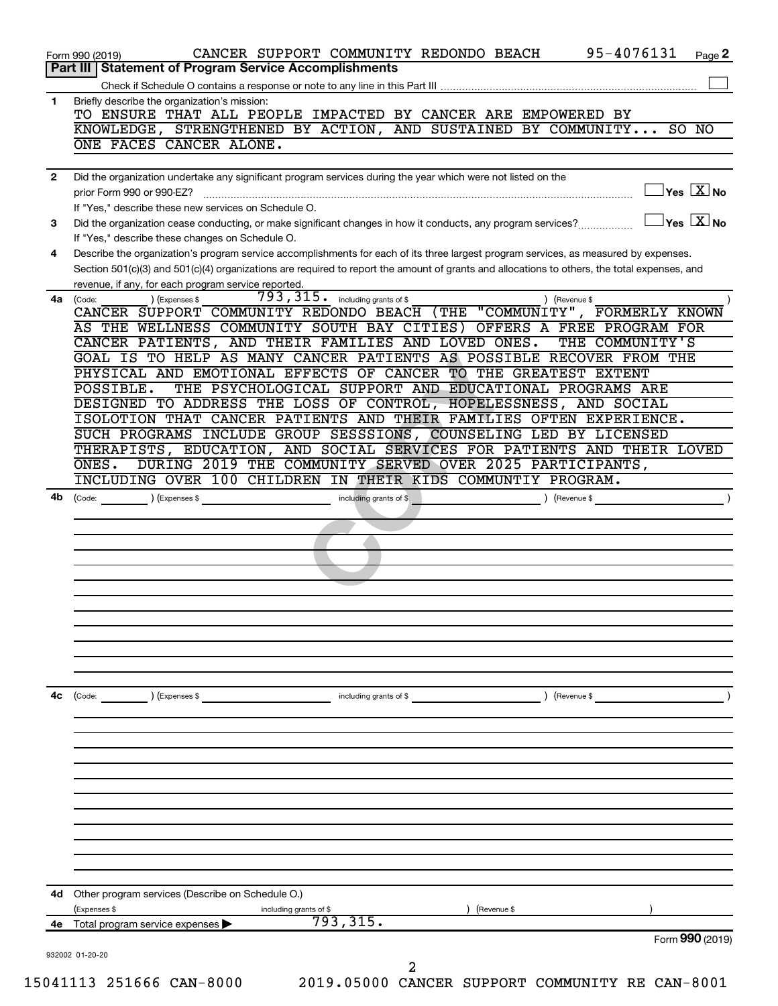| Briefly describe the organization's mission:<br>TO ENSURE THAT ALL PEOPLE IMPACTED BY CANCER ARE EMPOWERED BY<br>ONE FACES CANCER ALONE.<br>Did the organization undertake any significant program services during the year which were not listed on the<br>prior Form 990 or 990-EZ?<br>If "Yes," describe these new services on Schedule O.<br>Did the organization cease conducting, or make significant changes in how it conducts, any program services?<br>If "Yes," describe these changes on Schedule O.<br>Describe the organization's program service accomplishments for each of its three largest program services, as measured by expenses.<br>Section 501(c)(3) and 501(c)(4) organizations are required to report the amount of grants and allocations to others, the total expenses, and<br>revenue, if any, for each program service reported.<br>$793, 315$ $\cdot$ including grants of \$<br>) (Expenses \$<br>(Code:<br>) (Revenue \$<br>CANCER SUPPORT COMMUNITY REDONDO BEACH (THE "COMMUNITY", FORMERLY KNOWN<br>AS THE WELLNESS COMMUNITY SOUTH BAY CITIES) OFFERS A FREE PROGRAM FOR<br>CANCER PATIENTS, AND THEIR FAMILIES AND LOVED ONES.<br>THE COMMUNITY'S<br>GOAL IS TO HELP AS MANY CANCER PATIENTS AS POSSIBLE RECOVER FROM THE<br>PHYSICAL AND EMOTIONAL EFFECTS OF CANCER TO THE GREATEST EXTENT<br>THE PSYCHOLOGICAL SUPPORT AND EDUCATIONAL PROGRAMS ARE<br>POSSIBLE.<br>DESIGNED TO ADDRESS THE LOSS OF CONTROL, HOPELESSNESS, AND SOCIAL<br>ISOLOTION THAT CANCER PATIENTS AND THEIR FAMILIES OFTEN EXPERIENCE.<br>SUCH PROGRAMS INCLUDE GROUP SESSSIONS, COUNSELING LED BY LICENSED<br>THERAPISTS, EDUCATION, AND SOCIAL SERVICES FOR PATIENTS AND THEIR LOVED<br>DURING 2019 THE COMMUNITY SERVED OVER 2025 PARTICIPANTS,<br>ONES.<br>INCLUDING OVER 100 CHILDREN IN THEIR KIDS COMMUNTIY PROGRAM.<br>including grants of \$<br>(Code:<br>(Expenses \$<br>(Revenue \$<br>$\left(\text{Code:}\right)$<br>) (Expenses \$<br>including grants of \$<br>Revenue \$<br>Other program services (Describe on Schedule O.)<br>(Expenses \$<br>including grants of \$<br>(Revenue \$<br>793, 315.<br>Total program service expenses<br>932002 01-20-20<br>2 |              | 95-4076131<br>CANCER SUPPORT COMMUNITY REDONDO BEACH<br>Page 2<br>Form 990 (2019)<br>Part III   Statement of Program Service Accomplishments |
|--------------------------------------------------------------------------------------------------------------------------------------------------------------------------------------------------------------------------------------------------------------------------------------------------------------------------------------------------------------------------------------------------------------------------------------------------------------------------------------------------------------------------------------------------------------------------------------------------------------------------------------------------------------------------------------------------------------------------------------------------------------------------------------------------------------------------------------------------------------------------------------------------------------------------------------------------------------------------------------------------------------------------------------------------------------------------------------------------------------------------------------------------------------------------------------------------------------------------------------------------------------------------------------------------------------------------------------------------------------------------------------------------------------------------------------------------------------------------------------------------------------------------------------------------------------------------------------------------------------------------------------------------------------------------------------------------------------------------------------------------------------------------------------------------------------------------------------------------------------------------------------------------------------------------------------------------------------------------------------------------------------------------------------------------------------------------------------------------------------------------------------------------------------------------------------------|--------------|----------------------------------------------------------------------------------------------------------------------------------------------|
|                                                                                                                                                                                                                                                                                                                                                                                                                                                                                                                                                                                                                                                                                                                                                                                                                                                                                                                                                                                                                                                                                                                                                                                                                                                                                                                                                                                                                                                                                                                                                                                                                                                                                                                                                                                                                                                                                                                                                                                                                                                                                                                                                                                            |              |                                                                                                                                              |
|                                                                                                                                                                                                                                                                                                                                                                                                                                                                                                                                                                                                                                                                                                                                                                                                                                                                                                                                                                                                                                                                                                                                                                                                                                                                                                                                                                                                                                                                                                                                                                                                                                                                                                                                                                                                                                                                                                                                                                                                                                                                                                                                                                                            | 1            | KNOWLEDGE, STRENGTHENED BY ACTION, AND SUSTAINED BY COMMUNITY SO NO                                                                          |
|                                                                                                                                                                                                                                                                                                                                                                                                                                                                                                                                                                                                                                                                                                                                                                                                                                                                                                                                                                                                                                                                                                                                                                                                                                                                                                                                                                                                                                                                                                                                                                                                                                                                                                                                                                                                                                                                                                                                                                                                                                                                                                                                                                                            |              |                                                                                                                                              |
|                                                                                                                                                                                                                                                                                                                                                                                                                                                                                                                                                                                                                                                                                                                                                                                                                                                                                                                                                                                                                                                                                                                                                                                                                                                                                                                                                                                                                                                                                                                                                                                                                                                                                                                                                                                                                                                                                                                                                                                                                                                                                                                                                                                            | $\mathbf{2}$ |                                                                                                                                              |
|                                                                                                                                                                                                                                                                                                                                                                                                                                                                                                                                                                                                                                                                                                                                                                                                                                                                                                                                                                                                                                                                                                                                                                                                                                                                                                                                                                                                                                                                                                                                                                                                                                                                                                                                                                                                                                                                                                                                                                                                                                                                                                                                                                                            |              | $\overline{\ }$ Yes $\overline{\rm \ }X$ No                                                                                                  |
|                                                                                                                                                                                                                                                                                                                                                                                                                                                                                                                                                                                                                                                                                                                                                                                                                                                                                                                                                                                                                                                                                                                                                                                                                                                                                                                                                                                                                                                                                                                                                                                                                                                                                                                                                                                                                                                                                                                                                                                                                                                                                                                                                                                            | 3            | $\gamma$ es $\boxed{X}$ No                                                                                                                   |
|                                                                                                                                                                                                                                                                                                                                                                                                                                                                                                                                                                                                                                                                                                                                                                                                                                                                                                                                                                                                                                                                                                                                                                                                                                                                                                                                                                                                                                                                                                                                                                                                                                                                                                                                                                                                                                                                                                                                                                                                                                                                                                                                                                                            | 4            |                                                                                                                                              |
|                                                                                                                                                                                                                                                                                                                                                                                                                                                                                                                                                                                                                                                                                                                                                                                                                                                                                                                                                                                                                                                                                                                                                                                                                                                                                                                                                                                                                                                                                                                                                                                                                                                                                                                                                                                                                                                                                                                                                                                                                                                                                                                                                                                            | 4a           |                                                                                                                                              |
|                                                                                                                                                                                                                                                                                                                                                                                                                                                                                                                                                                                                                                                                                                                                                                                                                                                                                                                                                                                                                                                                                                                                                                                                                                                                                                                                                                                                                                                                                                                                                                                                                                                                                                                                                                                                                                                                                                                                                                                                                                                                                                                                                                                            |              |                                                                                                                                              |
|                                                                                                                                                                                                                                                                                                                                                                                                                                                                                                                                                                                                                                                                                                                                                                                                                                                                                                                                                                                                                                                                                                                                                                                                                                                                                                                                                                                                                                                                                                                                                                                                                                                                                                                                                                                                                                                                                                                                                                                                                                                                                                                                                                                            |              |                                                                                                                                              |
|                                                                                                                                                                                                                                                                                                                                                                                                                                                                                                                                                                                                                                                                                                                                                                                                                                                                                                                                                                                                                                                                                                                                                                                                                                                                                                                                                                                                                                                                                                                                                                                                                                                                                                                                                                                                                                                                                                                                                                                                                                                                                                                                                                                            |              |                                                                                                                                              |
|                                                                                                                                                                                                                                                                                                                                                                                                                                                                                                                                                                                                                                                                                                                                                                                                                                                                                                                                                                                                                                                                                                                                                                                                                                                                                                                                                                                                                                                                                                                                                                                                                                                                                                                                                                                                                                                                                                                                                                                                                                                                                                                                                                                            |              |                                                                                                                                              |
|                                                                                                                                                                                                                                                                                                                                                                                                                                                                                                                                                                                                                                                                                                                                                                                                                                                                                                                                                                                                                                                                                                                                                                                                                                                                                                                                                                                                                                                                                                                                                                                                                                                                                                                                                                                                                                                                                                                                                                                                                                                                                                                                                                                            |              |                                                                                                                                              |
|                                                                                                                                                                                                                                                                                                                                                                                                                                                                                                                                                                                                                                                                                                                                                                                                                                                                                                                                                                                                                                                                                                                                                                                                                                                                                                                                                                                                                                                                                                                                                                                                                                                                                                                                                                                                                                                                                                                                                                                                                                                                                                                                                                                            |              |                                                                                                                                              |
|                                                                                                                                                                                                                                                                                                                                                                                                                                                                                                                                                                                                                                                                                                                                                                                                                                                                                                                                                                                                                                                                                                                                                                                                                                                                                                                                                                                                                                                                                                                                                                                                                                                                                                                                                                                                                                                                                                                                                                                                                                                                                                                                                                                            |              |                                                                                                                                              |
|                                                                                                                                                                                                                                                                                                                                                                                                                                                                                                                                                                                                                                                                                                                                                                                                                                                                                                                                                                                                                                                                                                                                                                                                                                                                                                                                                                                                                                                                                                                                                                                                                                                                                                                                                                                                                                                                                                                                                                                                                                                                                                                                                                                            |              |                                                                                                                                              |
|                                                                                                                                                                                                                                                                                                                                                                                                                                                                                                                                                                                                                                                                                                                                                                                                                                                                                                                                                                                                                                                                                                                                                                                                                                                                                                                                                                                                                                                                                                                                                                                                                                                                                                                                                                                                                                                                                                                                                                                                                                                                                                                                                                                            |              |                                                                                                                                              |
|                                                                                                                                                                                                                                                                                                                                                                                                                                                                                                                                                                                                                                                                                                                                                                                                                                                                                                                                                                                                                                                                                                                                                                                                                                                                                                                                                                                                                                                                                                                                                                                                                                                                                                                                                                                                                                                                                                                                                                                                                                                                                                                                                                                            |              |                                                                                                                                              |
|                                                                                                                                                                                                                                                                                                                                                                                                                                                                                                                                                                                                                                                                                                                                                                                                                                                                                                                                                                                                                                                                                                                                                                                                                                                                                                                                                                                                                                                                                                                                                                                                                                                                                                                                                                                                                                                                                                                                                                                                                                                                                                                                                                                            | 4b           |                                                                                                                                              |
|                                                                                                                                                                                                                                                                                                                                                                                                                                                                                                                                                                                                                                                                                                                                                                                                                                                                                                                                                                                                                                                                                                                                                                                                                                                                                                                                                                                                                                                                                                                                                                                                                                                                                                                                                                                                                                                                                                                                                                                                                                                                                                                                                                                            |              |                                                                                                                                              |
|                                                                                                                                                                                                                                                                                                                                                                                                                                                                                                                                                                                                                                                                                                                                                                                                                                                                                                                                                                                                                                                                                                                                                                                                                                                                                                                                                                                                                                                                                                                                                                                                                                                                                                                                                                                                                                                                                                                                                                                                                                                                                                                                                                                            |              |                                                                                                                                              |
|                                                                                                                                                                                                                                                                                                                                                                                                                                                                                                                                                                                                                                                                                                                                                                                                                                                                                                                                                                                                                                                                                                                                                                                                                                                                                                                                                                                                                                                                                                                                                                                                                                                                                                                                                                                                                                                                                                                                                                                                                                                                                                                                                                                            |              |                                                                                                                                              |
|                                                                                                                                                                                                                                                                                                                                                                                                                                                                                                                                                                                                                                                                                                                                                                                                                                                                                                                                                                                                                                                                                                                                                                                                                                                                                                                                                                                                                                                                                                                                                                                                                                                                                                                                                                                                                                                                                                                                                                                                                                                                                                                                                                                            |              |                                                                                                                                              |
|                                                                                                                                                                                                                                                                                                                                                                                                                                                                                                                                                                                                                                                                                                                                                                                                                                                                                                                                                                                                                                                                                                                                                                                                                                                                                                                                                                                                                                                                                                                                                                                                                                                                                                                                                                                                                                                                                                                                                                                                                                                                                                                                                                                            |              |                                                                                                                                              |
|                                                                                                                                                                                                                                                                                                                                                                                                                                                                                                                                                                                                                                                                                                                                                                                                                                                                                                                                                                                                                                                                                                                                                                                                                                                                                                                                                                                                                                                                                                                                                                                                                                                                                                                                                                                                                                                                                                                                                                                                                                                                                                                                                                                            |              |                                                                                                                                              |
|                                                                                                                                                                                                                                                                                                                                                                                                                                                                                                                                                                                                                                                                                                                                                                                                                                                                                                                                                                                                                                                                                                                                                                                                                                                                                                                                                                                                                                                                                                                                                                                                                                                                                                                                                                                                                                                                                                                                                                                                                                                                                                                                                                                            |              |                                                                                                                                              |
|                                                                                                                                                                                                                                                                                                                                                                                                                                                                                                                                                                                                                                                                                                                                                                                                                                                                                                                                                                                                                                                                                                                                                                                                                                                                                                                                                                                                                                                                                                                                                                                                                                                                                                                                                                                                                                                                                                                                                                                                                                                                                                                                                                                            |              |                                                                                                                                              |
|                                                                                                                                                                                                                                                                                                                                                                                                                                                                                                                                                                                                                                                                                                                                                                                                                                                                                                                                                                                                                                                                                                                                                                                                                                                                                                                                                                                                                                                                                                                                                                                                                                                                                                                                                                                                                                                                                                                                                                                                                                                                                                                                                                                            |              |                                                                                                                                              |
|                                                                                                                                                                                                                                                                                                                                                                                                                                                                                                                                                                                                                                                                                                                                                                                                                                                                                                                                                                                                                                                                                                                                                                                                                                                                                                                                                                                                                                                                                                                                                                                                                                                                                                                                                                                                                                                                                                                                                                                                                                                                                                                                                                                            |              |                                                                                                                                              |
|                                                                                                                                                                                                                                                                                                                                                                                                                                                                                                                                                                                                                                                                                                                                                                                                                                                                                                                                                                                                                                                                                                                                                                                                                                                                                                                                                                                                                                                                                                                                                                                                                                                                                                                                                                                                                                                                                                                                                                                                                                                                                                                                                                                            |              |                                                                                                                                              |
|                                                                                                                                                                                                                                                                                                                                                                                                                                                                                                                                                                                                                                                                                                                                                                                                                                                                                                                                                                                                                                                                                                                                                                                                                                                                                                                                                                                                                                                                                                                                                                                                                                                                                                                                                                                                                                                                                                                                                                                                                                                                                                                                                                                            |              |                                                                                                                                              |
|                                                                                                                                                                                                                                                                                                                                                                                                                                                                                                                                                                                                                                                                                                                                                                                                                                                                                                                                                                                                                                                                                                                                                                                                                                                                                                                                                                                                                                                                                                                                                                                                                                                                                                                                                                                                                                                                                                                                                                                                                                                                                                                                                                                            | 4c           |                                                                                                                                              |
|                                                                                                                                                                                                                                                                                                                                                                                                                                                                                                                                                                                                                                                                                                                                                                                                                                                                                                                                                                                                                                                                                                                                                                                                                                                                                                                                                                                                                                                                                                                                                                                                                                                                                                                                                                                                                                                                                                                                                                                                                                                                                                                                                                                            |              |                                                                                                                                              |
|                                                                                                                                                                                                                                                                                                                                                                                                                                                                                                                                                                                                                                                                                                                                                                                                                                                                                                                                                                                                                                                                                                                                                                                                                                                                                                                                                                                                                                                                                                                                                                                                                                                                                                                                                                                                                                                                                                                                                                                                                                                                                                                                                                                            |              |                                                                                                                                              |
|                                                                                                                                                                                                                                                                                                                                                                                                                                                                                                                                                                                                                                                                                                                                                                                                                                                                                                                                                                                                                                                                                                                                                                                                                                                                                                                                                                                                                                                                                                                                                                                                                                                                                                                                                                                                                                                                                                                                                                                                                                                                                                                                                                                            |              |                                                                                                                                              |
|                                                                                                                                                                                                                                                                                                                                                                                                                                                                                                                                                                                                                                                                                                                                                                                                                                                                                                                                                                                                                                                                                                                                                                                                                                                                                                                                                                                                                                                                                                                                                                                                                                                                                                                                                                                                                                                                                                                                                                                                                                                                                                                                                                                            |              |                                                                                                                                              |
|                                                                                                                                                                                                                                                                                                                                                                                                                                                                                                                                                                                                                                                                                                                                                                                                                                                                                                                                                                                                                                                                                                                                                                                                                                                                                                                                                                                                                                                                                                                                                                                                                                                                                                                                                                                                                                                                                                                                                                                                                                                                                                                                                                                            |              |                                                                                                                                              |
|                                                                                                                                                                                                                                                                                                                                                                                                                                                                                                                                                                                                                                                                                                                                                                                                                                                                                                                                                                                                                                                                                                                                                                                                                                                                                                                                                                                                                                                                                                                                                                                                                                                                                                                                                                                                                                                                                                                                                                                                                                                                                                                                                                                            |              |                                                                                                                                              |
|                                                                                                                                                                                                                                                                                                                                                                                                                                                                                                                                                                                                                                                                                                                                                                                                                                                                                                                                                                                                                                                                                                                                                                                                                                                                                                                                                                                                                                                                                                                                                                                                                                                                                                                                                                                                                                                                                                                                                                                                                                                                                                                                                                                            |              |                                                                                                                                              |
|                                                                                                                                                                                                                                                                                                                                                                                                                                                                                                                                                                                                                                                                                                                                                                                                                                                                                                                                                                                                                                                                                                                                                                                                                                                                                                                                                                                                                                                                                                                                                                                                                                                                                                                                                                                                                                                                                                                                                                                                                                                                                                                                                                                            |              |                                                                                                                                              |
|                                                                                                                                                                                                                                                                                                                                                                                                                                                                                                                                                                                                                                                                                                                                                                                                                                                                                                                                                                                                                                                                                                                                                                                                                                                                                                                                                                                                                                                                                                                                                                                                                                                                                                                                                                                                                                                                                                                                                                                                                                                                                                                                                                                            |              |                                                                                                                                              |
|                                                                                                                                                                                                                                                                                                                                                                                                                                                                                                                                                                                                                                                                                                                                                                                                                                                                                                                                                                                                                                                                                                                                                                                                                                                                                                                                                                                                                                                                                                                                                                                                                                                                                                                                                                                                                                                                                                                                                                                                                                                                                                                                                                                            |              |                                                                                                                                              |
|                                                                                                                                                                                                                                                                                                                                                                                                                                                                                                                                                                                                                                                                                                                                                                                                                                                                                                                                                                                                                                                                                                                                                                                                                                                                                                                                                                                                                                                                                                                                                                                                                                                                                                                                                                                                                                                                                                                                                                                                                                                                                                                                                                                            |              |                                                                                                                                              |
|                                                                                                                                                                                                                                                                                                                                                                                                                                                                                                                                                                                                                                                                                                                                                                                                                                                                                                                                                                                                                                                                                                                                                                                                                                                                                                                                                                                                                                                                                                                                                                                                                                                                                                                                                                                                                                                                                                                                                                                                                                                                                                                                                                                            | 4d           |                                                                                                                                              |
|                                                                                                                                                                                                                                                                                                                                                                                                                                                                                                                                                                                                                                                                                                                                                                                                                                                                                                                                                                                                                                                                                                                                                                                                                                                                                                                                                                                                                                                                                                                                                                                                                                                                                                                                                                                                                                                                                                                                                                                                                                                                                                                                                                                            |              |                                                                                                                                              |
|                                                                                                                                                                                                                                                                                                                                                                                                                                                                                                                                                                                                                                                                                                                                                                                                                                                                                                                                                                                                                                                                                                                                                                                                                                                                                                                                                                                                                                                                                                                                                                                                                                                                                                                                                                                                                                                                                                                                                                                                                                                                                                                                                                                            | 4е           |                                                                                                                                              |
|                                                                                                                                                                                                                                                                                                                                                                                                                                                                                                                                                                                                                                                                                                                                                                                                                                                                                                                                                                                                                                                                                                                                                                                                                                                                                                                                                                                                                                                                                                                                                                                                                                                                                                                                                                                                                                                                                                                                                                                                                                                                                                                                                                                            |              | Form 990 (2019)                                                                                                                              |
|                                                                                                                                                                                                                                                                                                                                                                                                                                                                                                                                                                                                                                                                                                                                                                                                                                                                                                                                                                                                                                                                                                                                                                                                                                                                                                                                                                                                                                                                                                                                                                                                                                                                                                                                                                                                                                                                                                                                                                                                                                                                                                                                                                                            |              |                                                                                                                                              |
|                                                                                                                                                                                                                                                                                                                                                                                                                                                                                                                                                                                                                                                                                                                                                                                                                                                                                                                                                                                                                                                                                                                                                                                                                                                                                                                                                                                                                                                                                                                                                                                                                                                                                                                                                                                                                                                                                                                                                                                                                                                                                                                                                                                            |              | 2019.05000 CANCER SUPPORT COMMUNITY RE CAN-8001<br>15041113 251666 CAN-8000                                                                  |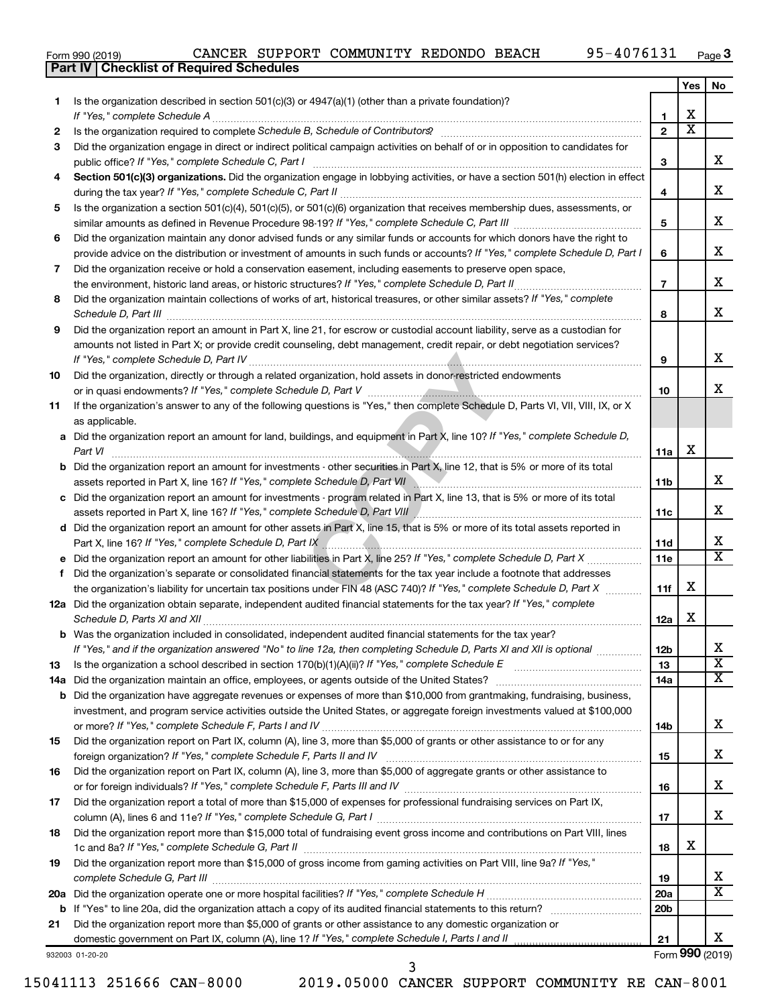|  | Form 990 (2019) |
|--|-----------------|

**Part IV Checklist of Required Schedules**

|     |                                                                                                                                                                                          |                 | Yes                          | No                      |
|-----|------------------------------------------------------------------------------------------------------------------------------------------------------------------------------------------|-----------------|------------------------------|-------------------------|
| 1.  | Is the organization described in section $501(c)(3)$ or $4947(a)(1)$ (other than a private foundation)?                                                                                  |                 |                              |                         |
|     | If "Yes," complete Schedule A                                                                                                                                                            | 1               | x<br>$\overline{\textbf{x}}$ |                         |
| 2   |                                                                                                                                                                                          | $\overline{2}$  |                              |                         |
| 3   | Did the organization engage in direct or indirect political campaign activities on behalf of or in opposition to candidates for                                                          | з               |                              | x.                      |
| 4   | public office? If "Yes," complete Schedule C, Part I<br>Section 501(c)(3) organizations. Did the organization engage in lobbying activities, or have a section 501(h) election in effect |                 |                              |                         |
|     |                                                                                                                                                                                          | 4               |                              | х                       |
| 5   | Is the organization a section 501(c)(4), 501(c)(5), or 501(c)(6) organization that receives membership dues, assessments, or                                                             |                 |                              |                         |
|     |                                                                                                                                                                                          | 5               |                              | х                       |
| 6   | Did the organization maintain any donor advised funds or any similar funds or accounts for which donors have the right to                                                                |                 |                              |                         |
|     | provide advice on the distribution or investment of amounts in such funds or accounts? If "Yes," complete Schedule D, Part I                                                             | 6               |                              | x                       |
| 7   | Did the organization receive or hold a conservation easement, including easements to preserve open space,                                                                                |                 |                              |                         |
|     | the environment, historic land areas, or historic structures? If "Yes," complete Schedule D, Part II                                                                                     | $\overline{7}$  |                              | х                       |
| 8   | Did the organization maintain collections of works of art, historical treasures, or other similar assets? If "Yes," complete                                                             |                 |                              |                         |
|     | Schedule D, Part III                                                                                                                                                                     | 8               |                              | x.                      |
| 9   | Did the organization report an amount in Part X, line 21, for escrow or custodial account liability, serve as a custodian for                                                            |                 |                              |                         |
|     | amounts not listed in Part X; or provide credit counseling, debt management, credit repair, or debt negotiation services?                                                                |                 |                              |                         |
|     |                                                                                                                                                                                          | 9               |                              | x.                      |
| 10  | Did the organization, directly or through a related organization, hold assets in donor-restricted endowments                                                                             |                 |                              |                         |
|     |                                                                                                                                                                                          | 10              |                              | x                       |
| 11  | If the organization's answer to any of the following questions is "Yes," then complete Schedule D, Parts VI, VII, VIII, IX, or X                                                         |                 |                              |                         |
|     | as applicable.                                                                                                                                                                           |                 |                              |                         |
|     | a Did the organization report an amount for land, buildings, and equipment in Part X, line 10? If "Yes," complete Schedule D,                                                            |                 |                              |                         |
|     | Part VI                                                                                                                                                                                  | 11a             | х                            |                         |
|     | <b>b</b> Did the organization report an amount for investments - other securities in Part X, line 12, that is 5% or more of its total                                                    |                 |                              | x.                      |
|     |                                                                                                                                                                                          | 11b             |                              |                         |
|     | c Did the organization report an amount for investments - program related in Part X, line 13, that is 5% or more of its total                                                            | 11c             |                              | х                       |
|     | d Did the organization report an amount for other assets in Part X, line 15, that is 5% or more of its total assets reported in                                                          |                 |                              |                         |
|     |                                                                                                                                                                                          | 11d             |                              | х                       |
|     |                                                                                                                                                                                          | 11e             |                              | X                       |
| f.  | Did the organization's separate or consolidated financial statements for the tax year include a footnote that addresses                                                                  |                 |                              |                         |
|     | the organization's liability for uncertain tax positions under FIN 48 (ASC 740)? If "Yes," complete Schedule D, Part X                                                                   | 11f             | х                            |                         |
|     | 12a Did the organization obtain separate, independent audited financial statements for the tax year? If "Yes," complete                                                                  |                 |                              |                         |
|     | Schedule D, Parts XI and XII                                                                                                                                                             | 12a             | х                            |                         |
|     | b Was the organization included in consolidated, independent audited financial statements for the tax year?                                                                              |                 |                              |                         |
|     | If "Yes," and if the organization answered "No" to line 12a, then completing Schedule D, Parts XI and XII is optional www.                                                               | 12 <sub>b</sub> |                              | Х                       |
| 13  | Is the organization a school described in section $170(b)(1)(A)(ii)$ ? If "Yes," complete Schedule E                                                                                     | 13              |                              | $\overline{\texttt{x}}$ |
| 14a | Did the organization maintain an office, employees, or agents outside of the United States?                                                                                              | 14a             |                              | x                       |
|     | <b>b</b> Did the organization have aggregate revenues or expenses of more than \$10,000 from grantmaking, fundraising, business,                                                         |                 |                              |                         |
|     | investment, and program service activities outside the United States, or aggregate foreign investments valued at \$100,000                                                               |                 |                              |                         |
|     |                                                                                                                                                                                          | 14b             |                              | х                       |
| 15  | Did the organization report on Part IX, column (A), line 3, more than \$5,000 of grants or other assistance to or for any                                                                |                 |                              |                         |
|     |                                                                                                                                                                                          | 15              |                              | х                       |
| 16  | Did the organization report on Part IX, column (A), line 3, more than \$5,000 of aggregate grants or other assistance to                                                                 |                 |                              | x                       |
|     |                                                                                                                                                                                          | 16              |                              |                         |
| 17  | Did the organization report a total of more than \$15,000 of expenses for professional fundraising services on Part IX,                                                                  | 17              |                              | x                       |
| 18  | Did the organization report more than \$15,000 total of fundraising event gross income and contributions on Part VIII, lines                                                             |                 |                              |                         |
|     |                                                                                                                                                                                          | 18              | X                            |                         |
| 19  | Did the organization report more than \$15,000 of gross income from gaming activities on Part VIII, line 9a? If "Yes,"                                                                   |                 |                              |                         |
|     |                                                                                                                                                                                          | 19              |                              | x                       |
|     |                                                                                                                                                                                          | 20a             |                              | X                       |
|     |                                                                                                                                                                                          | 20 <sub>b</sub> |                              |                         |
| 21  | Did the organization report more than \$5,000 of grants or other assistance to any domestic organization or                                                                              |                 |                              |                         |
|     | domestic government on Part IX, column (A), line 1? If "Yes," complete Schedule I, Parts I and II                                                                                        | 21              |                              | x                       |
|     | 932003 01-20-20                                                                                                                                                                          |                 |                              | Form 990 (2019)         |

3

932003 01-20-20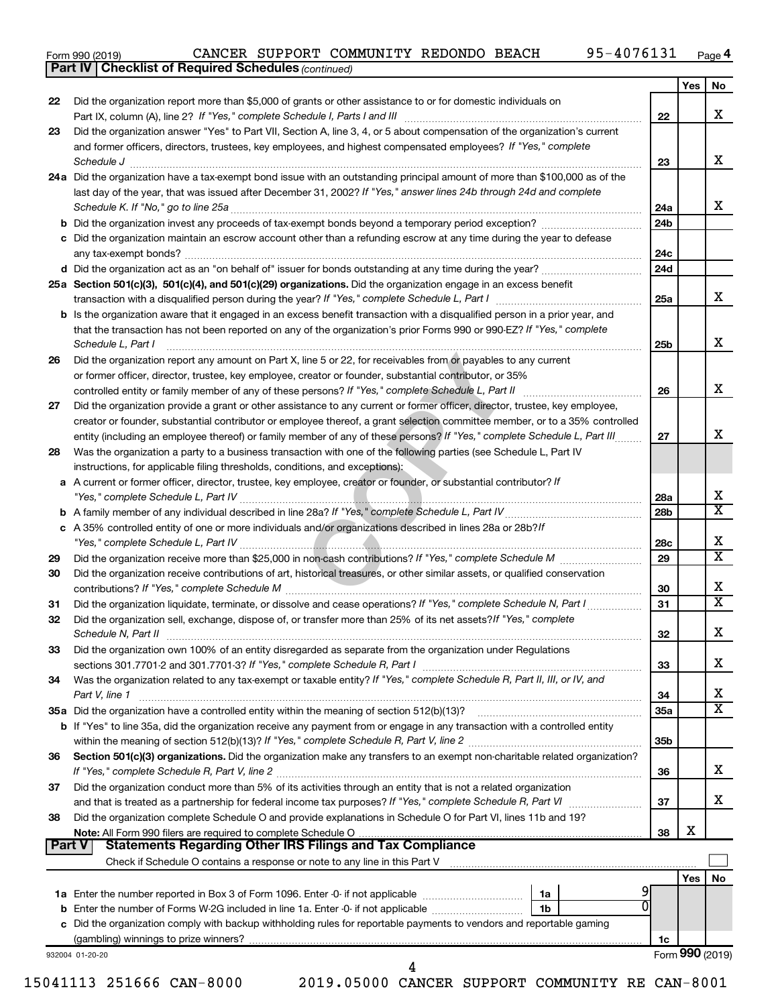|  | Form 990 (2019) |  |
|--|-----------------|--|

*(continued)* **Part IV Checklist of Required Schedules**

|               |                                                                                                                                                                                                                                                                                                                                                                                                                                                           |                        | Yes | No                      |
|---------------|-----------------------------------------------------------------------------------------------------------------------------------------------------------------------------------------------------------------------------------------------------------------------------------------------------------------------------------------------------------------------------------------------------------------------------------------------------------|------------------------|-----|-------------------------|
| 22            | Did the organization report more than \$5,000 of grants or other assistance to or for domestic individuals on                                                                                                                                                                                                                                                                                                                                             |                        |     | x                       |
| 23            | Did the organization answer "Yes" to Part VII, Section A, line 3, 4, or 5 about compensation of the organization's current                                                                                                                                                                                                                                                                                                                                | 22                     |     |                         |
|               | and former officers, directors, trustees, key employees, and highest compensated employees? If "Yes," complete                                                                                                                                                                                                                                                                                                                                            |                        |     |                         |
|               | $\textit{Schedule J} \textit{ \textbf{}} \textit{ \textbf{}} \textit{ \textbf{}} \textit{ \textbf{}} \textit{ \textbf{}} \textit{ \textbf{}} \textit{ \textbf{}} \textit{ \textbf{}} \textit{ \textbf{}} \textit{ \textbf{}} \textit{ \textbf{}} \textit{ \textbf{}} \textit{ \textbf{}} \textit{ \textbf{}} \textit{ \textbf{}} \textit{ \textbf{}} \textit{ \textbf{}} \textit{ \textbf{}} \textit{ \textbf{}} \textit{ \textbf{}} \textit{ \textbf{}}$ | 23                     |     | х                       |
|               | 24a Did the organization have a tax-exempt bond issue with an outstanding principal amount of more than \$100,000 as of the                                                                                                                                                                                                                                                                                                                               |                        |     |                         |
|               | last day of the year, that was issued after December 31, 2002? If "Yes," answer lines 24b through 24d and complete                                                                                                                                                                                                                                                                                                                                        |                        |     |                         |
|               | Schedule K. If "No," go to line 25a                                                                                                                                                                                                                                                                                                                                                                                                                       | 24a                    |     | x                       |
|               |                                                                                                                                                                                                                                                                                                                                                                                                                                                           | 24 <sub>b</sub>        |     |                         |
|               | c Did the organization maintain an escrow account other than a refunding escrow at any time during the year to defease                                                                                                                                                                                                                                                                                                                                    |                        |     |                         |
|               |                                                                                                                                                                                                                                                                                                                                                                                                                                                           | 24c                    |     |                         |
|               | d Did the organization act as an "on behalf of" issuer for bonds outstanding at any time during the year?                                                                                                                                                                                                                                                                                                                                                 | 24d                    |     |                         |
|               | 25a Section 501(c)(3), 501(c)(4), and 501(c)(29) organizations. Did the organization engage in an excess benefit                                                                                                                                                                                                                                                                                                                                          | 25a                    |     | x                       |
|               | <b>b</b> Is the organization aware that it engaged in an excess benefit transaction with a disqualified person in a prior year, and                                                                                                                                                                                                                                                                                                                       |                        |     |                         |
|               | that the transaction has not been reported on any of the organization's prior Forms 990 or 990-EZ? If "Yes," complete                                                                                                                                                                                                                                                                                                                                     |                        |     | х                       |
| 26            | Schedule L, Part I<br>Did the organization report any amount on Part X, line 5 or 22, for receivables from or payables to any current                                                                                                                                                                                                                                                                                                                     | 25b                    |     |                         |
|               | or former officer, director, trustee, key employee, creator or founder, substantial contributor, or 35%                                                                                                                                                                                                                                                                                                                                                   |                        |     |                         |
|               | controlled entity or family member of any of these persons? If "Yes," complete Schedule L, Part II                                                                                                                                                                                                                                                                                                                                                        | 26                     |     | x                       |
| 27            | Did the organization provide a grant or other assistance to any current or former officer, director, trustee, key employee,                                                                                                                                                                                                                                                                                                                               |                        |     |                         |
|               | creator or founder, substantial contributor or employee thereof, a grant selection committee member, or to a 35% controlled                                                                                                                                                                                                                                                                                                                               |                        |     |                         |
|               | entity (including an employee thereof) or family member of any of these persons? If "Yes," complete Schedule L, Part III                                                                                                                                                                                                                                                                                                                                  | 27                     |     | х                       |
| 28            | Was the organization a party to a business transaction with one of the following parties (see Schedule L, Part IV                                                                                                                                                                                                                                                                                                                                         |                        |     |                         |
|               | instructions, for applicable filing thresholds, conditions, and exceptions):                                                                                                                                                                                                                                                                                                                                                                              |                        |     |                         |
|               | a A current or former officer, director, trustee, key employee, creator or founder, or substantial contributor? If                                                                                                                                                                                                                                                                                                                                        |                        |     | X                       |
|               |                                                                                                                                                                                                                                                                                                                                                                                                                                                           | 28a<br>28 <sub>b</sub> |     | X                       |
|               | c A 35% controlled entity of one or more individuals and/or organizations described in lines 28a or 28b?If                                                                                                                                                                                                                                                                                                                                                |                        |     |                         |
|               |                                                                                                                                                                                                                                                                                                                                                                                                                                                           | 28c                    |     | х                       |
| 29            |                                                                                                                                                                                                                                                                                                                                                                                                                                                           | 29                     |     | $\overline{\text{x}}$   |
| 30            | Did the organization receive contributions of art, historical treasures, or other similar assets, or qualified conservation                                                                                                                                                                                                                                                                                                                               | 30                     |     | х                       |
| 31            | Did the organization liquidate, terminate, or dissolve and cease operations? If "Yes," complete Schedule N, Part I                                                                                                                                                                                                                                                                                                                                        | 31                     |     | $\overline{\texttt{x}}$ |
| 32            | Did the organization sell, exchange, dispose of, or transfer more than 25% of its net assets? If "Yes," complete<br>Schedule N, Part II                                                                                                                                                                                                                                                                                                                   | 32                     |     | х                       |
| 33            | Did the organization own 100% of an entity disregarded as separate from the organization under Regulations                                                                                                                                                                                                                                                                                                                                                |                        |     |                         |
|               |                                                                                                                                                                                                                                                                                                                                                                                                                                                           | 33                     |     | х                       |
| 34            | Was the organization related to any tax-exempt or taxable entity? If "Yes," complete Schedule R, Part II, III, or IV, and                                                                                                                                                                                                                                                                                                                                 |                        |     |                         |
|               | Part V, line 1                                                                                                                                                                                                                                                                                                                                                                                                                                            | 34                     |     | х                       |
|               |                                                                                                                                                                                                                                                                                                                                                                                                                                                           | 35a                    |     | $\overline{\text{X}}$   |
|               | b If "Yes" to line 35a, did the organization receive any payment from or engage in any transaction with a controlled entity                                                                                                                                                                                                                                                                                                                               |                        |     |                         |
| 36            | Section 501(c)(3) organizations. Did the organization make any transfers to an exempt non-charitable related organization?                                                                                                                                                                                                                                                                                                                                | 35 <sub>b</sub>        |     |                         |
|               |                                                                                                                                                                                                                                                                                                                                                                                                                                                           | 36                     |     | х                       |
| 37            | Did the organization conduct more than 5% of its activities through an entity that is not a related organization                                                                                                                                                                                                                                                                                                                                          |                        |     |                         |
|               | and that is treated as a partnership for federal income tax purposes? If "Yes," complete Schedule R, Part VI                                                                                                                                                                                                                                                                                                                                              | 37                     |     | x                       |
| 38            | Did the organization complete Schedule O and provide explanations in Schedule O for Part VI, lines 11b and 19?                                                                                                                                                                                                                                                                                                                                            |                        |     |                         |
|               |                                                                                                                                                                                                                                                                                                                                                                                                                                                           | 38                     | х   |                         |
| <b>Part V</b> | Statements Regarding Other IRS Filings and Tax Compliance                                                                                                                                                                                                                                                                                                                                                                                                 |                        |     |                         |
|               |                                                                                                                                                                                                                                                                                                                                                                                                                                                           |                        |     |                         |
|               | 1a                                                                                                                                                                                                                                                                                                                                                                                                                                                        |                        | Yes | No                      |
|               | 1b                                                                                                                                                                                                                                                                                                                                                                                                                                                        |                        |     |                         |
|               | c Did the organization comply with backup withholding rules for reportable payments to vendors and reportable gaming                                                                                                                                                                                                                                                                                                                                      |                        |     |                         |
|               |                                                                                                                                                                                                                                                                                                                                                                                                                                                           | 1c                     |     |                         |
|               | 932004 01-20-20                                                                                                                                                                                                                                                                                                                                                                                                                                           |                        |     | Form 990 (2019)         |
|               | 4                                                                                                                                                                                                                                                                                                                                                                                                                                                         |                        |     |                         |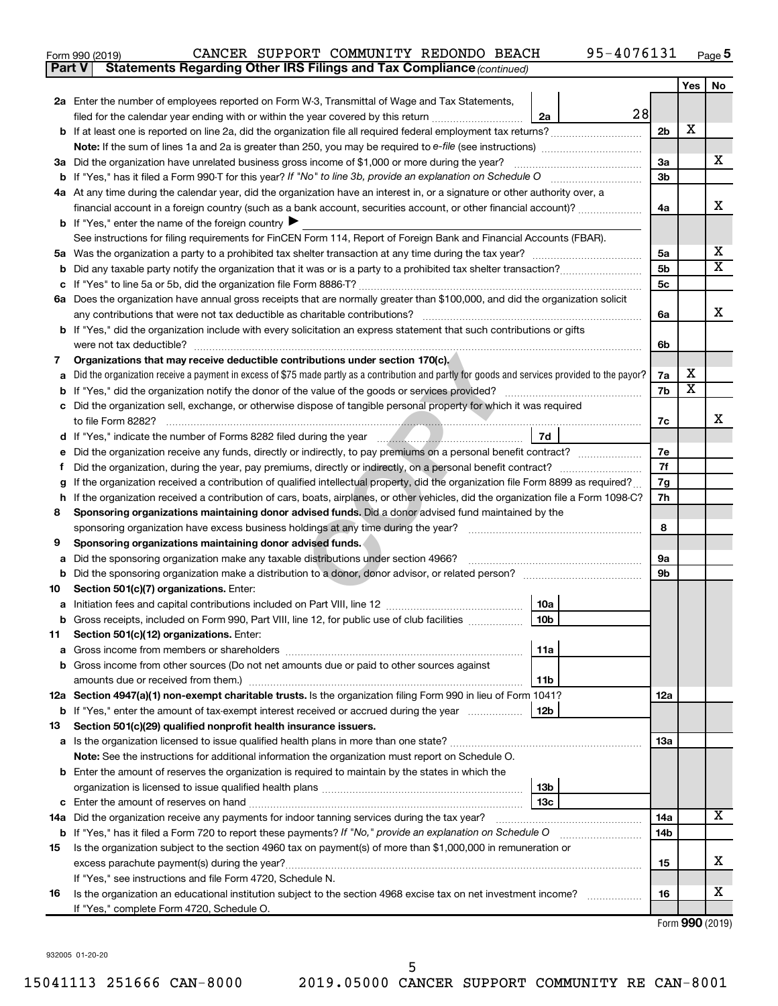| Form 990 (2019) |                                                                                     |  | CANCER SUPPORT COMMUNITY REDONDO BEACH |  | 95-4076131 | Page |
|-----------------|-------------------------------------------------------------------------------------|--|----------------------------------------|--|------------|------|
|                 | <b>Part V</b> Statements Regarding Other IRS Filings and Tax Compliance (continued) |  |                                        |  |            |      |

|    |                                                                                                                                                                                                       |                 |    |                | Yes                     | No                      |
|----|-------------------------------------------------------------------------------------------------------------------------------------------------------------------------------------------------------|-----------------|----|----------------|-------------------------|-------------------------|
|    | 2a Enter the number of employees reported on Form W-3, Transmittal of Wage and Tax Statements,                                                                                                        |                 |    |                |                         |                         |
|    | filed for the calendar year ending with or within the year covered by this return                                                                                                                     | 2a              | 28 |                |                         |                         |
|    | b If at least one is reported on line 2a, did the organization file all required federal employment tax returns?                                                                                      |                 |    | 2 <sub>b</sub> | х                       |                         |
|    | <b>Note:</b> If the sum of lines 1a and 2a is greater than 250, you may be required to e-file (see instructions) <i>manumanous</i>                                                                    |                 |    |                |                         |                         |
|    | 3a Did the organization have unrelated business gross income of \$1,000 or more during the year?                                                                                                      |                 |    | За             |                         | X.                      |
|    | <b>b</b> If "Yes," has it filed a Form 990-T for this year? If "No" to line 3b, provide an explanation on Schedule O                                                                                  |                 |    | 3b             |                         |                         |
|    | 4a At any time during the calendar year, did the organization have an interest in, or a signature or other authority over, a                                                                          |                 |    |                |                         |                         |
|    | financial account in a foreign country (such as a bank account, securities account, or other financial account)?                                                                                      |                 |    | 4a             |                         | x                       |
|    | <b>b</b> If "Yes," enter the name of the foreign country $\blacktriangleright$                                                                                                                        |                 |    |                |                         |                         |
|    | See instructions for filing requirements for FinCEN Form 114, Report of Foreign Bank and Financial Accounts (FBAR).                                                                                   |                 |    |                |                         | x                       |
|    |                                                                                                                                                                                                       |                 |    | 5а             |                         | $\overline{\textbf{X}}$ |
| b  |                                                                                                                                                                                                       |                 |    | 5 <sub>b</sub> |                         |                         |
|    |                                                                                                                                                                                                       |                 |    | 5 <sub>c</sub> |                         |                         |
|    | 6a Does the organization have annual gross receipts that are normally greater than \$100,000, and did the organization solicit                                                                        |                 |    |                |                         | x                       |
|    | any contributions that were not tax deductible as charitable contributions?<br>b If "Yes," did the organization include with every solicitation an express statement that such contributions or gifts |                 |    | 6a             |                         |                         |
|    | were not tax deductible?                                                                                                                                                                              |                 |    | 6b             |                         |                         |
| 7  | Organizations that may receive deductible contributions under section 170(c).                                                                                                                         |                 |    |                |                         |                         |
| a  | Did the organization receive a payment in excess of \$75 made partly as a contribution and partly for goods and services provided to the payor?                                                       |                 |    | 7a             | x                       |                         |
|    | If "Yes," did the organization notify the donor of the value of the goods or services provided?                                                                                                       |                 |    | 7b             | $\overline{\textbf{x}}$ |                         |
|    | c Did the organization sell, exchange, or otherwise dispose of tangible personal property for which it was required                                                                                   |                 |    |                |                         |                         |
|    | to file Form 8282?                                                                                                                                                                                    |                 |    | 7c             |                         | x                       |
|    |                                                                                                                                                                                                       | 7d              |    |                |                         |                         |
| е  | Did the organization receive any funds, directly or indirectly, to pay premiums on a personal benefit contract?                                                                                       |                 |    | 7е             |                         |                         |
|    | Did the organization, during the year, pay premiums, directly or indirectly, on a personal benefit contract?                                                                                          |                 |    | 7f             |                         |                         |
|    | If the organization received a contribution of qualified intellectual property, did the organization file Form 8899 as required?                                                                      |                 |    | 7g             |                         |                         |
| h. | If the organization received a contribution of cars, boats, airplanes, or other vehicles, did the organization file a Form 1098-C?                                                                    |                 |    | 7h             |                         |                         |
| 8  | Sponsoring organizations maintaining donor advised funds. Did a donor advised fund maintained by the                                                                                                  |                 |    |                |                         |                         |
|    | sponsoring organization have excess business holdings at any time during the year?                                                                                                                    |                 |    | 8              |                         |                         |
| 9  | Sponsoring organizations maintaining donor advised funds.                                                                                                                                             |                 |    |                |                         |                         |
| а  | Did the sponsoring organization make any taxable distributions under section 4966?                                                                                                                    |                 |    | 9a             |                         |                         |
| b  |                                                                                                                                                                                                       |                 |    | 9b             |                         |                         |
| 10 | Section 501(c)(7) organizations. Enter:                                                                                                                                                               |                 |    |                |                         |                         |
| а  |                                                                                                                                                                                                       | 10a             |    |                |                         |                         |
| b  | Gross receipts, included on Form 990, Part VIII, line 12, for public use of club facilities                                                                                                           | 10 <sub>b</sub> |    |                |                         |                         |
| 11 | Section 501(c)(12) organizations. Enter:                                                                                                                                                              | 11a             |    |                |                         |                         |
|    |                                                                                                                                                                                                       |                 |    |                |                         |                         |
|    | b Gross income from other sources (Do not net amounts due or paid to other sources against                                                                                                            |                 |    |                |                         |                         |
|    | amounts due or received from them.)<br>12a Section 4947(a)(1) non-exempt charitable trusts. Is the organization filing Form 990 in lieu of Form 1041?                                                 | 11b             |    | 12a            |                         |                         |
|    | <b>b</b> If "Yes," enter the amount of tax-exempt interest received or accrued during the year                                                                                                        | 12b             |    |                |                         |                         |
| 13 | Section 501(c)(29) qualified nonprofit health insurance issuers.                                                                                                                                      |                 |    |                |                         |                         |
|    |                                                                                                                                                                                                       |                 |    | 1За            |                         |                         |
|    | Note: See the instructions for additional information the organization must report on Schedule O.                                                                                                     |                 |    |                |                         |                         |
|    | <b>b</b> Enter the amount of reserves the organization is required to maintain by the states in which the                                                                                             |                 |    |                |                         |                         |
|    |                                                                                                                                                                                                       | 13b             |    |                |                         |                         |
|    |                                                                                                                                                                                                       | 13с             |    |                |                         |                         |
|    | 14a Did the organization receive any payments for indoor tanning services during the tax year?                                                                                                        |                 |    | 14a            |                         | х                       |
|    | <b>b</b> If "Yes," has it filed a Form 720 to report these payments? If "No," provide an explanation on Schedule O                                                                                    |                 |    | 14b            |                         |                         |
| 15 | Is the organization subject to the section 4960 tax on payment(s) of more than \$1,000,000 in remuneration or                                                                                         |                 |    |                |                         |                         |
|    | excess parachute payment(s) during the year?                                                                                                                                                          |                 |    | 15             |                         | x.                      |
|    | If "Yes," see instructions and file Form 4720, Schedule N.                                                                                                                                            |                 |    |                |                         |                         |
| 16 | Is the organization an educational institution subject to the section 4968 excise tax on net investment income?                                                                                       |                 |    | 16             |                         | х                       |
|    | If "Yes," complete Form 4720, Schedule O.                                                                                                                                                             |                 |    |                |                         |                         |

Form (2019) **990**

932005 01-20-20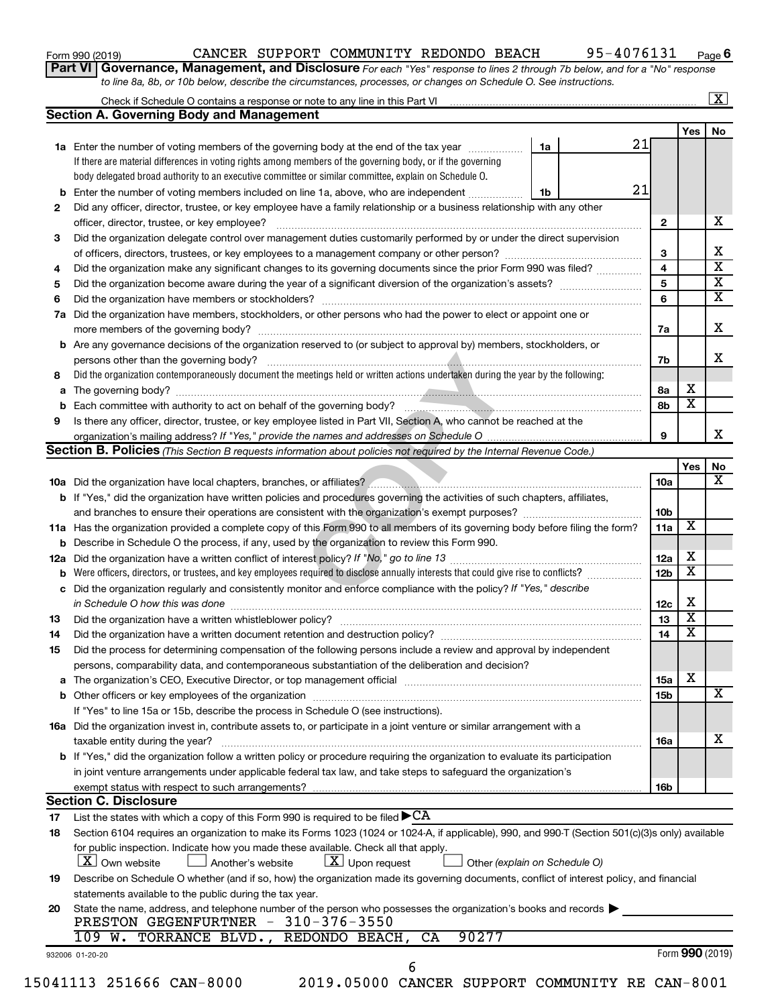| Form 990 (2019) |  |  |
|-----------------|--|--|
|-----------------|--|--|

## Form 990 (2019)  $\,$  CANCER SUPPORT COMMUNITY REDONDO BEACH  $\,$  95-4076131  $\,$  Page

**Part VI** Governance, Management, and Disclosure For each "Yes" response to lines 2 through 7b below, and for a "No" response *to line 8a, 8b, or 10b below, describe the circumstances, processes, or changes on Schedule O. See instructions.*

| <b>Section A. Governing Body and Management</b><br>1a Enter the number of voting members of the governing body at the end of the tax year<br>If there are material differences in voting rights among members of the governing body, or if the governing<br>body delegated broad authority to an executive committee or similar committee, explain on Schedule O.<br><b>b</b> Enter the number of voting members included on line 1a, above, who are independent <i></i><br>Did any officer, director, trustee, or key employee have a family relationship or a business relationship with any other<br>officer, director, trustee, or key employee?<br>Did the organization delegate control over management duties customarily performed by or under the direct supervision<br>Did the organization make any significant changes to its governing documents since the prior Form 990 was filed?<br>Did the organization have members, stockholders, or other persons who had the power to elect or appoint one or<br><b>b</b> Are any governance decisions of the organization reserved to (or subject to approval by) members, stockholders, or<br>persons other than the governing body?<br>Did the organization contemporaneously document the meetings held or written actions undertaken during the year by the following:<br>Is there any officer, director, trustee, or key employee listed in Part VII, Section A, who cannot be reached at the<br>Section B. Policies (This Section B requests information about policies not required by the Internal Revenue Code.) | 21<br>1a<br>21<br>1b                                                                                                                                                                                                                                                                                                                                                                                                                                                                                                                                                                                                                                                                                                                  | $\mathbf{2}$<br>3<br>4<br>$\overline{\mathbf{5}}$<br>6<br>7a<br>7b                                                                                                                                                                                                                                                                                                                                                                                                                                                                                                                                                                                                                                                                                                                                                                                                                                                                                                                                                                                                                                                                                                                                                                                                                                                                                                                                              | Yes                                                                                                                                                                                                                                                                                                                                           |
|----------------------------------------------------------------------------------------------------------------------------------------------------------------------------------------------------------------------------------------------------------------------------------------------------------------------------------------------------------------------------------------------------------------------------------------------------------------------------------------------------------------------------------------------------------------------------------------------------------------------------------------------------------------------------------------------------------------------------------------------------------------------------------------------------------------------------------------------------------------------------------------------------------------------------------------------------------------------------------------------------------------------------------------------------------------------------------------------------------------------------------------------------------------------------------------------------------------------------------------------------------------------------------------------------------------------------------------------------------------------------------------------------------------------------------------------------------------------------------------------------------------------------------------------------------------------------------|---------------------------------------------------------------------------------------------------------------------------------------------------------------------------------------------------------------------------------------------------------------------------------------------------------------------------------------------------------------------------------------------------------------------------------------------------------------------------------------------------------------------------------------------------------------------------------------------------------------------------------------------------------------------------------------------------------------------------------------|-----------------------------------------------------------------------------------------------------------------------------------------------------------------------------------------------------------------------------------------------------------------------------------------------------------------------------------------------------------------------------------------------------------------------------------------------------------------------------------------------------------------------------------------------------------------------------------------------------------------------------------------------------------------------------------------------------------------------------------------------------------------------------------------------------------------------------------------------------------------------------------------------------------------------------------------------------------------------------------------------------------------------------------------------------------------------------------------------------------------------------------------------------------------------------------------------------------------------------------------------------------------------------------------------------------------------------------------------------------------------------------------------------------------|-----------------------------------------------------------------------------------------------------------------------------------------------------------------------------------------------------------------------------------------------------------------------------------------------------------------------------------------------|
|                                                                                                                                                                                                                                                                                                                                                                                                                                                                                                                                                                                                                                                                                                                                                                                                                                                                                                                                                                                                                                                                                                                                                                                                                                                                                                                                                                                                                                                                                                                                                                                  |                                                                                                                                                                                                                                                                                                                                                                                                                                                                                                                                                                                                                                                                                                                                       |                                                                                                                                                                                                                                                                                                                                                                                                                                                                                                                                                                                                                                                                                                                                                                                                                                                                                                                                                                                                                                                                                                                                                                                                                                                                                                                                                                                                                 |                                                                                                                                                                                                                                                                                                                                               |
|                                                                                                                                                                                                                                                                                                                                                                                                                                                                                                                                                                                                                                                                                                                                                                                                                                                                                                                                                                                                                                                                                                                                                                                                                                                                                                                                                                                                                                                                                                                                                                                  |                                                                                                                                                                                                                                                                                                                                                                                                                                                                                                                                                                                                                                                                                                                                       |                                                                                                                                                                                                                                                                                                                                                                                                                                                                                                                                                                                                                                                                                                                                                                                                                                                                                                                                                                                                                                                                                                                                                                                                                                                                                                                                                                                                                 |                                                                                                                                                                                                                                                                                                                                               |
|                                                                                                                                                                                                                                                                                                                                                                                                                                                                                                                                                                                                                                                                                                                                                                                                                                                                                                                                                                                                                                                                                                                                                                                                                                                                                                                                                                                                                                                                                                                                                                                  |                                                                                                                                                                                                                                                                                                                                                                                                                                                                                                                                                                                                                                                                                                                                       |                                                                                                                                                                                                                                                                                                                                                                                                                                                                                                                                                                                                                                                                                                                                                                                                                                                                                                                                                                                                                                                                                                                                                                                                                                                                                                                                                                                                                 |                                                                                                                                                                                                                                                                                                                                               |
|                                                                                                                                                                                                                                                                                                                                                                                                                                                                                                                                                                                                                                                                                                                                                                                                                                                                                                                                                                                                                                                                                                                                                                                                                                                                                                                                                                                                                                                                                                                                                                                  |                                                                                                                                                                                                                                                                                                                                                                                                                                                                                                                                                                                                                                                                                                                                       |                                                                                                                                                                                                                                                                                                                                                                                                                                                                                                                                                                                                                                                                                                                                                                                                                                                                                                                                                                                                                                                                                                                                                                                                                                                                                                                                                                                                                 |                                                                                                                                                                                                                                                                                                                                               |
|                                                                                                                                                                                                                                                                                                                                                                                                                                                                                                                                                                                                                                                                                                                                                                                                                                                                                                                                                                                                                                                                                                                                                                                                                                                                                                                                                                                                                                                                                                                                                                                  |                                                                                                                                                                                                                                                                                                                                                                                                                                                                                                                                                                                                                                                                                                                                       |                                                                                                                                                                                                                                                                                                                                                                                                                                                                                                                                                                                                                                                                                                                                                                                                                                                                                                                                                                                                                                                                                                                                                                                                                                                                                                                                                                                                                 |                                                                                                                                                                                                                                                                                                                                               |
|                                                                                                                                                                                                                                                                                                                                                                                                                                                                                                                                                                                                                                                                                                                                                                                                                                                                                                                                                                                                                                                                                                                                                                                                                                                                                                                                                                                                                                                                                                                                                                                  |                                                                                                                                                                                                                                                                                                                                                                                                                                                                                                                                                                                                                                                                                                                                       |                                                                                                                                                                                                                                                                                                                                                                                                                                                                                                                                                                                                                                                                                                                                                                                                                                                                                                                                                                                                                                                                                                                                                                                                                                                                                                                                                                                                                 |                                                                                                                                                                                                                                                                                                                                               |
|                                                                                                                                                                                                                                                                                                                                                                                                                                                                                                                                                                                                                                                                                                                                                                                                                                                                                                                                                                                                                                                                                                                                                                                                                                                                                                                                                                                                                                                                                                                                                                                  |                                                                                                                                                                                                                                                                                                                                                                                                                                                                                                                                                                                                                                                                                                                                       |                                                                                                                                                                                                                                                                                                                                                                                                                                                                                                                                                                                                                                                                                                                                                                                                                                                                                                                                                                                                                                                                                                                                                                                                                                                                                                                                                                                                                 |                                                                                                                                                                                                                                                                                                                                               |
|                                                                                                                                                                                                                                                                                                                                                                                                                                                                                                                                                                                                                                                                                                                                                                                                                                                                                                                                                                                                                                                                                                                                                                                                                                                                                                                                                                                                                                                                                                                                                                                  |                                                                                                                                                                                                                                                                                                                                                                                                                                                                                                                                                                                                                                                                                                                                       |                                                                                                                                                                                                                                                                                                                                                                                                                                                                                                                                                                                                                                                                                                                                                                                                                                                                                                                                                                                                                                                                                                                                                                                                                                                                                                                                                                                                                 |                                                                                                                                                                                                                                                                                                                                               |
|                                                                                                                                                                                                                                                                                                                                                                                                                                                                                                                                                                                                                                                                                                                                                                                                                                                                                                                                                                                                                                                                                                                                                                                                                                                                                                                                                                                                                                                                                                                                                                                  |                                                                                                                                                                                                                                                                                                                                                                                                                                                                                                                                                                                                                                                                                                                                       |                                                                                                                                                                                                                                                                                                                                                                                                                                                                                                                                                                                                                                                                                                                                                                                                                                                                                                                                                                                                                                                                                                                                                                                                                                                                                                                                                                                                                 |                                                                                                                                                                                                                                                                                                                                               |
|                                                                                                                                                                                                                                                                                                                                                                                                                                                                                                                                                                                                                                                                                                                                                                                                                                                                                                                                                                                                                                                                                                                                                                                                                                                                                                                                                                                                                                                                                                                                                                                  |                                                                                                                                                                                                                                                                                                                                                                                                                                                                                                                                                                                                                                                                                                                                       |                                                                                                                                                                                                                                                                                                                                                                                                                                                                                                                                                                                                                                                                                                                                                                                                                                                                                                                                                                                                                                                                                                                                                                                                                                                                                                                                                                                                                 |                                                                                                                                                                                                                                                                                                                                               |
|                                                                                                                                                                                                                                                                                                                                                                                                                                                                                                                                                                                                                                                                                                                                                                                                                                                                                                                                                                                                                                                                                                                                                                                                                                                                                                                                                                                                                                                                                                                                                                                  |                                                                                                                                                                                                                                                                                                                                                                                                                                                                                                                                                                                                                                                                                                                                       |                                                                                                                                                                                                                                                                                                                                                                                                                                                                                                                                                                                                                                                                                                                                                                                                                                                                                                                                                                                                                                                                                                                                                                                                                                                                                                                                                                                                                 |                                                                                                                                                                                                                                                                                                                                               |
|                                                                                                                                                                                                                                                                                                                                                                                                                                                                                                                                                                                                                                                                                                                                                                                                                                                                                                                                                                                                                                                                                                                                                                                                                                                                                                                                                                                                                                                                                                                                                                                  |                                                                                                                                                                                                                                                                                                                                                                                                                                                                                                                                                                                                                                                                                                                                       |                                                                                                                                                                                                                                                                                                                                                                                                                                                                                                                                                                                                                                                                                                                                                                                                                                                                                                                                                                                                                                                                                                                                                                                                                                                                                                                                                                                                                 |                                                                                                                                                                                                                                                                                                                                               |
|                                                                                                                                                                                                                                                                                                                                                                                                                                                                                                                                                                                                                                                                                                                                                                                                                                                                                                                                                                                                                                                                                                                                                                                                                                                                                                                                                                                                                                                                                                                                                                                  |                                                                                                                                                                                                                                                                                                                                                                                                                                                                                                                                                                                                                                                                                                                                       |                                                                                                                                                                                                                                                                                                                                                                                                                                                                                                                                                                                                                                                                                                                                                                                                                                                                                                                                                                                                                                                                                                                                                                                                                                                                                                                                                                                                                 |                                                                                                                                                                                                                                                                                                                                               |
|                                                                                                                                                                                                                                                                                                                                                                                                                                                                                                                                                                                                                                                                                                                                                                                                                                                                                                                                                                                                                                                                                                                                                                                                                                                                                                                                                                                                                                                                                                                                                                                  |                                                                                                                                                                                                                                                                                                                                                                                                                                                                                                                                                                                                                                                                                                                                       |                                                                                                                                                                                                                                                                                                                                                                                                                                                                                                                                                                                                                                                                                                                                                                                                                                                                                                                                                                                                                                                                                                                                                                                                                                                                                                                                                                                                                 |                                                                                                                                                                                                                                                                                                                                               |
|                                                                                                                                                                                                                                                                                                                                                                                                                                                                                                                                                                                                                                                                                                                                                                                                                                                                                                                                                                                                                                                                                                                                                                                                                                                                                                                                                                                                                                                                                                                                                                                  |                                                                                                                                                                                                                                                                                                                                                                                                                                                                                                                                                                                                                                                                                                                                       |                                                                                                                                                                                                                                                                                                                                                                                                                                                                                                                                                                                                                                                                                                                                                                                                                                                                                                                                                                                                                                                                                                                                                                                                                                                                                                                                                                                                                 |                                                                                                                                                                                                                                                                                                                                               |
|                                                                                                                                                                                                                                                                                                                                                                                                                                                                                                                                                                                                                                                                                                                                                                                                                                                                                                                                                                                                                                                                                                                                                                                                                                                                                                                                                                                                                                                                                                                                                                                  |                                                                                                                                                                                                                                                                                                                                                                                                                                                                                                                                                                                                                                                                                                                                       |                                                                                                                                                                                                                                                                                                                                                                                                                                                                                                                                                                                                                                                                                                                                                                                                                                                                                                                                                                                                                                                                                                                                                                                                                                                                                                                                                                                                                 |                                                                                                                                                                                                                                                                                                                                               |
|                                                                                                                                                                                                                                                                                                                                                                                                                                                                                                                                                                                                                                                                                                                                                                                                                                                                                                                                                                                                                                                                                                                                                                                                                                                                                                                                                                                                                                                                                                                                                                                  |                                                                                                                                                                                                                                                                                                                                                                                                                                                                                                                                                                                                                                                                                                                                       |                                                                                                                                                                                                                                                                                                                                                                                                                                                                                                                                                                                                                                                                                                                                                                                                                                                                                                                                                                                                                                                                                                                                                                                                                                                                                                                                                                                                                 |                                                                                                                                                                                                                                                                                                                                               |
|                                                                                                                                                                                                                                                                                                                                                                                                                                                                                                                                                                                                                                                                                                                                                                                                                                                                                                                                                                                                                                                                                                                                                                                                                                                                                                                                                                                                                                                                                                                                                                                  |                                                                                                                                                                                                                                                                                                                                                                                                                                                                                                                                                                                                                                                                                                                                       |                                                                                                                                                                                                                                                                                                                                                                                                                                                                                                                                                                                                                                                                                                                                                                                                                                                                                                                                                                                                                                                                                                                                                                                                                                                                                                                                                                                                                 |                                                                                                                                                                                                                                                                                                                                               |
|                                                                                                                                                                                                                                                                                                                                                                                                                                                                                                                                                                                                                                                                                                                                                                                                                                                                                                                                                                                                                                                                                                                                                                                                                                                                                                                                                                                                                                                                                                                                                                                  |                                                                                                                                                                                                                                                                                                                                                                                                                                                                                                                                                                                                                                                                                                                                       | 8a                                                                                                                                                                                                                                                                                                                                                                                                                                                                                                                                                                                                                                                                                                                                                                                                                                                                                                                                                                                                                                                                                                                                                                                                                                                                                                                                                                                                              | x                                                                                                                                                                                                                                                                                                                                             |
|                                                                                                                                                                                                                                                                                                                                                                                                                                                                                                                                                                                                                                                                                                                                                                                                                                                                                                                                                                                                                                                                                                                                                                                                                                                                                                                                                                                                                                                                                                                                                                                  |                                                                                                                                                                                                                                                                                                                                                                                                                                                                                                                                                                                                                                                                                                                                       | 8b                                                                                                                                                                                                                                                                                                                                                                                                                                                                                                                                                                                                                                                                                                                                                                                                                                                                                                                                                                                                                                                                                                                                                                                                                                                                                                                                                                                                              | $\overline{\mathbf{x}}$                                                                                                                                                                                                                                                                                                                       |
|                                                                                                                                                                                                                                                                                                                                                                                                                                                                                                                                                                                                                                                                                                                                                                                                                                                                                                                                                                                                                                                                                                                                                                                                                                                                                                                                                                                                                                                                                                                                                                                  |                                                                                                                                                                                                                                                                                                                                                                                                                                                                                                                                                                                                                                                                                                                                       |                                                                                                                                                                                                                                                                                                                                                                                                                                                                                                                                                                                                                                                                                                                                                                                                                                                                                                                                                                                                                                                                                                                                                                                                                                                                                                                                                                                                                 |                                                                                                                                                                                                                                                                                                                                               |
|                                                                                                                                                                                                                                                                                                                                                                                                                                                                                                                                                                                                                                                                                                                                                                                                                                                                                                                                                                                                                                                                                                                                                                                                                                                                                                                                                                                                                                                                                                                                                                                  |                                                                                                                                                                                                                                                                                                                                                                                                                                                                                                                                                                                                                                                                                                                                       | 9                                                                                                                                                                                                                                                                                                                                                                                                                                                                                                                                                                                                                                                                                                                                                                                                                                                                                                                                                                                                                                                                                                                                                                                                                                                                                                                                                                                                               |                                                                                                                                                                                                                                                                                                                                               |
|                                                                                                                                                                                                                                                                                                                                                                                                                                                                                                                                                                                                                                                                                                                                                                                                                                                                                                                                                                                                                                                                                                                                                                                                                                                                                                                                                                                                                                                                                                                                                                                  |                                                                                                                                                                                                                                                                                                                                                                                                                                                                                                                                                                                                                                                                                                                                       |                                                                                                                                                                                                                                                                                                                                                                                                                                                                                                                                                                                                                                                                                                                                                                                                                                                                                                                                                                                                                                                                                                                                                                                                                                                                                                                                                                                                                 |                                                                                                                                                                                                                                                                                                                                               |
|                                                                                                                                                                                                                                                                                                                                                                                                                                                                                                                                                                                                                                                                                                                                                                                                                                                                                                                                                                                                                                                                                                                                                                                                                                                                                                                                                                                                                                                                                                                                                                                  |                                                                                                                                                                                                                                                                                                                                                                                                                                                                                                                                                                                                                                                                                                                                       |                                                                                                                                                                                                                                                                                                                                                                                                                                                                                                                                                                                                                                                                                                                                                                                                                                                                                                                                                                                                                                                                                                                                                                                                                                                                                                                                                                                                                 | Yes                                                                                                                                                                                                                                                                                                                                           |
|                                                                                                                                                                                                                                                                                                                                                                                                                                                                                                                                                                                                                                                                                                                                                                                                                                                                                                                                                                                                                                                                                                                                                                                                                                                                                                                                                                                                                                                                                                                                                                                  |                                                                                                                                                                                                                                                                                                                                                                                                                                                                                                                                                                                                                                                                                                                                       | 10a                                                                                                                                                                                                                                                                                                                                                                                                                                                                                                                                                                                                                                                                                                                                                                                                                                                                                                                                                                                                                                                                                                                                                                                                                                                                                                                                                                                                             |                                                                                                                                                                                                                                                                                                                                               |
| <b>b</b> If "Yes," did the organization have written policies and procedures governing the activities of such chapters, affiliates,                                                                                                                                                                                                                                                                                                                                                                                                                                                                                                                                                                                                                                                                                                                                                                                                                                                                                                                                                                                                                                                                                                                                                                                                                                                                                                                                                                                                                                              |                                                                                                                                                                                                                                                                                                                                                                                                                                                                                                                                                                                                                                                                                                                                       |                                                                                                                                                                                                                                                                                                                                                                                                                                                                                                                                                                                                                                                                                                                                                                                                                                                                                                                                                                                                                                                                                                                                                                                                                                                                                                                                                                                                                 |                                                                                                                                                                                                                                                                                                                                               |
|                                                                                                                                                                                                                                                                                                                                                                                                                                                                                                                                                                                                                                                                                                                                                                                                                                                                                                                                                                                                                                                                                                                                                                                                                                                                                                                                                                                                                                                                                                                                                                                  |                                                                                                                                                                                                                                                                                                                                                                                                                                                                                                                                                                                                                                                                                                                                       | 10 <sub>b</sub>                                                                                                                                                                                                                                                                                                                                                                                                                                                                                                                                                                                                                                                                                                                                                                                                                                                                                                                                                                                                                                                                                                                                                                                                                                                                                                                                                                                                 |                                                                                                                                                                                                                                                                                                                                               |
|                                                                                                                                                                                                                                                                                                                                                                                                                                                                                                                                                                                                                                                                                                                                                                                                                                                                                                                                                                                                                                                                                                                                                                                                                                                                                                                                                                                                                                                                                                                                                                                  |                                                                                                                                                                                                                                                                                                                                                                                                                                                                                                                                                                                                                                                                                                                                       | 11a                                                                                                                                                                                                                                                                                                                                                                                                                                                                                                                                                                                                                                                                                                                                                                                                                                                                                                                                                                                                                                                                                                                                                                                                                                                                                                                                                                                                             | X                                                                                                                                                                                                                                                                                                                                             |
|                                                                                                                                                                                                                                                                                                                                                                                                                                                                                                                                                                                                                                                                                                                                                                                                                                                                                                                                                                                                                                                                                                                                                                                                                                                                                                                                                                                                                                                                                                                                                                                  |                                                                                                                                                                                                                                                                                                                                                                                                                                                                                                                                                                                                                                                                                                                                       |                                                                                                                                                                                                                                                                                                                                                                                                                                                                                                                                                                                                                                                                                                                                                                                                                                                                                                                                                                                                                                                                                                                                                                                                                                                                                                                                                                                                                 |                                                                                                                                                                                                                                                                                                                                               |
|                                                                                                                                                                                                                                                                                                                                                                                                                                                                                                                                                                                                                                                                                                                                                                                                                                                                                                                                                                                                                                                                                                                                                                                                                                                                                                                                                                                                                                                                                                                                                                                  |                                                                                                                                                                                                                                                                                                                                                                                                                                                                                                                                                                                                                                                                                                                                       | 12a                                                                                                                                                                                                                                                                                                                                                                                                                                                                                                                                                                                                                                                                                                                                                                                                                                                                                                                                                                                                                                                                                                                                                                                                                                                                                                                                                                                                             | x                                                                                                                                                                                                                                                                                                                                             |
|                                                                                                                                                                                                                                                                                                                                                                                                                                                                                                                                                                                                                                                                                                                                                                                                                                                                                                                                                                                                                                                                                                                                                                                                                                                                                                                                                                                                                                                                                                                                                                                  |                                                                                                                                                                                                                                                                                                                                                                                                                                                                                                                                                                                                                                                                                                                                       | 12 <sub>b</sub>                                                                                                                                                                                                                                                                                                                                                                                                                                                                                                                                                                                                                                                                                                                                                                                                                                                                                                                                                                                                                                                                                                                                                                                                                                                                                                                                                                                                 | $\overline{\textbf{x}}$                                                                                                                                                                                                                                                                                                                       |
|                                                                                                                                                                                                                                                                                                                                                                                                                                                                                                                                                                                                                                                                                                                                                                                                                                                                                                                                                                                                                                                                                                                                                                                                                                                                                                                                                                                                                                                                                                                                                                                  |                                                                                                                                                                                                                                                                                                                                                                                                                                                                                                                                                                                                                                                                                                                                       |                                                                                                                                                                                                                                                                                                                                                                                                                                                                                                                                                                                                                                                                                                                                                                                                                                                                                                                                                                                                                                                                                                                                                                                                                                                                                                                                                                                                                 |                                                                                                                                                                                                                                                                                                                                               |
|                                                                                                                                                                                                                                                                                                                                                                                                                                                                                                                                                                                                                                                                                                                                                                                                                                                                                                                                                                                                                                                                                                                                                                                                                                                                                                                                                                                                                                                                                                                                                                                  |                                                                                                                                                                                                                                                                                                                                                                                                                                                                                                                                                                                                                                                                                                                                       |                                                                                                                                                                                                                                                                                                                                                                                                                                                                                                                                                                                                                                                                                                                                                                                                                                                                                                                                                                                                                                                                                                                                                                                                                                                                                                                                                                                                                 | х                                                                                                                                                                                                                                                                                                                                             |
|                                                                                                                                                                                                                                                                                                                                                                                                                                                                                                                                                                                                                                                                                                                                                                                                                                                                                                                                                                                                                                                                                                                                                                                                                                                                                                                                                                                                                                                                                                                                                                                  |                                                                                                                                                                                                                                                                                                                                                                                                                                                                                                                                                                                                                                                                                                                                       | 13                                                                                                                                                                                                                                                                                                                                                                                                                                                                                                                                                                                                                                                                                                                                                                                                                                                                                                                                                                                                                                                                                                                                                                                                                                                                                                                                                                                                              | $\overline{\textbf{x}}$                                                                                                                                                                                                                                                                                                                       |
|                                                                                                                                                                                                                                                                                                                                                                                                                                                                                                                                                                                                                                                                                                                                                                                                                                                                                                                                                                                                                                                                                                                                                                                                                                                                                                                                                                                                                                                                                                                                                                                  |                                                                                                                                                                                                                                                                                                                                                                                                                                                                                                                                                                                                                                                                                                                                       |                                                                                                                                                                                                                                                                                                                                                                                                                                                                                                                                                                                                                                                                                                                                                                                                                                                                                                                                                                                                                                                                                                                                                                                                                                                                                                                                                                                                                 | $\overline{\textbf{x}}$                                                                                                                                                                                                                                                                                                                       |
|                                                                                                                                                                                                                                                                                                                                                                                                                                                                                                                                                                                                                                                                                                                                                                                                                                                                                                                                                                                                                                                                                                                                                                                                                                                                                                                                                                                                                                                                                                                                                                                  |                                                                                                                                                                                                                                                                                                                                                                                                                                                                                                                                                                                                                                                                                                                                       |                                                                                                                                                                                                                                                                                                                                                                                                                                                                                                                                                                                                                                                                                                                                                                                                                                                                                                                                                                                                                                                                                                                                                                                                                                                                                                                                                                                                                 |                                                                                                                                                                                                                                                                                                                                               |
|                                                                                                                                                                                                                                                                                                                                                                                                                                                                                                                                                                                                                                                                                                                                                                                                                                                                                                                                                                                                                                                                                                                                                                                                                                                                                                                                                                                                                                                                                                                                                                                  |                                                                                                                                                                                                                                                                                                                                                                                                                                                                                                                                                                                                                                                                                                                                       |                                                                                                                                                                                                                                                                                                                                                                                                                                                                                                                                                                                                                                                                                                                                                                                                                                                                                                                                                                                                                                                                                                                                                                                                                                                                                                                                                                                                                 |                                                                                                                                                                                                                                                                                                                                               |
|                                                                                                                                                                                                                                                                                                                                                                                                                                                                                                                                                                                                                                                                                                                                                                                                                                                                                                                                                                                                                                                                                                                                                                                                                                                                                                                                                                                                                                                                                                                                                                                  |                                                                                                                                                                                                                                                                                                                                                                                                                                                                                                                                                                                                                                                                                                                                       |                                                                                                                                                                                                                                                                                                                                                                                                                                                                                                                                                                                                                                                                                                                                                                                                                                                                                                                                                                                                                                                                                                                                                                                                                                                                                                                                                                                                                 | х                                                                                                                                                                                                                                                                                                                                             |
|                                                                                                                                                                                                                                                                                                                                                                                                                                                                                                                                                                                                                                                                                                                                                                                                                                                                                                                                                                                                                                                                                                                                                                                                                                                                                                                                                                                                                                                                                                                                                                                  |                                                                                                                                                                                                                                                                                                                                                                                                                                                                                                                                                                                                                                                                                                                                       |                                                                                                                                                                                                                                                                                                                                                                                                                                                                                                                                                                                                                                                                                                                                                                                                                                                                                                                                                                                                                                                                                                                                                                                                                                                                                                                                                                                                                 |                                                                                                                                                                                                                                                                                                                                               |
|                                                                                                                                                                                                                                                                                                                                                                                                                                                                                                                                                                                                                                                                                                                                                                                                                                                                                                                                                                                                                                                                                                                                                                                                                                                                                                                                                                                                                                                                                                                                                                                  |                                                                                                                                                                                                                                                                                                                                                                                                                                                                                                                                                                                                                                                                                                                                       |                                                                                                                                                                                                                                                                                                                                                                                                                                                                                                                                                                                                                                                                                                                                                                                                                                                                                                                                                                                                                                                                                                                                                                                                                                                                                                                                                                                                                 |                                                                                                                                                                                                                                                                                                                                               |
|                                                                                                                                                                                                                                                                                                                                                                                                                                                                                                                                                                                                                                                                                                                                                                                                                                                                                                                                                                                                                                                                                                                                                                                                                                                                                                                                                                                                                                                                                                                                                                                  |                                                                                                                                                                                                                                                                                                                                                                                                                                                                                                                                                                                                                                                                                                                                       |                                                                                                                                                                                                                                                                                                                                                                                                                                                                                                                                                                                                                                                                                                                                                                                                                                                                                                                                                                                                                                                                                                                                                                                                                                                                                                                                                                                                                 |                                                                                                                                                                                                                                                                                                                                               |
|                                                                                                                                                                                                                                                                                                                                                                                                                                                                                                                                                                                                                                                                                                                                                                                                                                                                                                                                                                                                                                                                                                                                                                                                                                                                                                                                                                                                                                                                                                                                                                                  |                                                                                                                                                                                                                                                                                                                                                                                                                                                                                                                                                                                                                                                                                                                                       |                                                                                                                                                                                                                                                                                                                                                                                                                                                                                                                                                                                                                                                                                                                                                                                                                                                                                                                                                                                                                                                                                                                                                                                                                                                                                                                                                                                                                 |                                                                                                                                                                                                                                                                                                                                               |
|                                                                                                                                                                                                                                                                                                                                                                                                                                                                                                                                                                                                                                                                                                                                                                                                                                                                                                                                                                                                                                                                                                                                                                                                                                                                                                                                                                                                                                                                                                                                                                                  |                                                                                                                                                                                                                                                                                                                                                                                                                                                                                                                                                                                                                                                                                                                                       |                                                                                                                                                                                                                                                                                                                                                                                                                                                                                                                                                                                                                                                                                                                                                                                                                                                                                                                                                                                                                                                                                                                                                                                                                                                                                                                                                                                                                 |                                                                                                                                                                                                                                                                                                                                               |
|                                                                                                                                                                                                                                                                                                                                                                                                                                                                                                                                                                                                                                                                                                                                                                                                                                                                                                                                                                                                                                                                                                                                                                                                                                                                                                                                                                                                                                                                                                                                                                                  |                                                                                                                                                                                                                                                                                                                                                                                                                                                                                                                                                                                                                                                                                                                                       |                                                                                                                                                                                                                                                                                                                                                                                                                                                                                                                                                                                                                                                                                                                                                                                                                                                                                                                                                                                                                                                                                                                                                                                                                                                                                                                                                                                                                 |                                                                                                                                                                                                                                                                                                                                               |
|                                                                                                                                                                                                                                                                                                                                                                                                                                                                                                                                                                                                                                                                                                                                                                                                                                                                                                                                                                                                                                                                                                                                                                                                                                                                                                                                                                                                                                                                                                                                                                                  |                                                                                                                                                                                                                                                                                                                                                                                                                                                                                                                                                                                                                                                                                                                                       |                                                                                                                                                                                                                                                                                                                                                                                                                                                                                                                                                                                                                                                                                                                                                                                                                                                                                                                                                                                                                                                                                                                                                                                                                                                                                                                                                                                                                 |                                                                                                                                                                                                                                                                                                                                               |
|                                                                                                                                                                                                                                                                                                                                                                                                                                                                                                                                                                                                                                                                                                                                                                                                                                                                                                                                                                                                                                                                                                                                                                                                                                                                                                                                                                                                                                                                                                                                                                                  |                                                                                                                                                                                                                                                                                                                                                                                                                                                                                                                                                                                                                                                                                                                                       |                                                                                                                                                                                                                                                                                                                                                                                                                                                                                                                                                                                                                                                                                                                                                                                                                                                                                                                                                                                                                                                                                                                                                                                                                                                                                                                                                                                                                 |                                                                                                                                                                                                                                                                                                                                               |
|                                                                                                                                                                                                                                                                                                                                                                                                                                                                                                                                                                                                                                                                                                                                                                                                                                                                                                                                                                                                                                                                                                                                                                                                                                                                                                                                                                                                                                                                                                                                                                                  |                                                                                                                                                                                                                                                                                                                                                                                                                                                                                                                                                                                                                                                                                                                                       |                                                                                                                                                                                                                                                                                                                                                                                                                                                                                                                                                                                                                                                                                                                                                                                                                                                                                                                                                                                                                                                                                                                                                                                                                                                                                                                                                                                                                 |                                                                                                                                                                                                                                                                                                                                               |
|                                                                                                                                                                                                                                                                                                                                                                                                                                                                                                                                                                                                                                                                                                                                                                                                                                                                                                                                                                                                                                                                                                                                                                                                                                                                                                                                                                                                                                                                                                                                                                                  |                                                                                                                                                                                                                                                                                                                                                                                                                                                                                                                                                                                                                                                                                                                                       |                                                                                                                                                                                                                                                                                                                                                                                                                                                                                                                                                                                                                                                                                                                                                                                                                                                                                                                                                                                                                                                                                                                                                                                                                                                                                                                                                                                                                 |                                                                                                                                                                                                                                                                                                                                               |
|                                                                                                                                                                                                                                                                                                                                                                                                                                                                                                                                                                                                                                                                                                                                                                                                                                                                                                                                                                                                                                                                                                                                                                                                                                                                                                                                                                                                                                                                                                                                                                                  |                                                                                                                                                                                                                                                                                                                                                                                                                                                                                                                                                                                                                                                                                                                                       |                                                                                                                                                                                                                                                                                                                                                                                                                                                                                                                                                                                                                                                                                                                                                                                                                                                                                                                                                                                                                                                                                                                                                                                                                                                                                                                                                                                                                 |                                                                                                                                                                                                                                                                                                                                               |
|                                                                                                                                                                                                                                                                                                                                                                                                                                                                                                                                                                                                                                                                                                                                                                                                                                                                                                                                                                                                                                                                                                                                                                                                                                                                                                                                                                                                                                                                                                                                                                                  |                                                                                                                                                                                                                                                                                                                                                                                                                                                                                                                                                                                                                                                                                                                                       |                                                                                                                                                                                                                                                                                                                                                                                                                                                                                                                                                                                                                                                                                                                                                                                                                                                                                                                                                                                                                                                                                                                                                                                                                                                                                                                                                                                                                 |                                                                                                                                                                                                                                                                                                                                               |
|                                                                                                                                                                                                                                                                                                                                                                                                                                                                                                                                                                                                                                                                                                                                                                                                                                                                                                                                                                                                                                                                                                                                                                                                                                                                                                                                                                                                                                                                                                                                                                                  |                                                                                                                                                                                                                                                                                                                                                                                                                                                                                                                                                                                                                                                                                                                                       |                                                                                                                                                                                                                                                                                                                                                                                                                                                                                                                                                                                                                                                                                                                                                                                                                                                                                                                                                                                                                                                                                                                                                                                                                                                                                                                                                                                                                 |                                                                                                                                                                                                                                                                                                                                               |
|                                                                                                                                                                                                                                                                                                                                                                                                                                                                                                                                                                                                                                                                                                                                                                                                                                                                                                                                                                                                                                                                                                                                                                                                                                                                                                                                                                                                                                                                                                                                                                                  |                                                                                                                                                                                                                                                                                                                                                                                                                                                                                                                                                                                                                                                                                                                                       |                                                                                                                                                                                                                                                                                                                                                                                                                                                                                                                                                                                                                                                                                                                                                                                                                                                                                                                                                                                                                                                                                                                                                                                                                                                                                                                                                                                                                 |                                                                                                                                                                                                                                                                                                                                               |
|                                                                                                                                                                                                                                                                                                                                                                                                                                                                                                                                                                                                                                                                                                                                                                                                                                                                                                                                                                                                                                                                                                                                                                                                                                                                                                                                                                                                                                                                                                                                                                                  |                                                                                                                                                                                                                                                                                                                                                                                                                                                                                                                                                                                                                                                                                                                                       |                                                                                                                                                                                                                                                                                                                                                                                                                                                                                                                                                                                                                                                                                                                                                                                                                                                                                                                                                                                                                                                                                                                                                                                                                                                                                                                                                                                                                 |                                                                                                                                                                                                                                                                                                                                               |
|                                                                                                                                                                                                                                                                                                                                                                                                                                                                                                                                                                                                                                                                                                                                                                                                                                                                                                                                                                                                                                                                                                                                                                                                                                                                                                                                                                                                                                                                                                                                                                                  |                                                                                                                                                                                                                                                                                                                                                                                                                                                                                                                                                                                                                                                                                                                                       |                                                                                                                                                                                                                                                                                                                                                                                                                                                                                                                                                                                                                                                                                                                                                                                                                                                                                                                                                                                                                                                                                                                                                                                                                                                                                                                                                                                                                 |                                                                                                                                                                                                                                                                                                                                               |
|                                                                                                                                                                                                                                                                                                                                                                                                                                                                                                                                                                                                                                                                                                                                                                                                                                                                                                                                                                                                                                                                                                                                                                                                                                                                                                                                                                                                                                                                                                                                                                                  |                                                                                                                                                                                                                                                                                                                                                                                                                                                                                                                                                                                                                                                                                                                                       |                                                                                                                                                                                                                                                                                                                                                                                                                                                                                                                                                                                                                                                                                                                                                                                                                                                                                                                                                                                                                                                                                                                                                                                                                                                                                                                                                                                                                 |                                                                                                                                                                                                                                                                                                                                               |
|                                                                                                                                                                                                                                                                                                                                                                                                                                                                                                                                                                                                                                                                                                                                                                                                                                                                                                                                                                                                                                                                                                                                                                                                                                                                                                                                                                                                                                                                                                                                                                                  |                                                                                                                                                                                                                                                                                                                                                                                                                                                                                                                                                                                                                                                                                                                                       |                                                                                                                                                                                                                                                                                                                                                                                                                                                                                                                                                                                                                                                                                                                                                                                                                                                                                                                                                                                                                                                                                                                                                                                                                                                                                                                                                                                                                 |                                                                                                                                                                                                                                                                                                                                               |
| 932006 01-20-20                                                                                                                                                                                                                                                                                                                                                                                                                                                                                                                                                                                                                                                                                                                                                                                                                                                                                                                                                                                                                                                                                                                                                                                                                                                                                                                                                                                                                                                                                                                                                                  |                                                                                                                                                                                                                                                                                                                                                                                                                                                                                                                                                                                                                                                                                                                                       |                                                                                                                                                                                                                                                                                                                                                                                                                                                                                                                                                                                                                                                                                                                                                                                                                                                                                                                                                                                                                                                                                                                                                                                                                                                                                                                                                                                                                 | Form 990 (2019)                                                                                                                                                                                                                                                                                                                               |
|                                                                                                                                                                                                                                                                                                                                                                                                                                                                                                                                                                                                                                                                                                                                                                                                                                                                                                                                                                                                                                                                                                                                                                                                                                                                                                                                                                                                                                                                                                                                                                                  | <b>b</b> Describe in Schedule O the process, if any, used by the organization to review this Form 990.<br>If "Yes" to line 15a or 15b, describe the process in Schedule O (see instructions).<br>taxable entity during the year?<br>exempt status with respect to such arrangements?<br><b>Section C. Disclosure</b><br>List the states with which a copy of this Form 990 is required to be filed $\blacktriangleright$ CA<br>for public inspection. Indicate how you made these available. Check all that apply.<br>$X$ Own website<br>$X$ Upon request<br>Another's website<br>statements available to the public during the tax year.<br>PRESTON GEGENFURTNER - 310-376-3550<br>109 W. TORRANCE BLVD., REDONDO BEACH, CA<br>90277 | 11a Has the organization provided a complete copy of this Form 990 to all members of its governing body before filing the form?<br>Were officers, directors, or trustees, and key employees required to disclose annually interests that could give rise to conflicts?<br>Did the organization regularly and consistently monitor and enforce compliance with the policy? If "Yes," describe<br>in Schedule O how this was done <i>manufacture contract to the set of the set of the set of the set of the set of t</i><br>Did the organization have a written document retention and destruction policy? [11] manufaction manufaction in<br>Did the process for determining compensation of the following persons include a review and approval by independent<br>persons, comparability data, and contemporaneous substantiation of the deliberation and decision?<br>16a Did the organization invest in, contribute assets to, or participate in a joint venture or similar arrangement with a<br><b>b</b> If "Yes," did the organization follow a written policy or procedure requiring the organization to evaluate its participation<br>in joint venture arrangements under applicable federal tax law, and take steps to safeguard the organization's<br>Other (explain on Schedule O)<br>State the name, address, and telephone number of the person who possesses the organization's books and records | 12c<br>14<br><b>15a</b><br>15b<br>16a<br>16b<br>Section 6104 requires an organization to make its Forms 1023 (1024 or 1024-A, if applicable), 990, and 990-T (Section 501(c)(3)s only) available<br>Describe on Schedule O whether (and if so, how) the organization made its governing documents, conflict of interest policy, and financial |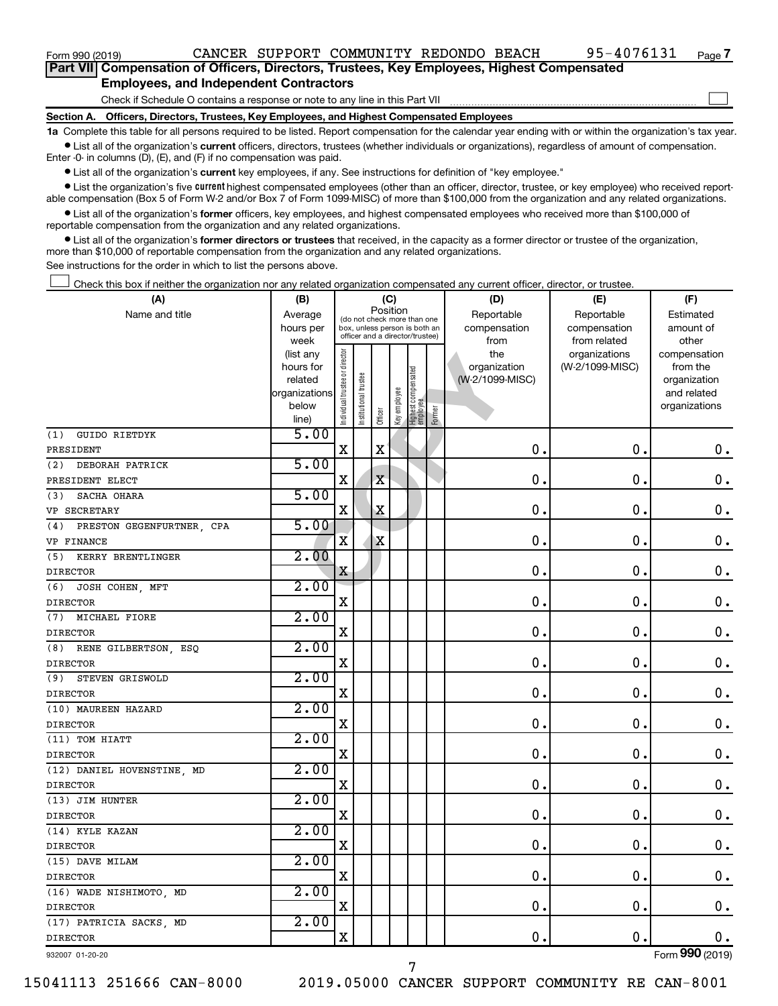$\Box$ 

| Part VII Compensation of Officers, Directors, Trustees, Key Employees, Highest Compensated |  |  |
|--------------------------------------------------------------------------------------------|--|--|
| <b>Employees, and Independent Contractors</b>                                              |  |  |

Check if Schedule O contains a response or note to any line in this Part VII

**Section A. Officers, Directors, Trustees, Key Employees, and Highest Compensated Employees**

**1a**  Complete this table for all persons required to be listed. Report compensation for the calendar year ending with or within the organization's tax year.  $\bullet$  List all of the organization's current officers, directors, trustees (whether individuals or organizations), regardless of amount of compensation.

Enter -0- in columns (D), (E), and (F) if no compensation was paid.

**•** List all of the organization's current key employees, if any. See instructions for definition of "key employee."

• List the organization's five *current* highest compensated employees (other than an officer, director, trustee, or key employee) who received reportable compensation (Box 5 of Form W-2 and/or Box 7 of Form 1099-MISC) of more than \$100,000 from the organization and any related organizations.

 $\bullet$  List all of the organization's former officers, key employees, and highest compensated employees who received more than \$100,000 of reportable compensation from the organization and any related organizations.

**•** List all of the organization's former directors or trustees that received, in the capacity as a former director or trustee of the organization, more than \$10,000 of reportable compensation from the organization and any related organizations.

See instructions for the order in which to list the persons above.

Check this box if neither the organization nor any related organization compensated any current officer, director, or trustee.  $\Box$ 

| (A)                             | (B)                    | (C)                            |                                                                  |                                         |              |                                  |           | (D)                 | (E)                              | (F)                      |
|---------------------------------|------------------------|--------------------------------|------------------------------------------------------------------|-----------------------------------------|--------------|----------------------------------|-----------|---------------------|----------------------------------|--------------------------|
| Name and title                  | Average                |                                |                                                                  | Position<br>(do not check more than one |              |                                  |           | Reportable          | Reportable                       | Estimated                |
|                                 | hours per              |                                | box, unless person is both an<br>officer and a director/trustee) |                                         | compensation | compensation                     | amount of |                     |                                  |                          |
|                                 | week                   |                                |                                                                  |                                         |              |                                  |           | from                | from related                     | other                    |
|                                 | (list any<br>hours for | Individual trustee or director |                                                                  |                                         |              |                                  |           | the<br>organization | organizations<br>(W-2/1099-MISC) | compensation<br>from the |
|                                 | related                |                                |                                                                  |                                         |              |                                  |           | (W-2/1099-MISC)     |                                  | organization             |
|                                 | organizations          |                                | Institutional trustee                                            |                                         |              |                                  |           |                     |                                  | and related              |
|                                 | below                  |                                |                                                                  |                                         | Key employee |                                  |           |                     |                                  | organizations            |
|                                 | line)                  |                                |                                                                  | Officer                                 |              | Highest compensated<br> employee | Former    |                     |                                  |                          |
| <b>GUIDO RIETDYK</b><br>(1)     | 5.00                   |                                |                                                                  |                                         |              |                                  |           |                     |                                  |                          |
| PRESIDENT                       |                        | $\mathbf X$                    |                                                                  | $\mathbf X$                             |              |                                  |           | 0.                  | $\mathbf 0$ .                    | 0.                       |
| DEBORAH PATRICK<br>(2)          | 5.00                   |                                |                                                                  |                                         |              |                                  |           |                     |                                  |                          |
| PRESIDENT ELECT                 |                        | X                              |                                                                  | $\mathbf X$                             |              |                                  |           | 0.                  | $\mathbf 0$ .                    | $\mathbf 0$ .            |
| SACHA OHARA<br>(3)              | 5.00                   |                                |                                                                  |                                         |              |                                  |           |                     |                                  |                          |
| VP SECRETARY                    |                        | $\mathbf X$                    |                                                                  | Χ                                       |              |                                  |           | $\mathbf 0$ .       | 0.                               | 0.                       |
| PRESTON GEGENFURTNER CPA<br>(4) | 5.00                   |                                |                                                                  |                                         |              |                                  |           |                     |                                  |                          |
| VP FINANCE                      |                        | X                              |                                                                  | X                                       |              |                                  |           | 0.                  | $\mathbf 0$ .                    | $\mathbf 0$ .            |
| KERRY BRENTLINGER<br>(5)        | 2.00                   |                                |                                                                  |                                         |              |                                  |           |                     |                                  |                          |
| <b>DIRECTOR</b>                 |                        | X                              |                                                                  |                                         |              |                                  |           | 0                   | $\mathbf 0$ .                    | $\mathbf 0$ .            |
| JOSH COHEN, MFT<br>(6)          | 2.00                   |                                |                                                                  |                                         |              |                                  |           |                     |                                  |                          |
| <b>DIRECTOR</b>                 |                        | X                              |                                                                  |                                         |              |                                  |           | $\mathbf 0$         | $\mathbf 0$ .                    | 0.                       |
| MICHAEL FIORE<br>(7)            | 2.00                   |                                |                                                                  |                                         |              |                                  |           |                     |                                  |                          |
| <b>DIRECTOR</b>                 |                        | X                              |                                                                  |                                         |              |                                  |           | $\mathbf 0$ .       | $\mathbf 0$ .                    | $\mathbf 0$ .            |
| (8)<br>RENE GILBERTSON, ESQ     | 2.00                   |                                |                                                                  |                                         |              |                                  |           |                     |                                  |                          |
| <b>DIRECTOR</b>                 |                        | X                              |                                                                  |                                         |              |                                  |           | $\mathbf 0$ .       | $\mathbf 0$ .                    | 0.                       |
| STEVEN GRISWOLD<br>(9)          | 2.00                   |                                |                                                                  |                                         |              |                                  |           |                     |                                  |                          |
| <b>DIRECTOR</b>                 |                        | X                              |                                                                  |                                         |              |                                  |           | $\mathbf 0$ .       | $\mathbf 0$ .                    | $\mathbf 0$ .            |
| (10) MAUREEN HAZARD             | 2.00                   |                                |                                                                  |                                         |              |                                  |           |                     |                                  |                          |
| <b>DIRECTOR</b>                 |                        | $\mathbf X$                    |                                                                  |                                         |              |                                  |           | 0.                  | $\mathbf 0$ .                    | $\mathbf 0$ .            |
| (11) TOM HIATT                  | 2.00                   |                                |                                                                  |                                         |              |                                  |           |                     |                                  |                          |
| <b>DIRECTOR</b>                 |                        | $\mathbf X$                    |                                                                  |                                         |              |                                  |           | $\mathbf 0$         | $\mathbf 0$ .                    | $\mathbf 0$ .            |
| (12) DANIEL HOVENSTINE, MD      | 2.00                   |                                |                                                                  |                                         |              |                                  |           |                     |                                  |                          |
| <b>DIRECTOR</b>                 |                        | X                              |                                                                  |                                         |              |                                  |           | $\mathbf 0$         | $\mathbf 0$ .                    | $\mathbf 0$ .            |
| (13) JIM HUNTER                 | 2.00                   |                                |                                                                  |                                         |              |                                  |           |                     |                                  |                          |
| <b>DIRECTOR</b>                 |                        | X                              |                                                                  |                                         |              |                                  |           | $\mathbf 0$         | $\mathbf 0$ .                    | $\mathbf 0$ .            |
| (14) KYLE KAZAN                 | 2.00                   |                                |                                                                  |                                         |              |                                  |           |                     |                                  |                          |
| <b>DIRECTOR</b>                 |                        | $\mathbf X$                    |                                                                  |                                         |              |                                  |           | 0.                  | $\mathbf 0$ .                    | $\mathbf 0$ .            |
| (15) DAVE MILAM                 | 2.00                   |                                |                                                                  |                                         |              |                                  |           |                     |                                  |                          |
| <b>DIRECTOR</b>                 |                        | X                              |                                                                  |                                         |              |                                  |           | $\mathbf 0$ .       | 0.                               | $\mathbf 0$ .            |
| (16) WADE NISHIMOTO, MD         | 2.00                   |                                |                                                                  |                                         |              |                                  |           |                     |                                  |                          |
| <b>DIRECTOR</b>                 |                        | X                              |                                                                  |                                         |              |                                  |           | $\mathbf 0$ .       | $\mathbf 0$ .                    | $\mathbf 0$ .            |
| (17) PATRICIA SACKS, MD         | 2.00                   |                                |                                                                  |                                         |              |                                  |           |                     |                                  |                          |
| <b>DIRECTOR</b>                 |                        | $\mathbf X$                    |                                                                  |                                         |              |                                  |           | 0.                  | $\mathbf 0$ .                    | $0$ .                    |
| 932007 01-20-20                 |                        |                                |                                                                  |                                         |              |                                  |           |                     |                                  | Form 990 (2019)          |

7

932007 01-20-20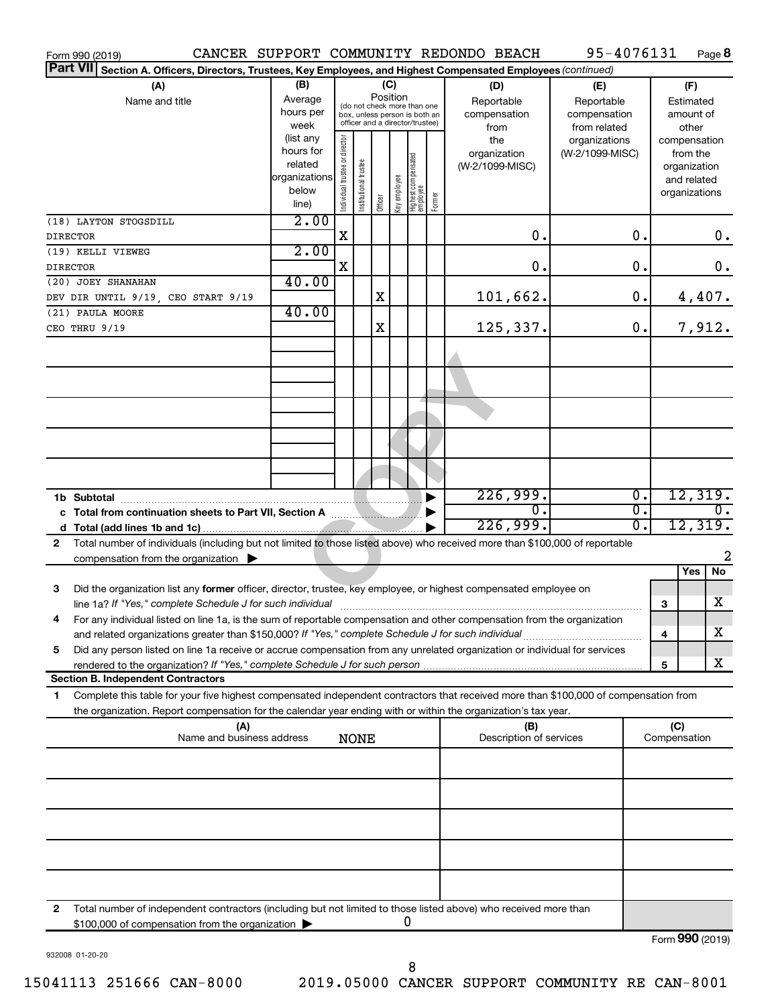| Form 990 (2019)                                                                                                                                                                                                                                             |                                                         |                                                                                                 |                       |         |                 |                                 |        | CANCER SUPPORT COMMUNITY REDONDO BEACH           | 95-4076131                                                         |                  |   |                                                          | Page 8 |
|-------------------------------------------------------------------------------------------------------------------------------------------------------------------------------------------------------------------------------------------------------------|---------------------------------------------------------|-------------------------------------------------------------------------------------------------|-----------------------|---------|-----------------|---------------------------------|--------|--------------------------------------------------|--------------------------------------------------------------------|------------------|---|----------------------------------------------------------|--------|
| <b>Part VII</b><br>Section A. Officers, Directors, Trustees, Key Employees, and Highest Compensated Employees (continued)                                                                                                                                   |                                                         |                                                                                                 |                       |         |                 |                                 |        |                                                  |                                                                    |                  |   |                                                          |        |
| (A)<br>Name and title                                                                                                                                                                                                                                       | (B)<br>Average<br>hours per<br>week<br>(list any        | (do not check more than one<br>box, unless person is both an<br>officer and a director/trustee) |                       |         | (C)<br>Position |                                 |        | (D)<br>Reportable<br>compensation<br>from<br>the | (E)<br>Reportable<br>compensation<br>from related<br>organizations |                  |   | (F)<br>Estimated<br>amount of<br>other<br>compensation   |        |
|                                                                                                                                                                                                                                                             | hours for<br>related<br>organizations<br>below<br>line) | Individual trustee or director                                                                  | Institutional trustee | Officer | əə/oldwə Aəy    | Highest compensated<br>employee | Former | organization<br>(W-2/1099-MISC)                  | (W-2/1099-MISC)                                                    |                  |   | from the<br>organization<br>and related<br>organizations |        |
| (18) LAYTON STOGSDILL<br><b>DIRECTOR</b>                                                                                                                                                                                                                    | 2.00                                                    | $\mathbf X$                                                                                     |                       |         |                 |                                 |        | 0.                                               |                                                                    | $\mathbf 0$ .    |   |                                                          | 0.     |
| (19) KELLI VIEWEG                                                                                                                                                                                                                                           | 2.00                                                    |                                                                                                 |                       |         |                 |                                 |        |                                                  |                                                                    |                  |   |                                                          |        |
| <b>DIRECTOR</b>                                                                                                                                                                                                                                             | 40.00                                                   | X                                                                                               |                       |         |                 |                                 |        | 0.                                               |                                                                    | $\mathbf 0$ .    |   |                                                          | 0.     |
| (20) JOEY SHANAHAN<br>DEV DIR UNTIL 9/19, CEO START 9/19                                                                                                                                                                                                    |                                                         |                                                                                                 |                       | X       |                 |                                 |        | 101,662.                                         |                                                                    | $\mathbf 0$ .    |   | 4,407.                                                   |        |
| (21) PAULA MOORE                                                                                                                                                                                                                                            | 40.00                                                   |                                                                                                 |                       |         |                 |                                 |        |                                                  |                                                                    |                  |   |                                                          |        |
| CEO THRU 9/19                                                                                                                                                                                                                                               |                                                         |                                                                                                 |                       | X       |                 |                                 |        | 125,337.                                         |                                                                    | 0.               |   | 7,912.                                                   |        |
|                                                                                                                                                                                                                                                             |                                                         |                                                                                                 |                       |         |                 |                                 |        |                                                  |                                                                    |                  |   |                                                          |        |
|                                                                                                                                                                                                                                                             |                                                         |                                                                                                 |                       |         |                 |                                 |        |                                                  |                                                                    |                  |   |                                                          |        |
|                                                                                                                                                                                                                                                             |                                                         |                                                                                                 |                       |         |                 |                                 |        |                                                  |                                                                    |                  |   |                                                          |        |
|                                                                                                                                                                                                                                                             |                                                         |                                                                                                 |                       |         |                 |                                 |        |                                                  |                                                                    |                  |   |                                                          |        |
|                                                                                                                                                                                                                                                             |                                                         |                                                                                                 |                       |         |                 |                                 |        |                                                  |                                                                    |                  |   |                                                          |        |
|                                                                                                                                                                                                                                                             |                                                         |                                                                                                 |                       |         |                 |                                 |        |                                                  |                                                                    |                  |   |                                                          |        |
| 1b Subtotal                                                                                                                                                                                                                                                 |                                                         |                                                                                                 |                       |         |                 |                                 |        | 226,999.                                         |                                                                    | $\overline{0}$ . |   | 12,319.                                                  |        |
|                                                                                                                                                                                                                                                             |                                                         |                                                                                                 |                       |         |                 |                                 |        | $\overline{0}$<br>226,999.                       |                                                                    | σ.<br>σ.         |   | 12,319.                                                  |        |
| Total number of individuals (including but not limited to those listed above) who received more than \$100,000 of reportable<br>$\mathbf{2}$                                                                                                                |                                                         |                                                                                                 |                       |         |                 |                                 |        |                                                  |                                                                    |                  |   |                                                          |        |
| compensation from the organization $\blacktriangleright$                                                                                                                                                                                                    |                                                         |                                                                                                 |                       |         |                 |                                 |        |                                                  |                                                                    |                  |   |                                                          | 2      |
| Did the organization list any former officer, director, trustee, key employee, or highest compensated employee on<br>3                                                                                                                                      |                                                         |                                                                                                 |                       |         |                 |                                 |        |                                                  |                                                                    |                  |   | Yes                                                      | No     |
| line 1a? If "Yes," complete Schedule J for such individual [11] manufacture manufacture 1a? If "Yes," complete Schedule J for such individual                                                                                                               |                                                         |                                                                                                 |                       |         |                 |                                 |        |                                                  |                                                                    |                  | 3 |                                                          | x      |
| For any individual listed on line 1a, is the sum of reportable compensation and other compensation from the organization                                                                                                                                    |                                                         |                                                                                                 |                       |         |                 |                                 |        |                                                  |                                                                    |                  |   |                                                          | х      |
| and related organizations greater than \$150,000? If "Yes," complete Schedule J for such individual<br>Did any person listed on line 1a receive or accrue compensation from any unrelated organization or individual for services<br>5                      |                                                         |                                                                                                 |                       |         |                 |                                 |        |                                                  |                                                                    |                  | 4 |                                                          |        |
| rendered to the organization? If "Yes," complete Schedule J for such person                                                                                                                                                                                 |                                                         |                                                                                                 |                       |         |                 |                                 |        |                                                  |                                                                    |                  | 5 |                                                          | x      |
| <b>Section B. Independent Contractors</b>                                                                                                                                                                                                                   |                                                         |                                                                                                 |                       |         |                 |                                 |        |                                                  |                                                                    |                  |   |                                                          |        |
| Complete this table for your five highest compensated independent contractors that received more than \$100,000 of compensation from<br>1<br>the organization. Report compensation for the calendar year ending with or within the organization's tax year. |                                                         |                                                                                                 |                       |         |                 |                                 |        |                                                  |                                                                    |                  |   |                                                          |        |
| (A)<br>Name and business address                                                                                                                                                                                                                            |                                                         |                                                                                                 |                       |         |                 |                                 |        | (B)<br>Description of services                   |                                                                    |                  |   | (C)<br>Compensation                                      |        |
|                                                                                                                                                                                                                                                             |                                                         |                                                                                                 | <b>NONE</b>           |         |                 |                                 |        |                                                  |                                                                    |                  |   |                                                          |        |
|                                                                                                                                                                                                                                                             |                                                         |                                                                                                 |                       |         |                 |                                 |        |                                                  |                                                                    |                  |   |                                                          |        |
|                                                                                                                                                                                                                                                             |                                                         |                                                                                                 |                       |         |                 |                                 |        |                                                  |                                                                    |                  |   |                                                          |        |
|                                                                                                                                                                                                                                                             |                                                         |                                                                                                 |                       |         |                 |                                 |        |                                                  |                                                                    |                  |   |                                                          |        |
|                                                                                                                                                                                                                                                             |                                                         |                                                                                                 |                       |         |                 |                                 |        |                                                  |                                                                    |                  |   |                                                          |        |
|                                                                                                                                                                                                                                                             |                                                         |                                                                                                 |                       |         |                 |                                 |        |                                                  |                                                                    |                  |   |                                                          |        |
| 2<br>Total number of independent contractors (including but not limited to those listed above) who received more than                                                                                                                                       |                                                         |                                                                                                 |                       |         |                 |                                 |        |                                                  |                                                                    |                  |   |                                                          |        |
| \$100,000 of compensation from the organization                                                                                                                                                                                                             |                                                         |                                                                                                 |                       |         |                 | 0                               |        |                                                  |                                                                    |                  |   | $T_{\text{sum}}$ 000 (2010)                              |        |

932008 01-20-20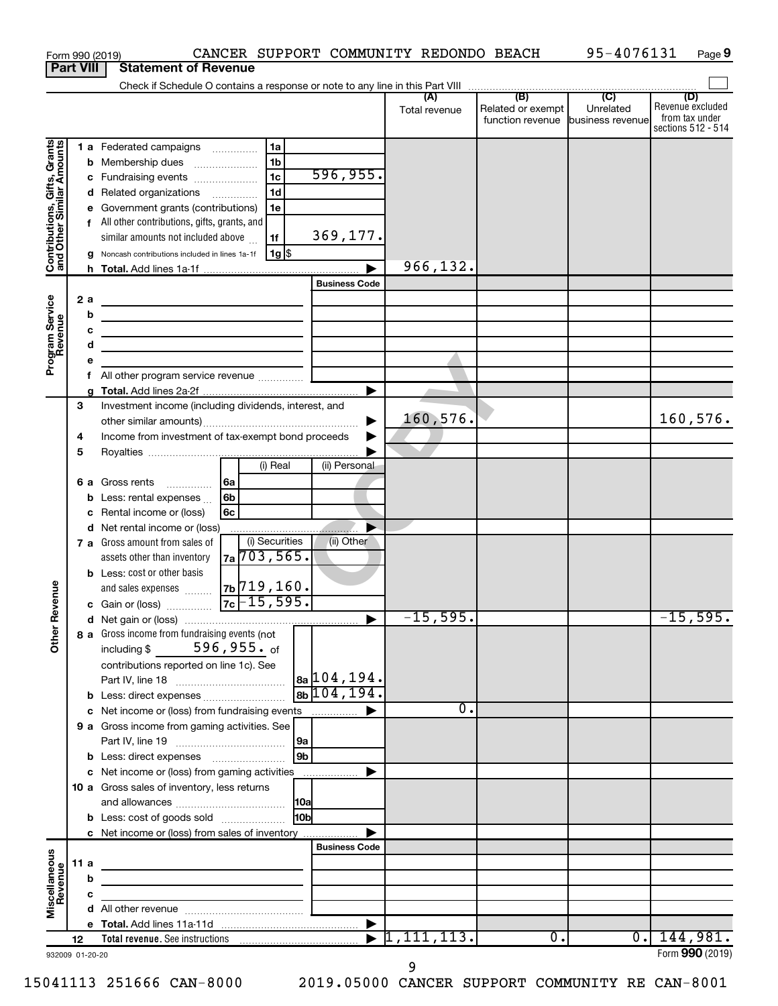| <b>Part VIII</b><br><b>Statement of Revenue</b><br>$\overline{C}$<br>(B)<br>(D)<br>(A)<br>Unrelated<br>Related or exempt<br>Total revenue<br>from tax under<br>function revenue business revenue<br>Contributions, Gifts, Grants<br>and Other Similar Amounts<br>1a<br>1 a Federated campaigns<br>1 <sub>b</sub><br>Membership dues<br>b<br>$\ldots \ldots \ldots \ldots \ldots$<br>596, 955.<br>1 <sub>c</sub><br>Fundraising events<br>с<br>1 <sub>d</sub><br>Related organizations<br>d<br>Government grants (contributions)<br>1e<br>е<br>f All other contributions, gifts, grants, and<br>369,177.<br>similar amounts not included above<br>1f<br>$1g$ \$<br>Noncash contributions included in lines 1a-1f<br>g<br>966,132.<br><b>Business Code</b><br>Program Service<br>Revenue<br>2a<br><u> 1989 - Johann Barn, mars ann an t-Amhain Aonaich an t-Aonaich an t-Aonaich ann an t-Aonaich ann an t-Aonaich</u><br>b<br><u> 1989 - Johann Barbara, martxa alemaniar a</u><br>с<br><u> 1989 - Johann Barbara, martxa alemaniar a</u><br>d<br><u> 1989 - Johann Barbara, martin amerikan basar da</u><br>е<br>All other program service revenue<br>f<br>3<br>Investment income (including dividends, interest, and<br>160,576.<br>160, 576.<br>Income from investment of tax-exempt bond proceeds<br>4<br>5<br>(i) Real<br>(ii) Personal<br>6a<br>6 a Gross rents<br>.<br>6 <sub>b</sub><br>Less: rental expenses<br>b<br>6c<br>Rental income or (loss)<br>с<br>Net rental income or (loss)<br>d<br>(i) Securities<br>(ii) Other<br>7 a Gross amount from sales of<br>7a 703, 565.<br>assets other than inventory<br><b>b</b> Less: cost or other basis<br>7b <sup>719</sup> ,160.<br>evenue<br>and sales expenses<br>$7c - 15,595.$<br>c Gain or (loss)<br>$-15,595.$<br>$-15,595.$<br>Other F<br>8 a Gross income from fundraising events (not<br>including $$596, 955.$ of<br>contributions reported on line 1c). See<br>$ a_0 $ 104,194.<br>$8b$ 104, 194.<br>$\overline{0}$ .<br>c Net income or (loss) from fundraising events<br>9 a Gross income from gaming activities. See<br>9 <b>b</b><br>c Net income or (loss) from gaming activities<br>10 a Gross sales of inventory, less returns<br>10 <sub>b</sub><br><b>b</b> Less: cost of goods sold<br>c Net income or (loss) from sales of inventory<br><b>Business Code</b><br>Miscellaneous<br>Revenue<br>11 a<br><u> 1989 - Johann Stein, mars an deus Amerikaansk kommunister (</u><br>b<br>с<br>1,111,113.<br>144,981.<br>$\overline{0}$ .<br>$\overline{0}$ .<br>12<br>Form 990 (2019)<br>932009 01-20-20 |  |  | Form 990 (2019) |  | CANCER SUPPORT COMMUNITY REDONDO BEACH | 95-4076131 | Page 9                                 |
|----------------------------------------------------------------------------------------------------------------------------------------------------------------------------------------------------------------------------------------------------------------------------------------------------------------------------------------------------------------------------------------------------------------------------------------------------------------------------------------------------------------------------------------------------------------------------------------------------------------------------------------------------------------------------------------------------------------------------------------------------------------------------------------------------------------------------------------------------------------------------------------------------------------------------------------------------------------------------------------------------------------------------------------------------------------------------------------------------------------------------------------------------------------------------------------------------------------------------------------------------------------------------------------------------------------------------------------------------------------------------------------------------------------------------------------------------------------------------------------------------------------------------------------------------------------------------------------------------------------------------------------------------------------------------------------------------------------------------------------------------------------------------------------------------------------------------------------------------------------------------------------------------------------------------------------------------------------------------------------------------------------------------------------------------------------------------------------------------------------------------------------------------------------------------------------------------------------------------------------------------------------------------------------------------------------------------------------------------------------------------------------------------------------------------------------------------------------------------------------------------------------------------------------------------------------------------|--|--|-----------------|--|----------------------------------------|------------|----------------------------------------|
|                                                                                                                                                                                                                                                                                                                                                                                                                                                                                                                                                                                                                                                                                                                                                                                                                                                                                                                                                                                                                                                                                                                                                                                                                                                                                                                                                                                                                                                                                                                                                                                                                                                                                                                                                                                                                                                                                                                                                                                                                                                                                                                                                                                                                                                                                                                                                                                                                                                                                                                                                                            |  |  |                 |  |                                        |            |                                        |
|                                                                                                                                                                                                                                                                                                                                                                                                                                                                                                                                                                                                                                                                                                                                                                                                                                                                                                                                                                                                                                                                                                                                                                                                                                                                                                                                                                                                                                                                                                                                                                                                                                                                                                                                                                                                                                                                                                                                                                                                                                                                                                                                                                                                                                                                                                                                                                                                                                                                                                                                                                            |  |  |                 |  |                                        |            |                                        |
|                                                                                                                                                                                                                                                                                                                                                                                                                                                                                                                                                                                                                                                                                                                                                                                                                                                                                                                                                                                                                                                                                                                                                                                                                                                                                                                                                                                                                                                                                                                                                                                                                                                                                                                                                                                                                                                                                                                                                                                                                                                                                                                                                                                                                                                                                                                                                                                                                                                                                                                                                                            |  |  |                 |  |                                        |            | Revenue excluded<br>sections 512 - 514 |
|                                                                                                                                                                                                                                                                                                                                                                                                                                                                                                                                                                                                                                                                                                                                                                                                                                                                                                                                                                                                                                                                                                                                                                                                                                                                                                                                                                                                                                                                                                                                                                                                                                                                                                                                                                                                                                                                                                                                                                                                                                                                                                                                                                                                                                                                                                                                                                                                                                                                                                                                                                            |  |  |                 |  |                                        |            |                                        |
|                                                                                                                                                                                                                                                                                                                                                                                                                                                                                                                                                                                                                                                                                                                                                                                                                                                                                                                                                                                                                                                                                                                                                                                                                                                                                                                                                                                                                                                                                                                                                                                                                                                                                                                                                                                                                                                                                                                                                                                                                                                                                                                                                                                                                                                                                                                                                                                                                                                                                                                                                                            |  |  |                 |  |                                        |            |                                        |
|                                                                                                                                                                                                                                                                                                                                                                                                                                                                                                                                                                                                                                                                                                                                                                                                                                                                                                                                                                                                                                                                                                                                                                                                                                                                                                                                                                                                                                                                                                                                                                                                                                                                                                                                                                                                                                                                                                                                                                                                                                                                                                                                                                                                                                                                                                                                                                                                                                                                                                                                                                            |  |  |                 |  |                                        |            |                                        |
|                                                                                                                                                                                                                                                                                                                                                                                                                                                                                                                                                                                                                                                                                                                                                                                                                                                                                                                                                                                                                                                                                                                                                                                                                                                                                                                                                                                                                                                                                                                                                                                                                                                                                                                                                                                                                                                                                                                                                                                                                                                                                                                                                                                                                                                                                                                                                                                                                                                                                                                                                                            |  |  |                 |  |                                        |            |                                        |
|                                                                                                                                                                                                                                                                                                                                                                                                                                                                                                                                                                                                                                                                                                                                                                                                                                                                                                                                                                                                                                                                                                                                                                                                                                                                                                                                                                                                                                                                                                                                                                                                                                                                                                                                                                                                                                                                                                                                                                                                                                                                                                                                                                                                                                                                                                                                                                                                                                                                                                                                                                            |  |  |                 |  |                                        |            |                                        |
|                                                                                                                                                                                                                                                                                                                                                                                                                                                                                                                                                                                                                                                                                                                                                                                                                                                                                                                                                                                                                                                                                                                                                                                                                                                                                                                                                                                                                                                                                                                                                                                                                                                                                                                                                                                                                                                                                                                                                                                                                                                                                                                                                                                                                                                                                                                                                                                                                                                                                                                                                                            |  |  |                 |  |                                        |            |                                        |
|                                                                                                                                                                                                                                                                                                                                                                                                                                                                                                                                                                                                                                                                                                                                                                                                                                                                                                                                                                                                                                                                                                                                                                                                                                                                                                                                                                                                                                                                                                                                                                                                                                                                                                                                                                                                                                                                                                                                                                                                                                                                                                                                                                                                                                                                                                                                                                                                                                                                                                                                                                            |  |  |                 |  |                                        |            |                                        |
|                                                                                                                                                                                                                                                                                                                                                                                                                                                                                                                                                                                                                                                                                                                                                                                                                                                                                                                                                                                                                                                                                                                                                                                                                                                                                                                                                                                                                                                                                                                                                                                                                                                                                                                                                                                                                                                                                                                                                                                                                                                                                                                                                                                                                                                                                                                                                                                                                                                                                                                                                                            |  |  |                 |  |                                        |            |                                        |
|                                                                                                                                                                                                                                                                                                                                                                                                                                                                                                                                                                                                                                                                                                                                                                                                                                                                                                                                                                                                                                                                                                                                                                                                                                                                                                                                                                                                                                                                                                                                                                                                                                                                                                                                                                                                                                                                                                                                                                                                                                                                                                                                                                                                                                                                                                                                                                                                                                                                                                                                                                            |  |  |                 |  |                                        |            |                                        |
|                                                                                                                                                                                                                                                                                                                                                                                                                                                                                                                                                                                                                                                                                                                                                                                                                                                                                                                                                                                                                                                                                                                                                                                                                                                                                                                                                                                                                                                                                                                                                                                                                                                                                                                                                                                                                                                                                                                                                                                                                                                                                                                                                                                                                                                                                                                                                                                                                                                                                                                                                                            |  |  |                 |  |                                        |            |                                        |
|                                                                                                                                                                                                                                                                                                                                                                                                                                                                                                                                                                                                                                                                                                                                                                                                                                                                                                                                                                                                                                                                                                                                                                                                                                                                                                                                                                                                                                                                                                                                                                                                                                                                                                                                                                                                                                                                                                                                                                                                                                                                                                                                                                                                                                                                                                                                                                                                                                                                                                                                                                            |  |  |                 |  |                                        |            |                                        |
|                                                                                                                                                                                                                                                                                                                                                                                                                                                                                                                                                                                                                                                                                                                                                                                                                                                                                                                                                                                                                                                                                                                                                                                                                                                                                                                                                                                                                                                                                                                                                                                                                                                                                                                                                                                                                                                                                                                                                                                                                                                                                                                                                                                                                                                                                                                                                                                                                                                                                                                                                                            |  |  |                 |  |                                        |            |                                        |
|                                                                                                                                                                                                                                                                                                                                                                                                                                                                                                                                                                                                                                                                                                                                                                                                                                                                                                                                                                                                                                                                                                                                                                                                                                                                                                                                                                                                                                                                                                                                                                                                                                                                                                                                                                                                                                                                                                                                                                                                                                                                                                                                                                                                                                                                                                                                                                                                                                                                                                                                                                            |  |  |                 |  |                                        |            |                                        |
|                                                                                                                                                                                                                                                                                                                                                                                                                                                                                                                                                                                                                                                                                                                                                                                                                                                                                                                                                                                                                                                                                                                                                                                                                                                                                                                                                                                                                                                                                                                                                                                                                                                                                                                                                                                                                                                                                                                                                                                                                                                                                                                                                                                                                                                                                                                                                                                                                                                                                                                                                                            |  |  |                 |  |                                        |            |                                        |
|                                                                                                                                                                                                                                                                                                                                                                                                                                                                                                                                                                                                                                                                                                                                                                                                                                                                                                                                                                                                                                                                                                                                                                                                                                                                                                                                                                                                                                                                                                                                                                                                                                                                                                                                                                                                                                                                                                                                                                                                                                                                                                                                                                                                                                                                                                                                                                                                                                                                                                                                                                            |  |  |                 |  |                                        |            |                                        |
|                                                                                                                                                                                                                                                                                                                                                                                                                                                                                                                                                                                                                                                                                                                                                                                                                                                                                                                                                                                                                                                                                                                                                                                                                                                                                                                                                                                                                                                                                                                                                                                                                                                                                                                                                                                                                                                                                                                                                                                                                                                                                                                                                                                                                                                                                                                                                                                                                                                                                                                                                                            |  |  |                 |  |                                        |            |                                        |
|                                                                                                                                                                                                                                                                                                                                                                                                                                                                                                                                                                                                                                                                                                                                                                                                                                                                                                                                                                                                                                                                                                                                                                                                                                                                                                                                                                                                                                                                                                                                                                                                                                                                                                                                                                                                                                                                                                                                                                                                                                                                                                                                                                                                                                                                                                                                                                                                                                                                                                                                                                            |  |  |                 |  |                                        |            |                                        |
|                                                                                                                                                                                                                                                                                                                                                                                                                                                                                                                                                                                                                                                                                                                                                                                                                                                                                                                                                                                                                                                                                                                                                                                                                                                                                                                                                                                                                                                                                                                                                                                                                                                                                                                                                                                                                                                                                                                                                                                                                                                                                                                                                                                                                                                                                                                                                                                                                                                                                                                                                                            |  |  |                 |  |                                        |            |                                        |
|                                                                                                                                                                                                                                                                                                                                                                                                                                                                                                                                                                                                                                                                                                                                                                                                                                                                                                                                                                                                                                                                                                                                                                                                                                                                                                                                                                                                                                                                                                                                                                                                                                                                                                                                                                                                                                                                                                                                                                                                                                                                                                                                                                                                                                                                                                                                                                                                                                                                                                                                                                            |  |  |                 |  |                                        |            |                                        |
|                                                                                                                                                                                                                                                                                                                                                                                                                                                                                                                                                                                                                                                                                                                                                                                                                                                                                                                                                                                                                                                                                                                                                                                                                                                                                                                                                                                                                                                                                                                                                                                                                                                                                                                                                                                                                                                                                                                                                                                                                                                                                                                                                                                                                                                                                                                                                                                                                                                                                                                                                                            |  |  |                 |  |                                        |            |                                        |
|                                                                                                                                                                                                                                                                                                                                                                                                                                                                                                                                                                                                                                                                                                                                                                                                                                                                                                                                                                                                                                                                                                                                                                                                                                                                                                                                                                                                                                                                                                                                                                                                                                                                                                                                                                                                                                                                                                                                                                                                                                                                                                                                                                                                                                                                                                                                                                                                                                                                                                                                                                            |  |  |                 |  |                                        |            |                                        |
|                                                                                                                                                                                                                                                                                                                                                                                                                                                                                                                                                                                                                                                                                                                                                                                                                                                                                                                                                                                                                                                                                                                                                                                                                                                                                                                                                                                                                                                                                                                                                                                                                                                                                                                                                                                                                                                                                                                                                                                                                                                                                                                                                                                                                                                                                                                                                                                                                                                                                                                                                                            |  |  |                 |  |                                        |            |                                        |
|                                                                                                                                                                                                                                                                                                                                                                                                                                                                                                                                                                                                                                                                                                                                                                                                                                                                                                                                                                                                                                                                                                                                                                                                                                                                                                                                                                                                                                                                                                                                                                                                                                                                                                                                                                                                                                                                                                                                                                                                                                                                                                                                                                                                                                                                                                                                                                                                                                                                                                                                                                            |  |  |                 |  |                                        |            |                                        |
|                                                                                                                                                                                                                                                                                                                                                                                                                                                                                                                                                                                                                                                                                                                                                                                                                                                                                                                                                                                                                                                                                                                                                                                                                                                                                                                                                                                                                                                                                                                                                                                                                                                                                                                                                                                                                                                                                                                                                                                                                                                                                                                                                                                                                                                                                                                                                                                                                                                                                                                                                                            |  |  |                 |  |                                        |            |                                        |
|                                                                                                                                                                                                                                                                                                                                                                                                                                                                                                                                                                                                                                                                                                                                                                                                                                                                                                                                                                                                                                                                                                                                                                                                                                                                                                                                                                                                                                                                                                                                                                                                                                                                                                                                                                                                                                                                                                                                                                                                                                                                                                                                                                                                                                                                                                                                                                                                                                                                                                                                                                            |  |  |                 |  |                                        |            |                                        |
|                                                                                                                                                                                                                                                                                                                                                                                                                                                                                                                                                                                                                                                                                                                                                                                                                                                                                                                                                                                                                                                                                                                                                                                                                                                                                                                                                                                                                                                                                                                                                                                                                                                                                                                                                                                                                                                                                                                                                                                                                                                                                                                                                                                                                                                                                                                                                                                                                                                                                                                                                                            |  |  |                 |  |                                        |            |                                        |
|                                                                                                                                                                                                                                                                                                                                                                                                                                                                                                                                                                                                                                                                                                                                                                                                                                                                                                                                                                                                                                                                                                                                                                                                                                                                                                                                                                                                                                                                                                                                                                                                                                                                                                                                                                                                                                                                                                                                                                                                                                                                                                                                                                                                                                                                                                                                                                                                                                                                                                                                                                            |  |  |                 |  |                                        |            |                                        |
|                                                                                                                                                                                                                                                                                                                                                                                                                                                                                                                                                                                                                                                                                                                                                                                                                                                                                                                                                                                                                                                                                                                                                                                                                                                                                                                                                                                                                                                                                                                                                                                                                                                                                                                                                                                                                                                                                                                                                                                                                                                                                                                                                                                                                                                                                                                                                                                                                                                                                                                                                                            |  |  |                 |  |                                        |            |                                        |
|                                                                                                                                                                                                                                                                                                                                                                                                                                                                                                                                                                                                                                                                                                                                                                                                                                                                                                                                                                                                                                                                                                                                                                                                                                                                                                                                                                                                                                                                                                                                                                                                                                                                                                                                                                                                                                                                                                                                                                                                                                                                                                                                                                                                                                                                                                                                                                                                                                                                                                                                                                            |  |  |                 |  |                                        |            |                                        |
|                                                                                                                                                                                                                                                                                                                                                                                                                                                                                                                                                                                                                                                                                                                                                                                                                                                                                                                                                                                                                                                                                                                                                                                                                                                                                                                                                                                                                                                                                                                                                                                                                                                                                                                                                                                                                                                                                                                                                                                                                                                                                                                                                                                                                                                                                                                                                                                                                                                                                                                                                                            |  |  |                 |  |                                        |            |                                        |
|                                                                                                                                                                                                                                                                                                                                                                                                                                                                                                                                                                                                                                                                                                                                                                                                                                                                                                                                                                                                                                                                                                                                                                                                                                                                                                                                                                                                                                                                                                                                                                                                                                                                                                                                                                                                                                                                                                                                                                                                                                                                                                                                                                                                                                                                                                                                                                                                                                                                                                                                                                            |  |  |                 |  |                                        |            |                                        |
|                                                                                                                                                                                                                                                                                                                                                                                                                                                                                                                                                                                                                                                                                                                                                                                                                                                                                                                                                                                                                                                                                                                                                                                                                                                                                                                                                                                                                                                                                                                                                                                                                                                                                                                                                                                                                                                                                                                                                                                                                                                                                                                                                                                                                                                                                                                                                                                                                                                                                                                                                                            |  |  |                 |  |                                        |            |                                        |
|                                                                                                                                                                                                                                                                                                                                                                                                                                                                                                                                                                                                                                                                                                                                                                                                                                                                                                                                                                                                                                                                                                                                                                                                                                                                                                                                                                                                                                                                                                                                                                                                                                                                                                                                                                                                                                                                                                                                                                                                                                                                                                                                                                                                                                                                                                                                                                                                                                                                                                                                                                            |  |  |                 |  |                                        |            |                                        |
|                                                                                                                                                                                                                                                                                                                                                                                                                                                                                                                                                                                                                                                                                                                                                                                                                                                                                                                                                                                                                                                                                                                                                                                                                                                                                                                                                                                                                                                                                                                                                                                                                                                                                                                                                                                                                                                                                                                                                                                                                                                                                                                                                                                                                                                                                                                                                                                                                                                                                                                                                                            |  |  |                 |  |                                        |            |                                        |
|                                                                                                                                                                                                                                                                                                                                                                                                                                                                                                                                                                                                                                                                                                                                                                                                                                                                                                                                                                                                                                                                                                                                                                                                                                                                                                                                                                                                                                                                                                                                                                                                                                                                                                                                                                                                                                                                                                                                                                                                                                                                                                                                                                                                                                                                                                                                                                                                                                                                                                                                                                            |  |  |                 |  |                                        |            |                                        |
|                                                                                                                                                                                                                                                                                                                                                                                                                                                                                                                                                                                                                                                                                                                                                                                                                                                                                                                                                                                                                                                                                                                                                                                                                                                                                                                                                                                                                                                                                                                                                                                                                                                                                                                                                                                                                                                                                                                                                                                                                                                                                                                                                                                                                                                                                                                                                                                                                                                                                                                                                                            |  |  |                 |  |                                        |            |                                        |
|                                                                                                                                                                                                                                                                                                                                                                                                                                                                                                                                                                                                                                                                                                                                                                                                                                                                                                                                                                                                                                                                                                                                                                                                                                                                                                                                                                                                                                                                                                                                                                                                                                                                                                                                                                                                                                                                                                                                                                                                                                                                                                                                                                                                                                                                                                                                                                                                                                                                                                                                                                            |  |  |                 |  |                                        |            |                                        |
|                                                                                                                                                                                                                                                                                                                                                                                                                                                                                                                                                                                                                                                                                                                                                                                                                                                                                                                                                                                                                                                                                                                                                                                                                                                                                                                                                                                                                                                                                                                                                                                                                                                                                                                                                                                                                                                                                                                                                                                                                                                                                                                                                                                                                                                                                                                                                                                                                                                                                                                                                                            |  |  |                 |  |                                        |            |                                        |
|                                                                                                                                                                                                                                                                                                                                                                                                                                                                                                                                                                                                                                                                                                                                                                                                                                                                                                                                                                                                                                                                                                                                                                                                                                                                                                                                                                                                                                                                                                                                                                                                                                                                                                                                                                                                                                                                                                                                                                                                                                                                                                                                                                                                                                                                                                                                                                                                                                                                                                                                                                            |  |  |                 |  |                                        |            |                                        |
|                                                                                                                                                                                                                                                                                                                                                                                                                                                                                                                                                                                                                                                                                                                                                                                                                                                                                                                                                                                                                                                                                                                                                                                                                                                                                                                                                                                                                                                                                                                                                                                                                                                                                                                                                                                                                                                                                                                                                                                                                                                                                                                                                                                                                                                                                                                                                                                                                                                                                                                                                                            |  |  |                 |  |                                        |            |                                        |
|                                                                                                                                                                                                                                                                                                                                                                                                                                                                                                                                                                                                                                                                                                                                                                                                                                                                                                                                                                                                                                                                                                                                                                                                                                                                                                                                                                                                                                                                                                                                                                                                                                                                                                                                                                                                                                                                                                                                                                                                                                                                                                                                                                                                                                                                                                                                                                                                                                                                                                                                                                            |  |  |                 |  |                                        |            |                                        |
|                                                                                                                                                                                                                                                                                                                                                                                                                                                                                                                                                                                                                                                                                                                                                                                                                                                                                                                                                                                                                                                                                                                                                                                                                                                                                                                                                                                                                                                                                                                                                                                                                                                                                                                                                                                                                                                                                                                                                                                                                                                                                                                                                                                                                                                                                                                                                                                                                                                                                                                                                                            |  |  |                 |  |                                        |            |                                        |
|                                                                                                                                                                                                                                                                                                                                                                                                                                                                                                                                                                                                                                                                                                                                                                                                                                                                                                                                                                                                                                                                                                                                                                                                                                                                                                                                                                                                                                                                                                                                                                                                                                                                                                                                                                                                                                                                                                                                                                                                                                                                                                                                                                                                                                                                                                                                                                                                                                                                                                                                                                            |  |  |                 |  |                                        |            |                                        |
|                                                                                                                                                                                                                                                                                                                                                                                                                                                                                                                                                                                                                                                                                                                                                                                                                                                                                                                                                                                                                                                                                                                                                                                                                                                                                                                                                                                                                                                                                                                                                                                                                                                                                                                                                                                                                                                                                                                                                                                                                                                                                                                                                                                                                                                                                                                                                                                                                                                                                                                                                                            |  |  |                 |  |                                        |            |                                        |
|                                                                                                                                                                                                                                                                                                                                                                                                                                                                                                                                                                                                                                                                                                                                                                                                                                                                                                                                                                                                                                                                                                                                                                                                                                                                                                                                                                                                                                                                                                                                                                                                                                                                                                                                                                                                                                                                                                                                                                                                                                                                                                                                                                                                                                                                                                                                                                                                                                                                                                                                                                            |  |  |                 |  |                                        |            |                                        |
|                                                                                                                                                                                                                                                                                                                                                                                                                                                                                                                                                                                                                                                                                                                                                                                                                                                                                                                                                                                                                                                                                                                                                                                                                                                                                                                                                                                                                                                                                                                                                                                                                                                                                                                                                                                                                                                                                                                                                                                                                                                                                                                                                                                                                                                                                                                                                                                                                                                                                                                                                                            |  |  |                 |  |                                        |            |                                        |
|                                                                                                                                                                                                                                                                                                                                                                                                                                                                                                                                                                                                                                                                                                                                                                                                                                                                                                                                                                                                                                                                                                                                                                                                                                                                                                                                                                                                                                                                                                                                                                                                                                                                                                                                                                                                                                                                                                                                                                                                                                                                                                                                                                                                                                                                                                                                                                                                                                                                                                                                                                            |  |  |                 |  |                                        |            |                                        |
|                                                                                                                                                                                                                                                                                                                                                                                                                                                                                                                                                                                                                                                                                                                                                                                                                                                                                                                                                                                                                                                                                                                                                                                                                                                                                                                                                                                                                                                                                                                                                                                                                                                                                                                                                                                                                                                                                                                                                                                                                                                                                                                                                                                                                                                                                                                                                                                                                                                                                                                                                                            |  |  |                 |  |                                        |            |                                        |
|                                                                                                                                                                                                                                                                                                                                                                                                                                                                                                                                                                                                                                                                                                                                                                                                                                                                                                                                                                                                                                                                                                                                                                                                                                                                                                                                                                                                                                                                                                                                                                                                                                                                                                                                                                                                                                                                                                                                                                                                                                                                                                                                                                                                                                                                                                                                                                                                                                                                                                                                                                            |  |  |                 |  |                                        |            |                                        |
|                                                                                                                                                                                                                                                                                                                                                                                                                                                                                                                                                                                                                                                                                                                                                                                                                                                                                                                                                                                                                                                                                                                                                                                                                                                                                                                                                                                                                                                                                                                                                                                                                                                                                                                                                                                                                                                                                                                                                                                                                                                                                                                                                                                                                                                                                                                                                                                                                                                                                                                                                                            |  |  |                 |  |                                        |            |                                        |
|                                                                                                                                                                                                                                                                                                                                                                                                                                                                                                                                                                                                                                                                                                                                                                                                                                                                                                                                                                                                                                                                                                                                                                                                                                                                                                                                                                                                                                                                                                                                                                                                                                                                                                                                                                                                                                                                                                                                                                                                                                                                                                                                                                                                                                                                                                                                                                                                                                                                                                                                                                            |  |  |                 |  |                                        |            |                                        |

932009 01-20-20

9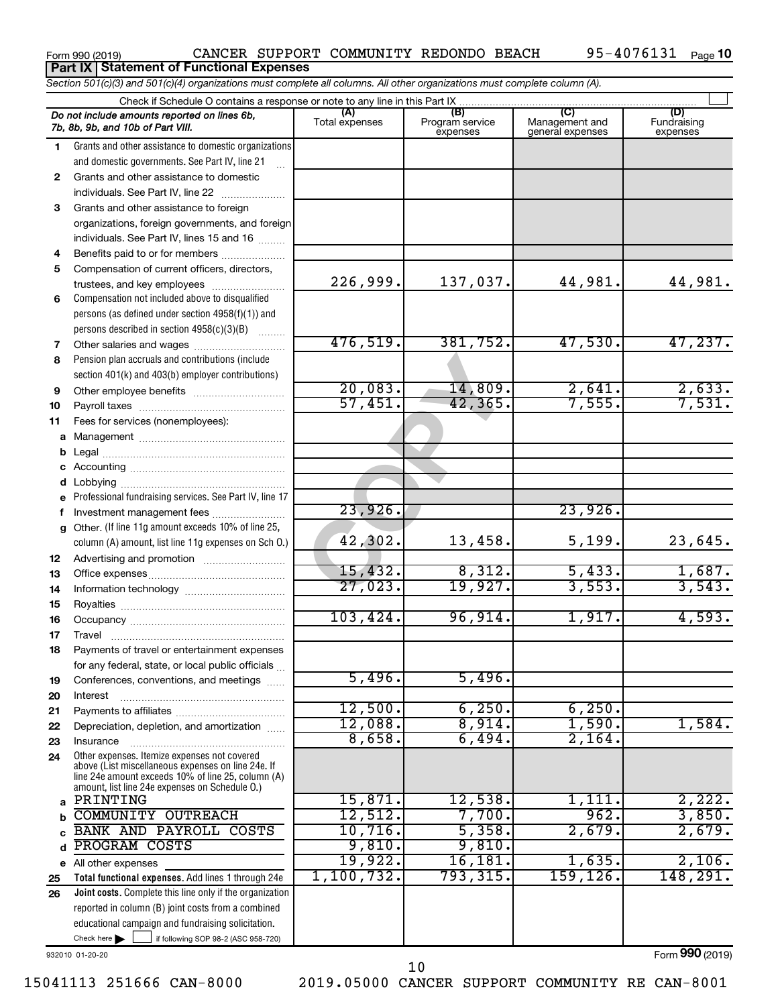| Form 990 (2019) |  |
|-----------------|--|
|-----------------|--|

|    | Section 501(c)(3) and 501(c)(4) organizations must complete all columns. All other organizations must complete column (A).                                                                                 |                       |                                    |                                    |                                |
|----|------------------------------------------------------------------------------------------------------------------------------------------------------------------------------------------------------------|-----------------------|------------------------------------|------------------------------------|--------------------------------|
|    | Check if Schedule O contains a response or note to any line in this Part IX                                                                                                                                |                       |                                    |                                    |                                |
|    | Do not include amounts reported on lines 6b,<br>7b, 8b, 9b, and 10b of Part VIII.                                                                                                                          | (A)<br>Total expenses | (B)<br>Program service<br>expenses | Management and<br>general expenses | (D)<br>Fundraising<br>expenses |
| 1. | Grants and other assistance to domestic organizations                                                                                                                                                      |                       |                                    |                                    |                                |
|    | and domestic governments. See Part IV, line 21                                                                                                                                                             |                       |                                    |                                    |                                |
| 2  | Grants and other assistance to domestic                                                                                                                                                                    |                       |                                    |                                    |                                |
|    | individuals. See Part IV, line 22                                                                                                                                                                          |                       |                                    |                                    |                                |
| 3  | Grants and other assistance to foreign                                                                                                                                                                     |                       |                                    |                                    |                                |
|    | organizations, foreign governments, and foreign                                                                                                                                                            |                       |                                    |                                    |                                |
|    | individuals. See Part IV, lines 15 and 16                                                                                                                                                                  |                       |                                    |                                    |                                |
| 4  | Benefits paid to or for members                                                                                                                                                                            |                       |                                    |                                    |                                |
| 5  | Compensation of current officers, directors,                                                                                                                                                               |                       |                                    |                                    |                                |
|    | trustees, and key employees                                                                                                                                                                                | 226,999.              | 137,037.                           | 44,981.                            | 44,981.                        |
| 6  | Compensation not included above to disqualified                                                                                                                                                            |                       |                                    |                                    |                                |
|    | persons (as defined under section 4958(f)(1)) and                                                                                                                                                          |                       |                                    |                                    |                                |
|    | persons described in section 4958(c)(3)(B)                                                                                                                                                                 | 476,519.              | 381,752.                           | 47,530.                            | 47,237.                        |
| 7  | Other salaries and wages                                                                                                                                                                                   |                       |                                    |                                    |                                |
| 8  | Pension plan accruals and contributions (include                                                                                                                                                           |                       |                                    |                                    |                                |
|    | section 401(k) and 403(b) employer contributions)                                                                                                                                                          | 20,083.               | 14,809.                            | 2,641                              |                                |
| 9  | Other employee benefits                                                                                                                                                                                    | 57,451.               | 42, 365.                           | 7,555.                             | $\frac{2,633}{7,531}$          |
| 10 |                                                                                                                                                                                                            |                       |                                    |                                    |                                |
| 11 | Fees for services (nonemployees):                                                                                                                                                                          |                       |                                    |                                    |                                |
| a  |                                                                                                                                                                                                            |                       |                                    |                                    |                                |
| b  |                                                                                                                                                                                                            |                       |                                    |                                    |                                |
| d  |                                                                                                                                                                                                            |                       |                                    |                                    |                                |
|    | Professional fundraising services. See Part IV, line 17                                                                                                                                                    |                       |                                    |                                    |                                |
| f  | Investment management fees                                                                                                                                                                                 | 23,926.               |                                    | 23,926.                            |                                |
| a  | Other. (If line 11g amount exceeds 10% of line 25,                                                                                                                                                         |                       |                                    |                                    |                                |
|    | column (A) amount, list line 11g expenses on Sch O.)                                                                                                                                                       | 42,302.               | 13,458.                            | 5,199.                             | 23,645.                        |
| 12 |                                                                                                                                                                                                            |                       |                                    |                                    |                                |
| 13 |                                                                                                                                                                                                            | 15,432.               | 8,312.                             | 5,433.                             |                                |
| 14 |                                                                                                                                                                                                            | 27,023.               | 19,927.                            | 3,553.                             | $\frac{1,687}{3,543}$ .        |
| 15 |                                                                                                                                                                                                            |                       |                                    |                                    |                                |
| 16 |                                                                                                                                                                                                            | 103,424.              | 96,914.                            | 1,917.                             | 4,593.                         |
| 17 |                                                                                                                                                                                                            |                       |                                    |                                    |                                |
| 18 | Payments of travel or entertainment expenses                                                                                                                                                               |                       |                                    |                                    |                                |
|    | for any federal, state, or local public officials                                                                                                                                                          |                       |                                    |                                    |                                |
| 19 | Conferences, conventions, and meetings                                                                                                                                                                     | 5,496.                | 5,496.                             |                                    |                                |
| 20 | Interest                                                                                                                                                                                                   |                       |                                    |                                    |                                |
| 21 |                                                                                                                                                                                                            | 12,500.               | 6, 250.                            | 6,250.                             |                                |
| 22 | Depreciation, depletion, and amortization                                                                                                                                                                  | 12,088.               | 8,914.                             | 1,590.                             | 1,584.                         |
| 23 | Insurance                                                                                                                                                                                                  | 8,658.                | 6,494.                             | 2,164.                             |                                |
| 24 | Other expenses. Itemize expenses not covered<br>above (List miscellaneous expenses on line 24e. If<br>line 24e amount exceeds 10% of line 25, column (A)<br>amount, list line 24e expenses on Schedule O.) |                       |                                    |                                    |                                |
| a  | PRINTING                                                                                                                                                                                                   | 15,871.               | 12,538.                            | 1,111.                             | 2,222.                         |
| b  | <b>COMMUNITY OUTREACH</b>                                                                                                                                                                                  | 12,512.               | 7,700.                             | 962.                               | 3,850.                         |
| C  | BANK AND PAYROLL COSTS                                                                                                                                                                                     | 10,716.               | 5,358.                             | 2,679.                             | 2,679.                         |
| d  | PROGRAM COSTS                                                                                                                                                                                              | 9,810.                | 9,810.                             |                                    |                                |
|    | e All other expenses                                                                                                                                                                                       | 19,922.               | 16, 181.                           | 1,635.                             | 2,106.                         |
| 25 | Total functional expenses. Add lines 1 through 24e                                                                                                                                                         | 1, 100, 732.          | 793,315.                           | 159,126.                           | 148, 291.                      |
| 26 | Joint costs. Complete this line only if the organization                                                                                                                                                   |                       |                                    |                                    |                                |
|    | reported in column (B) joint costs from a combined                                                                                                                                                         |                       |                                    |                                    |                                |
|    | educational campaign and fundraising solicitation.                                                                                                                                                         |                       |                                    |                                    |                                |
|    | Check here $\blacktriangleright$<br>if following SOP 98-2 (ASC 958-720)                                                                                                                                    |                       |                                    |                                    |                                |

932010 01-20-20

Form (2019) **990**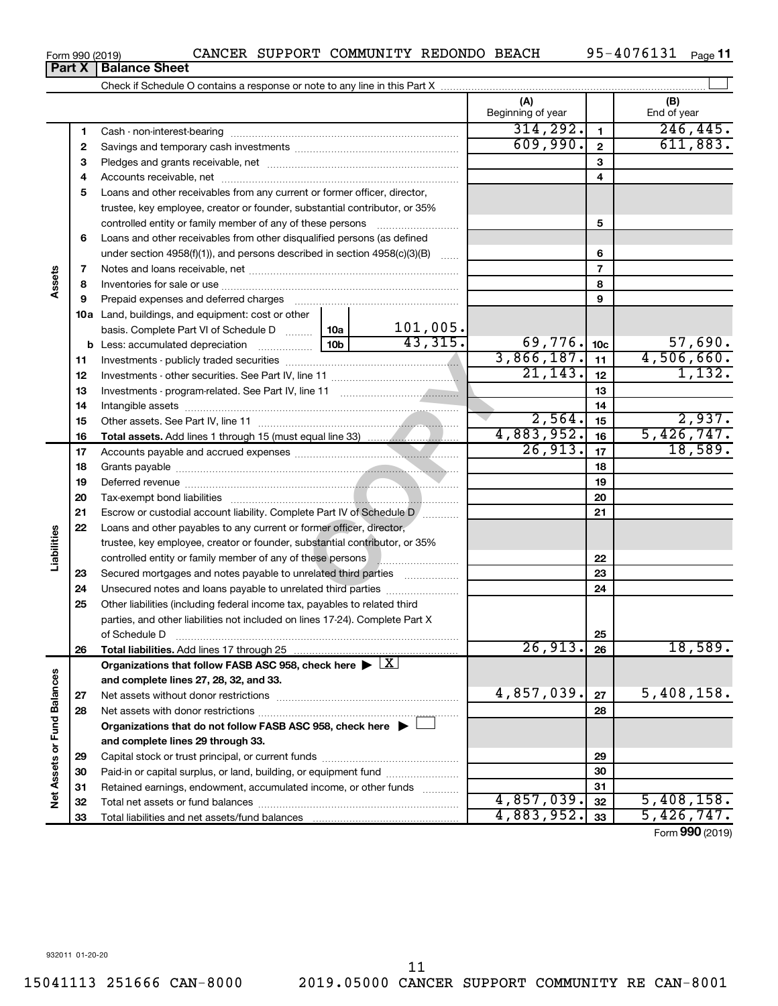Form 990 (2019) CANCER SUPPORT COMMUNITY REDONDO BEACH 95-4076131 Page

95-4076131 Page 11

 $\perp$ 

Form (2019) **990**

| U 19)                                                                      | CANCER SOFFORI COMMONITI REDONDO DEACH |  |  |  | JJ = 10 / 0 1 J 1 | ⊩a |  |  |  |  |
|----------------------------------------------------------------------------|----------------------------------------|--|--|--|-------------------|----|--|--|--|--|
| <b>Balance Sheet</b>                                                       |                                        |  |  |  |                   |    |  |  |  |  |
| Check if Schedule O contains a response or note to any line in this Part X |                                        |  |  |  |                   |    |  |  |  |  |
|                                                                            |                                        |  |  |  |                   |    |  |  |  |  |

|                             |    |                                                                                      |                 |             | (A)<br>Beginning of year |                 | (B)<br>End of year |
|-----------------------------|----|--------------------------------------------------------------------------------------|-----------------|-------------|--------------------------|-----------------|--------------------|
|                             | 1  |                                                                                      |                 |             | 314, 292.                | $\mathbf{1}$    | 246, 445.          |
|                             | 2  |                                                                                      |                 |             | 609,990.                 | $\mathbf{2}$    | 611,883.           |
|                             | з  |                                                                                      |                 |             |                          | 3               |                    |
|                             | 4  |                                                                                      |                 |             |                          | 4               |                    |
|                             | 5  | Loans and other receivables from any current or former officer, director,            |                 |             |                          |                 |                    |
|                             |    | trustee, key employee, creator or founder, substantial contributor, or 35%           |                 |             |                          |                 |                    |
|                             |    | controlled entity or family member of any of these persons                           |                 |             |                          | 5               |                    |
|                             | 6  | Loans and other receivables from other disqualified persons (as defined              |                 |             |                          |                 |                    |
|                             |    | under section 4958(f)(1)), and persons described in section 4958(c)(3)(B)            |                 | $\sim$      |                          | 6               |                    |
|                             | 7  |                                                                                      |                 |             |                          | $\overline{7}$  |                    |
| Assets                      | 8  |                                                                                      |                 |             |                          | 8               |                    |
|                             | 9  | Prepaid expenses and deferred charges                                                |                 |             |                          | 9               |                    |
|                             |    | 10a Land, buildings, and equipment: cost or other                                    |                 |             |                          |                 |                    |
|                             |    | basis. Complete Part VI of Schedule D $\ldots$   10a                                 |                 | $101,005$ . |                          |                 |                    |
|                             |    | <b>b</b> Less: accumulated depreciation                                              | 10 <sub>b</sub> | 43,315.     | 69,776.                  | 10 <sub>c</sub> | 57,690.            |
|                             | 11 |                                                                                      | 3,866,187.      | 11          | 4,506,660.               |                 |                    |
|                             | 12 |                                                                                      | 21, 143.        | 12          | 1,132.                   |                 |                    |
|                             | 13 |                                                                                      |                 | 13          |                          |                 |                    |
|                             | 14 |                                                                                      |                 | 14          |                          |                 |                    |
|                             | 15 |                                                                                      | 2,564.          | 15          | 2,937.                   |                 |                    |
|                             | 16 |                                                                                      |                 |             | 4,883,952.               | 16              | 5,426,747.         |
|                             | 17 |                                                                                      |                 |             | 26,913.                  | 17              | 18,589.            |
|                             | 18 |                                                                                      |                 | 18          |                          |                 |                    |
|                             | 19 |                                                                                      |                 | 19          |                          |                 |                    |
|                             | 20 |                                                                                      |                 | 20          |                          |                 |                    |
|                             | 21 | Escrow or custodial account liability. Complete Part IV of Schedule D [              |                 | 21          |                          |                 |                    |
|                             | 22 | Loans and other payables to any current or former officer, director,                 |                 |             |                          |                 |                    |
| Liabilities                 |    | trustee, key employee, creator or founder, substantial contributor, or 35%           |                 |             |                          |                 |                    |
|                             |    | controlled entity or family member of any of these persons <b>with an example 20</b> |                 |             |                          | 22              |                    |
|                             | 23 | Secured mortgages and notes payable to unrelated third parties                       |                 |             |                          | 23              |                    |
|                             | 24 | Unsecured notes and loans payable to unrelated third parties                         |                 |             |                          | 24              |                    |
|                             | 25 | Other liabilities (including federal income tax, payables to related third           |                 |             |                          |                 |                    |
|                             |    | parties, and other liabilities not included on lines 17-24). Complete Part X         |                 |             |                          |                 |                    |
|                             |    | of Schedule D                                                                        |                 |             |                          | 25              |                    |
|                             | 26 |                                                                                      |                 |             | 26,913.                  | 26              | 18,589.            |
|                             |    | Organizations that follow FASB ASC 958, check here >                                 |                 | X           |                          |                 |                    |
|                             |    | and complete lines 27, 28, 32, and 33.                                               |                 |             | 4,857,039.               |                 |                    |
|                             | 27 | Net assets without donor restrictions                                                |                 |             |                          | 27              | 5,408,158.         |
|                             | 28 |                                                                                      |                 |             |                          | 28              |                    |
|                             |    | Organizations that do not follow FASB ASC 958, check here $\blacktriangleright$      |                 |             |                          |                 |                    |
|                             |    | and complete lines 29 through 33.                                                    |                 |             |                          |                 |                    |
|                             | 29 |                                                                                      |                 | 29          |                          |                 |                    |
|                             | 30 | Paid-in or capital surplus, or land, building, or equipment fund                     |                 |             |                          | 30              |                    |
| Net Assets or Fund Balances | 31 | Retained earnings, endowment, accumulated income, or other funds                     | 4,857,039.      | 31          | 5,408,158.               |                 |                    |
|                             | 32 |                                                                                      | 4,883,952.      | 32          | 5,426,747.               |                 |                    |
|                             | 33 |                                                                                      |                 |             |                          | 33              |                    |

**Part X** | **Bal**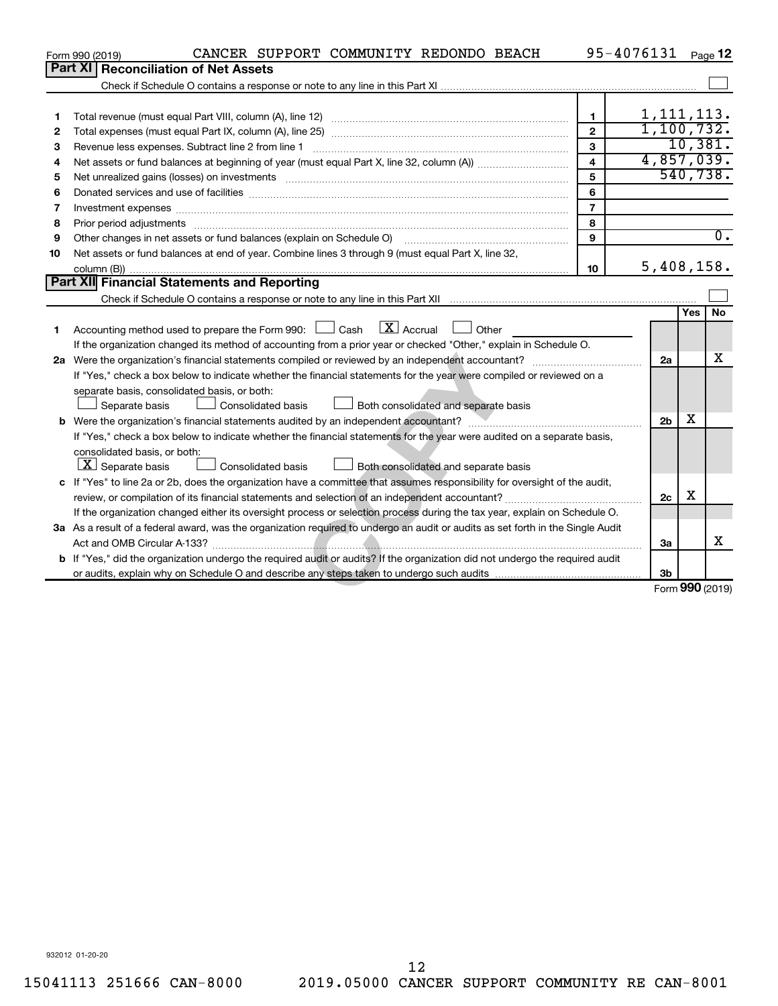|    | CANCER SUPPORT COMMUNITY REDONDO BEACH<br>Form 990 (2019)                                                                                                                                                                      |                         | 95-4076131 Page 12 |            |                  |
|----|--------------------------------------------------------------------------------------------------------------------------------------------------------------------------------------------------------------------------------|-------------------------|--------------------|------------|------------------|
|    | Part XI   Reconciliation of Net Assets                                                                                                                                                                                         |                         |                    |            |                  |
|    |                                                                                                                                                                                                                                |                         |                    |            |                  |
|    |                                                                                                                                                                                                                                |                         |                    |            |                  |
| 1  |                                                                                                                                                                                                                                | $\mathbf{1}$            | 1, 111, 113.       |            |                  |
| 2  |                                                                                                                                                                                                                                | $\overline{2}$          | 1, 100, 732.       |            |                  |
| 3  |                                                                                                                                                                                                                                | 3                       |                    |            | 10,381.          |
| 4  |                                                                                                                                                                                                                                | $\overline{\mathbf{4}}$ | 4,857,039.         |            |                  |
| 5  |                                                                                                                                                                                                                                | 5                       |                    |            | 540, 738.        |
| 6  |                                                                                                                                                                                                                                | 6                       |                    |            |                  |
| 7  | Investment expenses [[11] https://www.facebook.com/www.facebook.com/www.facebook.com/www.facebook.com/www.facebook.com/www.facebook.com/www.facebook.com/www.facebook.com/www.facebook.com/www.facebook.com/www.facebook.com/w | $\overline{7}$          |                    |            |                  |
| 8  | Prior period adjustments www.communication.communication.com/news/communication.com/news/communication.com/news/                                                                                                               | 8                       |                    |            |                  |
| 9  | Other changes in net assets or fund balances (explain on Schedule O)                                                                                                                                                           | 9                       |                    |            | $\overline{0}$ . |
| 10 | Net assets or fund balances at end of year. Combine lines 3 through 9 (must equal Part X, line 32,                                                                                                                             |                         |                    |            |                  |
|    |                                                                                                                                                                                                                                | 10                      | 5,408,158.         |            |                  |
|    | Part XII Financial Statements and Reporting                                                                                                                                                                                    |                         |                    |            |                  |
|    |                                                                                                                                                                                                                                |                         |                    |            |                  |
|    | $\mathbf{X}$ Accrual                                                                                                                                                                                                           |                         |                    | <b>Yes</b> | No               |
| 1  | Accounting method used to prepare the Form 990: [130] Cash<br>Other                                                                                                                                                            |                         |                    |            |                  |
|    | If the organization changed its method of accounting from a prior year or checked "Other," explain in Schedule O.                                                                                                              |                         |                    |            | x                |
|    |                                                                                                                                                                                                                                |                         | 2a                 |            |                  |
|    | If "Yes," check a box below to indicate whether the financial statements for the year were compiled or reviewed on a                                                                                                           |                         |                    |            |                  |
|    | separate basis, consolidated basis, or both:                                                                                                                                                                                   |                         |                    |            |                  |
|    | Separate basis<br><b>Consolidated basis</b><br>Both consolidated and separate basis                                                                                                                                            |                         | 2 <sub>b</sub>     | x          |                  |
|    | If "Yes," check a box below to indicate whether the financial statements for the year were audited on a separate basis,                                                                                                        |                         |                    |            |                  |
|    | consolidated basis, or both:                                                                                                                                                                                                   |                         |                    |            |                  |
|    | $\boxed{\textbf{X}}$ Separate basis<br>Consolidated basis<br>Both consolidated and separate basis                                                                                                                              |                         |                    |            |                  |
|    | c If "Yes" to line 2a or 2b, does the organization have a committee that assumes responsibility for oversight of the audit,                                                                                                    |                         |                    |            |                  |
|    | review, or compilation of its financial statements and selection of an independent accountant?                                                                                                                                 |                         | 2c                 | х          |                  |
|    | If the organization changed either its oversight process or selection process during the tax year, explain on Schedule O.                                                                                                      |                         |                    |            |                  |
|    | 3a As a result of a federal award, was the organization required to undergo an audit or audits as set forth in the Single Audit                                                                                                |                         |                    |            |                  |
|    |                                                                                                                                                                                                                                |                         | 3a                 |            | х                |
|    | b If "Yes," did the organization undergo the required audit or audits? If the organization did not undergo the required audit                                                                                                  |                         |                    |            |                  |
|    |                                                                                                                                                                                                                                |                         | 3 <sub>b</sub>     |            |                  |
|    |                                                                                                                                                                                                                                |                         |                    |            | Form 990 (2019)  |
|    |                                                                                                                                                                                                                                |                         |                    |            |                  |

932012 01-20-20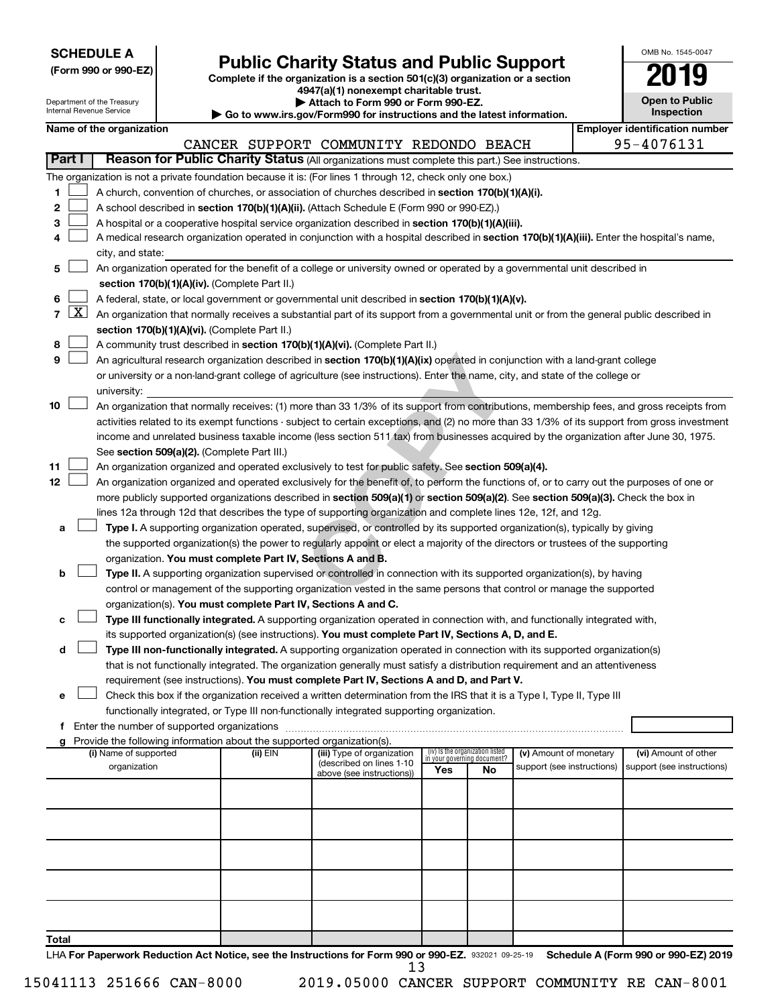| <b>SCHEDULE A</b> |  |
|-------------------|--|
|-------------------|--|

Department of the Treasury

# Form 990 or 990-EZ) **Public Charity Status and Public Support**<br>
Complete if the organization is a section 501(c)(3) organization or a section<br> **2019**

**4947(a)(1) nonexempt charitable trust.**

**| Attach to Form 990 or Form 990-EZ.** 

| OMB No. 1545-0047                   |
|-------------------------------------|
| '019                                |
| <b>Open to Public</b><br>Inspection |

|       |                 | Internal Revenue Service |                                                                          | Go to www.irs.gov/Form990 for instructions and the latest information.                                                                                                                                                   |                                                                |    |                            | Inspection                            |  |
|-------|-----------------|--------------------------|--------------------------------------------------------------------------|--------------------------------------------------------------------------------------------------------------------------------------------------------------------------------------------------------------------------|----------------------------------------------------------------|----|----------------------------|---------------------------------------|--|
|       |                 | Name of the organization |                                                                          |                                                                                                                                                                                                                          |                                                                |    |                            | <b>Employer identification number</b> |  |
|       |                 |                          |                                                                          | CANCER SUPPORT COMMUNITY REDONDO BEACH                                                                                                                                                                                   |                                                                |    |                            | 95-4076131                            |  |
|       | Part I          |                          |                                                                          | Reason for Public Charity Status (All organizations must complete this part.) See instructions.                                                                                                                          |                                                                |    |                            |                                       |  |
|       |                 |                          |                                                                          | The organization is not a private foundation because it is: (For lines 1 through 12, check only one box.)                                                                                                                |                                                                |    |                            |                                       |  |
| 1.    |                 |                          |                                                                          | A church, convention of churches, or association of churches described in section 170(b)(1)(A)(i).                                                                                                                       |                                                                |    |                            |                                       |  |
| 2     |                 |                          |                                                                          | A school described in section 170(b)(1)(A)(ii). (Attach Schedule E (Form 990 or 990-EZ).)                                                                                                                                |                                                                |    |                            |                                       |  |
| з     |                 |                          |                                                                          | A hospital or a cooperative hospital service organization described in section 170(b)(1)(A)(iii).                                                                                                                        |                                                                |    |                            |                                       |  |
| 4     |                 |                          |                                                                          | A medical research organization operated in conjunction with a hospital described in section 170(b)(1)(A)(iii). Enter the hospital's name,                                                                               |                                                                |    |                            |                                       |  |
|       |                 | city, and state:         |                                                                          |                                                                                                                                                                                                                          |                                                                |    |                            |                                       |  |
| 5     |                 |                          |                                                                          | An organization operated for the benefit of a college or university owned or operated by a governmental unit described in                                                                                                |                                                                |    |                            |                                       |  |
|       |                 |                          | section 170(b)(1)(A)(iv). (Complete Part II.)                            |                                                                                                                                                                                                                          |                                                                |    |                            |                                       |  |
| 6     |                 |                          |                                                                          | A federal, state, or local government or governmental unit described in section 170(b)(1)(A)(v).                                                                                                                         |                                                                |    |                            |                                       |  |
|       | $7 \mid X \mid$ |                          |                                                                          | An organization that normally receives a substantial part of its support from a governmental unit or from the general public described in                                                                                |                                                                |    |                            |                                       |  |
|       |                 |                          | section 170(b)(1)(A)(vi). (Complete Part II.)                            |                                                                                                                                                                                                                          |                                                                |    |                            |                                       |  |
| 8     |                 |                          |                                                                          | A community trust described in section 170(b)(1)(A)(vi). (Complete Part II.)                                                                                                                                             |                                                                |    |                            |                                       |  |
| 9     |                 |                          |                                                                          | An agricultural research organization described in section 170(b)(1)(A)(ix) operated in conjunction with a land-grant college                                                                                            |                                                                |    |                            |                                       |  |
|       |                 |                          |                                                                          | or university or a non-land-grant college of agriculture (see instructions). Enter the name, city, and state of the college or                                                                                           |                                                                |    |                            |                                       |  |
|       |                 | university:              |                                                                          |                                                                                                                                                                                                                          |                                                                |    |                            |                                       |  |
| 10    |                 |                          |                                                                          | An organization that normally receives: (1) more than 33 1/3% of its support from contributions, membership fees, and gross receipts from                                                                                |                                                                |    |                            |                                       |  |
|       |                 |                          |                                                                          | activities related to its exempt functions - subject to certain exceptions, and (2) no more than 33 1/3% of its support from gross investment                                                                            |                                                                |    |                            |                                       |  |
|       |                 |                          |                                                                          | income and unrelated business taxable income (less section 511 tax) from businesses acquired by the organization after June 30, 1975.                                                                                    |                                                                |    |                            |                                       |  |
|       |                 |                          | See section 509(a)(2). (Complete Part III.)                              |                                                                                                                                                                                                                          |                                                                |    |                            |                                       |  |
| 11    |                 |                          |                                                                          | An organization organized and operated exclusively to test for public safety. See section 509(a)(4).                                                                                                                     |                                                                |    |                            |                                       |  |
| 12    |                 |                          |                                                                          | An organization organized and operated exclusively for the benefit of, to perform the functions of, or to carry out the purposes of one or                                                                               |                                                                |    |                            |                                       |  |
|       |                 |                          |                                                                          | more publicly supported organizations described in section 509(a)(1) or section 509(a)(2). See section 509(a)(3). Check the box in                                                                                       |                                                                |    |                            |                                       |  |
|       |                 |                          |                                                                          | lines 12a through 12d that describes the type of supporting organization and complete lines 12e, 12f, and 12g.                                                                                                           |                                                                |    |                            |                                       |  |
| a     |                 |                          |                                                                          | Type I. A supporting organization operated, supervised, or controlled by its supported organization(s), typically by giving                                                                                              |                                                                |    |                            |                                       |  |
|       |                 |                          |                                                                          | the supported organization(s) the power to regularly appoint or elect a majority of the directors or trustees of the supporting                                                                                          |                                                                |    |                            |                                       |  |
|       |                 |                          | organization. You must complete Part IV, Sections A and B.               |                                                                                                                                                                                                                          |                                                                |    |                            |                                       |  |
| b     |                 |                          |                                                                          | Type II. A supporting organization supervised or controlled in connection with its supported organization(s), by having                                                                                                  |                                                                |    |                            |                                       |  |
|       |                 |                          |                                                                          | control or management of the supporting organization vested in the same persons that control or manage the supported                                                                                                     |                                                                |    |                            |                                       |  |
|       |                 |                          | organization(s). You must complete Part IV, Sections A and C.            |                                                                                                                                                                                                                          |                                                                |    |                            |                                       |  |
| с     |                 |                          |                                                                          | Type III functionally integrated. A supporting organization operated in connection with, and functionally integrated with,                                                                                               |                                                                |    |                            |                                       |  |
|       |                 |                          |                                                                          | its supported organization(s) (see instructions). You must complete Part IV, Sections A, D, and E.                                                                                                                       |                                                                |    |                            |                                       |  |
| d     |                 |                          |                                                                          | Type III non-functionally integrated. A supporting organization operated in connection with its supported organization(s)                                                                                                |                                                                |    |                            |                                       |  |
|       |                 |                          |                                                                          | that is not functionally integrated. The organization generally must satisfy a distribution requirement and an attentiveness<br>requirement (see instructions). You must complete Part IV, Sections A and D, and Part V. |                                                                |    |                            |                                       |  |
| е     |                 |                          |                                                                          | Check this box if the organization received a written determination from the IRS that it is a Type I, Type II, Type III                                                                                                  |                                                                |    |                            |                                       |  |
|       |                 |                          |                                                                          | functionally integrated, or Type III non-functionally integrated supporting organization.                                                                                                                                |                                                                |    |                            |                                       |  |
|       |                 |                          |                                                                          |                                                                                                                                                                                                                          |                                                                |    |                            |                                       |  |
|       |                 |                          | g Provide the following information about the supported organization(s). |                                                                                                                                                                                                                          |                                                                |    |                            |                                       |  |
|       |                 | (i) Name of supported    | (ii) EIN                                                                 | (iii) Type of organization                                                                                                                                                                                               | (iv) Is the organization listed<br>in your governing document? |    | (v) Amount of monetary     | (vi) Amount of other                  |  |
|       |                 | organization             |                                                                          | (described on lines 1-10<br>above (see instructions))                                                                                                                                                                    | Yes                                                            | No | support (see instructions) | support (see instructions)            |  |
|       |                 |                          |                                                                          |                                                                                                                                                                                                                          |                                                                |    |                            |                                       |  |
|       |                 |                          |                                                                          |                                                                                                                                                                                                                          |                                                                |    |                            |                                       |  |
|       |                 |                          |                                                                          |                                                                                                                                                                                                                          |                                                                |    |                            |                                       |  |
|       |                 |                          |                                                                          |                                                                                                                                                                                                                          |                                                                |    |                            |                                       |  |
|       |                 |                          |                                                                          |                                                                                                                                                                                                                          |                                                                |    |                            |                                       |  |
|       |                 |                          |                                                                          |                                                                                                                                                                                                                          |                                                                |    |                            |                                       |  |
|       |                 |                          |                                                                          |                                                                                                                                                                                                                          |                                                                |    |                            |                                       |  |
|       |                 |                          |                                                                          |                                                                                                                                                                                                                          |                                                                |    |                            |                                       |  |
|       |                 |                          |                                                                          |                                                                                                                                                                                                                          |                                                                |    |                            |                                       |  |
|       |                 |                          |                                                                          |                                                                                                                                                                                                                          |                                                                |    |                            |                                       |  |
| Total |                 |                          |                                                                          |                                                                                                                                                                                                                          |                                                                |    |                            |                                       |  |

LHA For Paperwork Reduction Act Notice, see the Instructions for Form 990 or 990-EZ. 932021 09-25-19 Schedule A (Form 990 or 990-EZ) 2019 13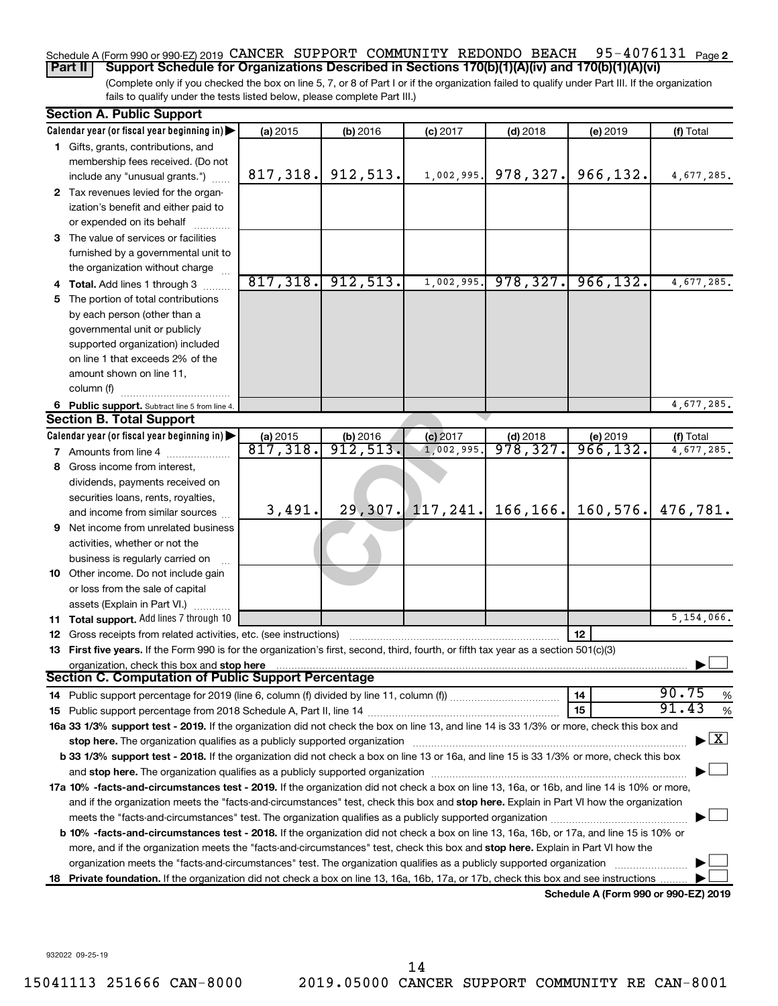### 95-4076131 Page 2 Schedule A (Form 990 or 990-EZ) 2019 CANCER SUPPORT COMMUNITY REDONDO BEACH 95-4076131 Page **Part II Support Schedule for Organizations Described in Sections 170(b)(1)(A)(iv) and 170(b)(1)(A)(vi)**

(Complete only if you checked the box on line 5, 7, or 8 of Part I or if the organization failed to qualify under Part III. If the organization fails to qualify under the tests listed below, please complete Part III.)

|    | <b>Section A. Public Support</b>                                                                                                           |                                |          |            |                       |                                      |                 |
|----|--------------------------------------------------------------------------------------------------------------------------------------------|--------------------------------|----------|------------|-----------------------|--------------------------------------|-----------------|
|    | Calendar year (or fiscal year beginning in)                                                                                                | (a) 2015                       | (b) 2016 | $(c)$ 2017 | $(d)$ 2018            | (e) 2019                             | (f) Total       |
|    | 1 Gifts, grants, contributions, and                                                                                                        |                                |          |            |                       |                                      |                 |
|    | membership fees received. (Do not                                                                                                          |                                |          |            |                       |                                      |                 |
|    | include any "unusual grants.")                                                                                                             | 817, 318.                      | 912,513. | 1,002,995. | 978, 327.             | 966,132.                             | 4,677,285.      |
|    | 2 Tax revenues levied for the organ-                                                                                                       |                                |          |            |                       |                                      |                 |
|    | ization's benefit and either paid to                                                                                                       |                                |          |            |                       |                                      |                 |
|    | or expended on its behalf                                                                                                                  |                                |          |            |                       |                                      |                 |
|    | 3 The value of services or facilities                                                                                                      |                                |          |            |                       |                                      |                 |
|    | furnished by a governmental unit to                                                                                                        |                                |          |            |                       |                                      |                 |
|    | the organization without charge                                                                                                            |                                |          |            |                       |                                      |                 |
|    | 4 Total. Add lines 1 through 3                                                                                                             | 817,318.                       | 912,513. | 1,002,995. | 978, 327.             | 966, 132.                            | 4,677,285.      |
|    | 5 The portion of total contributions                                                                                                       |                                |          |            |                       |                                      |                 |
|    | by each person (other than a                                                                                                               |                                |          |            |                       |                                      |                 |
|    | governmental unit or publicly                                                                                                              |                                |          |            |                       |                                      |                 |
|    | supported organization) included                                                                                                           |                                |          |            |                       |                                      |                 |
|    | on line 1 that exceeds 2% of the                                                                                                           |                                |          |            |                       |                                      |                 |
|    | amount shown on line 11,                                                                                                                   |                                |          |            |                       |                                      |                 |
|    | column (f)                                                                                                                                 |                                |          |            |                       |                                      |                 |
|    | 6 Public support. Subtract line 5 from line 4.                                                                                             |                                |          |            |                       |                                      | 4,677,285.      |
|    | <b>Section B. Total Support</b>                                                                                                            |                                |          |            |                       |                                      |                 |
|    | Calendar year (or fiscal year beginning in)                                                                                                | $\frac{$ (a) 2015<br>817, 318. | (b) 2016 | $(c)$ 2017 | (d) 2018<br>978, 327. | (e) 2019                             | (f) Total       |
|    | <b>7</b> Amounts from line 4                                                                                                               |                                | 912,513. | 1,002,995  |                       | 966, 132.                            | 4,677,285.      |
| 8  | Gross income from interest,                                                                                                                |                                |          |            |                       |                                      |                 |
|    | dividends, payments received on                                                                                                            |                                |          |            |                       |                                      |                 |
|    | securities loans, rents, royalties,                                                                                                        |                                |          |            |                       |                                      |                 |
|    | and income from similar sources                                                                                                            | 3,491.                         | 29, 307. |            | $117, 241.$ 166, 166. | 160, 576.                            | 476,781.        |
|    | <b>9</b> Net income from unrelated business                                                                                                |                                |          |            |                       |                                      |                 |
|    | activities, whether or not the                                                                                                             |                                |          |            |                       |                                      |                 |
|    | business is regularly carried on                                                                                                           |                                |          |            |                       |                                      |                 |
|    | 10 Other income. Do not include gain                                                                                                       |                                |          |            |                       |                                      |                 |
|    | or loss from the sale of capital                                                                                                           |                                |          |            |                       |                                      |                 |
|    | assets (Explain in Part VI.)                                                                                                               |                                |          |            |                       |                                      |                 |
|    | <b>11 Total support.</b> Add lines 7 through 10                                                                                            |                                |          |            |                       |                                      | 5,154,066.      |
|    | 12 Gross receipts from related activities, etc. (see instructions)                                                                         |                                |          |            |                       | 12                                   |                 |
|    | 13 First five years. If the Form 990 is for the organization's first, second, third, fourth, or fifth tax year as a section 501(c)(3)      |                                |          |            |                       |                                      |                 |
|    | organization, check this box and stop here<br><b>Section C. Computation of Public Support Percentage</b>                                   |                                |          |            |                       |                                      |                 |
|    |                                                                                                                                            |                                |          |            |                       | 14                                   | 90.75           |
|    |                                                                                                                                            |                                |          |            |                       | 15                                   | %<br>91.43<br>% |
|    | 16a 33 1/3% support test - 2019. If the organization did not check the box on line 13, and line 14 is 33 1/3% or more, check this box and  |                                |          |            |                       |                                      |                 |
|    | stop here. The organization qualifies as a publicly supported organization                                                                 |                                |          |            |                       |                                      | $\mathbf{X}$    |
|    | b 33 1/3% support test - 2018. If the organization did not check a box on line 13 or 16a, and line 15 is 33 1/3% or more, check this box   |                                |          |            |                       |                                      |                 |
|    |                                                                                                                                            |                                |          |            |                       |                                      |                 |
|    | 17a 10% -facts-and-circumstances test - 2019. If the organization did not check a box on line 13, 16a, or 16b, and line 14 is 10% or more, |                                |          |            |                       |                                      |                 |
|    | and if the organization meets the "facts-and-circumstances" test, check this box and stop here. Explain in Part VI how the organization    |                                |          |            |                       |                                      |                 |
|    |                                                                                                                                            |                                |          |            |                       |                                      |                 |
|    | b 10% -facts-and-circumstances test - 2018. If the organization did not check a box on line 13, 16a, 16b, or 17a, and line 15 is 10% or    |                                |          |            |                       |                                      |                 |
|    | more, and if the organization meets the "facts-and-circumstances" test, check this box and stop here. Explain in Part VI how the           |                                |          |            |                       |                                      |                 |
|    | organization meets the "facts-and-circumstances" test. The organization qualifies as a publicly supported organization                     |                                |          |            |                       |                                      |                 |
| 18 | Private foundation. If the organization did not check a box on line 13, 16a, 16b, 17a, or 17b, check this box and see instructions         |                                |          |            |                       |                                      |                 |
|    |                                                                                                                                            |                                |          |            |                       | Schedule A (Form 990 or 990-EZ) 2019 |                 |

932022 09-25-19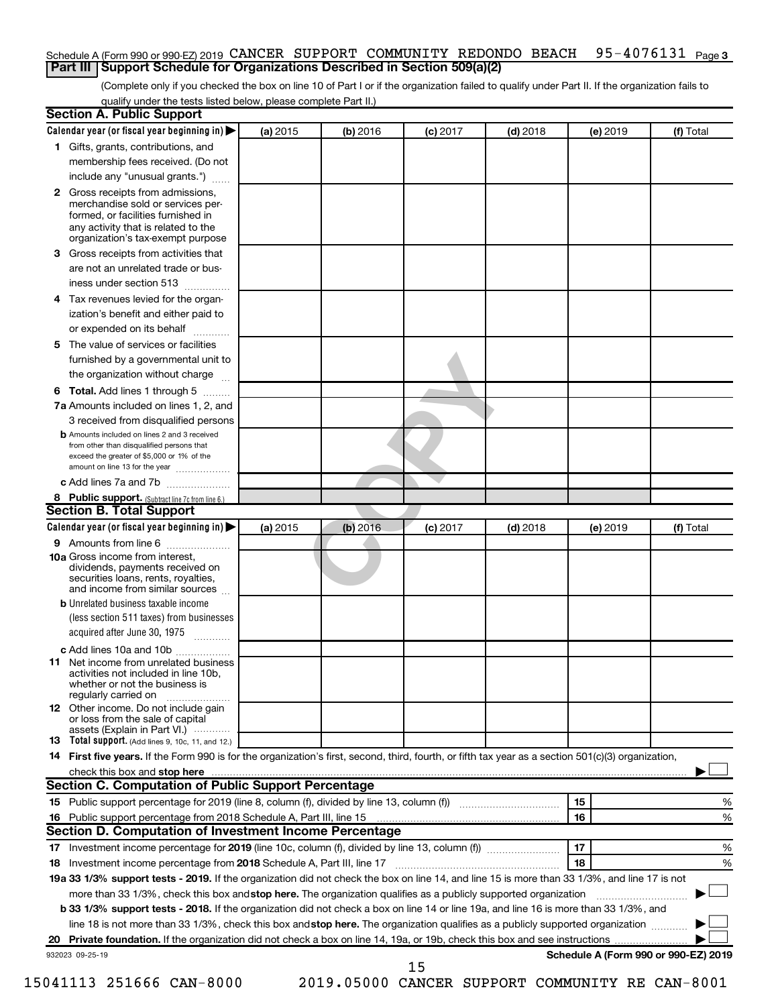### 95-4076131 Page 3 Schedule A (Form 990 or 990-EZ) 2019 CANCER SUPPORT COMMUNITY REDONDO BEACH 95-4076131 Page **Part III Support Schedule for Organizations Described in Section 509(a)(2)**

(Complete only if you checked the box on line 10 of Part I or if the organization failed to qualify under Part II. If the organization fails to qualify under the tests listed below, please complete Part II.)

|    | <b>Section A. Public Support</b>                                                                                                                                                         |          |          |            |            |          |                                      |
|----|------------------------------------------------------------------------------------------------------------------------------------------------------------------------------------------|----------|----------|------------|------------|----------|--------------------------------------|
|    | Calendar year (or fiscal year beginning in)                                                                                                                                              | (a) 2015 | (b) 2016 | $(c)$ 2017 | $(d)$ 2018 | (e) 2019 | (f) Total                            |
|    | 1 Gifts, grants, contributions, and                                                                                                                                                      |          |          |            |            |          |                                      |
|    | membership fees received. (Do not                                                                                                                                                        |          |          |            |            |          |                                      |
|    | include any "unusual grants.")                                                                                                                                                           |          |          |            |            |          |                                      |
|    | 2 Gross receipts from admissions,<br>merchandise sold or services per-<br>formed, or facilities furnished in<br>any activity that is related to the<br>organization's tax-exempt purpose |          |          |            |            |          |                                      |
|    | 3 Gross receipts from activities that                                                                                                                                                    |          |          |            |            |          |                                      |
|    | are not an unrelated trade or bus-                                                                                                                                                       |          |          |            |            |          |                                      |
|    | iness under section 513                                                                                                                                                                  |          |          |            |            |          |                                      |
|    | 4 Tax revenues levied for the organ-                                                                                                                                                     |          |          |            |            |          |                                      |
|    | ization's benefit and either paid to                                                                                                                                                     |          |          |            |            |          |                                      |
|    | or expended on its behalf<br>.                                                                                                                                                           |          |          |            |            |          |                                      |
|    | 5 The value of services or facilities                                                                                                                                                    |          |          |            |            |          |                                      |
|    | furnished by a governmental unit to                                                                                                                                                      |          |          |            |            |          |                                      |
|    | the organization without charge                                                                                                                                                          |          |          |            |            |          |                                      |
|    | 6 Total. Add lines 1 through 5                                                                                                                                                           |          |          |            |            |          |                                      |
|    | 7a Amounts included on lines 1, 2, and                                                                                                                                                   |          |          |            |            |          |                                      |
|    | 3 received from disqualified persons                                                                                                                                                     |          |          |            |            |          |                                      |
|    | <b>b</b> Amounts included on lines 2 and 3 received<br>from other than disqualified persons that<br>exceed the greater of \$5,000 or 1% of the<br>amount on line 13 for the year         |          |          |            |            |          |                                      |
|    | c Add lines 7a and 7b                                                                                                                                                                    |          |          |            |            |          |                                      |
|    | 8 Public support. (Subtract line 7c from line 6.)                                                                                                                                        |          |          |            |            |          |                                      |
|    | <b>Section B. Total Support</b>                                                                                                                                                          |          |          |            |            |          |                                      |
|    | Calendar year (or fiscal year beginning in)                                                                                                                                              | (a) 2015 | (b) 2016 | $(c)$ 2017 | $(d)$ 2018 | (e) 2019 | (f) Total                            |
|    | <b>9</b> Amounts from line 6                                                                                                                                                             |          |          |            |            |          |                                      |
|    | <b>10a</b> Gross income from interest,<br>dividends, payments received on<br>securities loans, rents, royalties,<br>and income from similar sources                                      |          |          |            |            |          |                                      |
|    | <b>b</b> Unrelated business taxable income<br>(less section 511 taxes) from businesses<br>acquired after June 30, 1975                                                                   |          |          |            |            |          |                                      |
|    | c Add lines 10a and 10b                                                                                                                                                                  |          |          |            |            |          |                                      |
| 11 | Net income from unrelated business<br>activities not included in line 10b.<br>whether or not the business is<br>regularly carried on                                                     |          |          |            |            |          |                                      |
|    | <b>12</b> Other income. Do not include gain<br>or loss from the sale of capital<br>assets (Explain in Part VI.)                                                                          |          |          |            |            |          |                                      |
|    | <b>13</b> Total support. (Add lines 9, 10c, 11, and 12.)                                                                                                                                 |          |          |            |            |          |                                      |
|    | 14 First five years. If the Form 990 is for the organization's first, second, third, fourth, or fifth tax year as a section 501(c)(3) organization,                                      |          |          |            |            |          |                                      |
|    |                                                                                                                                                                                          |          |          |            |            |          |                                      |
|    | Section C. Computation of Public Support Percentage                                                                                                                                      |          |          |            |            |          |                                      |
|    | 15 Public support percentage for 2019 (line 8, column (f), divided by line 13, column (f) <i></i>                                                                                        |          |          |            |            | 15       | ℅                                    |
|    | 16 Public support percentage from 2018 Schedule A, Part III, line 15                                                                                                                     |          |          |            |            | 16       | %                                    |
|    | Section D. Computation of Investment Income Percentage                                                                                                                                   |          |          |            |            |          |                                      |
|    |                                                                                                                                                                                          |          |          |            |            | 17       | %                                    |
|    | 18 Investment income percentage from 2018 Schedule A, Part III, line 17                                                                                                                  |          |          |            |            | 18       | %                                    |
|    | 19a 33 1/3% support tests - 2019. If the organization did not check the box on line 14, and line 15 is more than 33 1/3%, and line 17 is not                                             |          |          |            |            |          |                                      |
|    | more than 33 1/3%, check this box and stop here. The organization qualifies as a publicly supported organization                                                                         |          |          |            |            |          |                                      |
|    | b 33 1/3% support tests - 2018. If the organization did not check a box on line 14 or line 19a, and line 16 is more than 33 1/3%, and                                                    |          |          |            |            |          |                                      |
|    | line 18 is not more than 33 1/3%, check this box and stop here. The organization qualifies as a publicly supported organization                                                          |          |          |            |            |          |                                      |
|    |                                                                                                                                                                                          |          |          |            |            |          |                                      |
|    | 932023 09-25-19                                                                                                                                                                          |          |          |            |            |          | Schedule A (Form 990 or 990-EZ) 2019 |
|    |                                                                                                                                                                                          |          |          | 15         |            |          |                                      |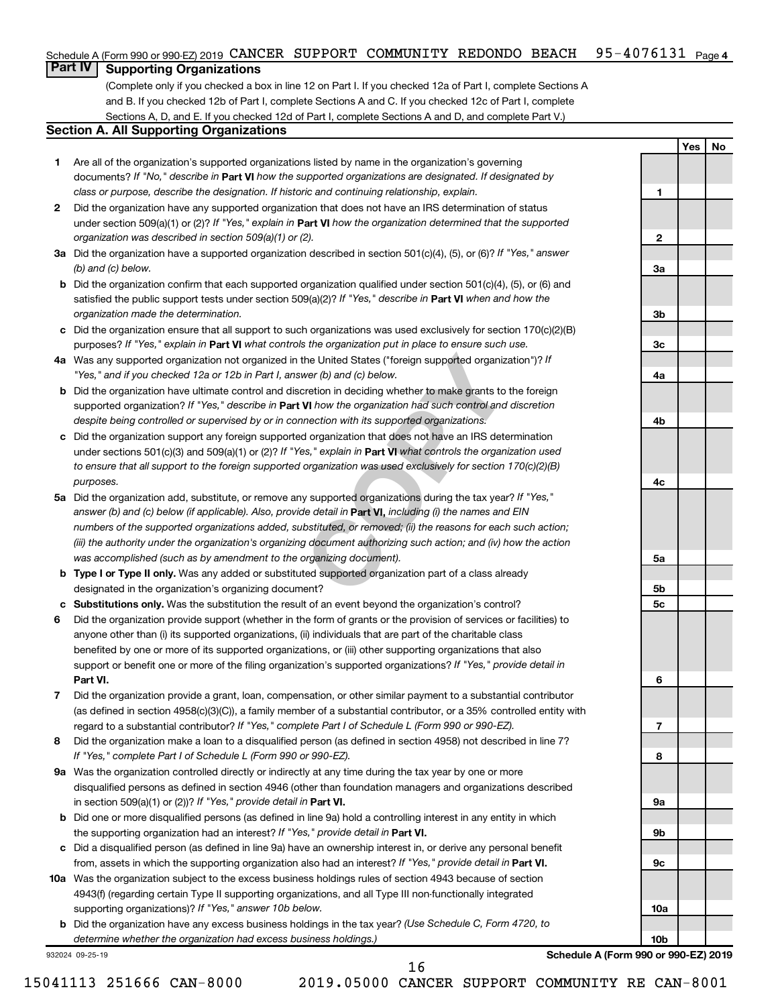## Schedule A (Form 990 or 990-EZ) 2019 CANCER SUPPORT COMMUNITY REDONDO BEACH 95-4076131 <sub>Page 4</sub>

## **Part IV Supporting Organizations**

(Complete only if you checked a box in line 12 on Part I. If you checked 12a of Part I, complete Sections A and B. If you checked 12b of Part I, complete Sections A and C. If you checked 12c of Part I, complete Sections A, D, and E. If you checked 12d of Part I, complete Sections A and D, and complete Part V.)

## **Section A. All Supporting Organizations**

- **1** Are all of the organization's supported organizations listed by name in the organization's governing documents? If "No," describe in Part VI how the supported organizations are designated. If designated by *class or purpose, describe the designation. If historic and continuing relationship, explain.*
- **2** Did the organization have any supported organization that does not have an IRS determination of status under section 509(a)(1) or (2)? If "Yes," explain in Part **VI** how the organization determined that the supported *organization was described in section 509(a)(1) or (2).*
- **3a** Did the organization have a supported organization described in section 501(c)(4), (5), or (6)? If "Yes," answer *(b) and (c) below.*
- **b** Did the organization confirm that each supported organization qualified under section 501(c)(4), (5), or (6) and satisfied the public support tests under section 509(a)(2)? If "Yes," describe in Part VI when and how the *organization made the determination.*
- **c** Did the organization ensure that all support to such organizations was used exclusively for section 170(c)(2)(B) purposes? If "Yes," explain in Part VI what controls the organization put in place to ensure such use.
- **4 a** *If* Was any supported organization not organized in the United States ("foreign supported organization")? *"Yes," and if you checked 12a or 12b in Part I, answer (b) and (c) below.*
- **b** Did the organization have ultimate control and discretion in deciding whether to make grants to the foreign supported organization? If "Yes," describe in Part VI how the organization had such control and discretion *despite being controlled or supervised by or in connection with its supported organizations.*
- **c** Did the organization support any foreign supported organization that does not have an IRS determination under sections 501(c)(3) and 509(a)(1) or (2)? If "Yes," explain in Part VI what controls the organization used *to ensure that all support to the foreign supported organization was used exclusively for section 170(c)(2)(B) purposes.*
- the United States ("foreign supported organization")? *I*<br>wer (b) and (c) below.<br>Correction in deciding whether to make grants to the foreignal to the foreign whether to make grants to the foreign<br>**VI** how the organization **5a** Did the organization add, substitute, or remove any supported organizations during the tax year? If "Yes," answer (b) and (c) below (if applicable). Also, provide detail in **Part VI,** including (i) the names and EIN *numbers of the supported organizations added, substituted, or removed; (ii) the reasons for each such action; (iii) the authority under the organization's organizing document authorizing such action; and (iv) how the action was accomplished (such as by amendment to the organizing document).*
- **b** Type I or Type II only. Was any added or substituted supported organization part of a class already designated in the organization's organizing document?
- **c Substitutions only.**  Was the substitution the result of an event beyond the organization's control?
- **6** Did the organization provide support (whether in the form of grants or the provision of services or facilities) to **Part VI.** support or benefit one or more of the filing organization's supported organizations? If "Yes," provide detail in anyone other than (i) its supported organizations, (ii) individuals that are part of the charitable class benefited by one or more of its supported organizations, or (iii) other supporting organizations that also
- **7** Did the organization provide a grant, loan, compensation, or other similar payment to a substantial contributor regard to a substantial contributor? If "Yes," complete Part I of Schedule L (Form 990 or 990-EZ). (as defined in section 4958(c)(3)(C)), a family member of a substantial contributor, or a 35% controlled entity with
- **8** Did the organization make a loan to a disqualified person (as defined in section 4958) not described in line 7? *If "Yes," complete Part I of Schedule L (Form 990 or 990-EZ).*
- **9 a** Was the organization controlled directly or indirectly at any time during the tax year by one or more in section 509(a)(1) or (2))? If "Yes," provide detail in **Part VI.** disqualified persons as defined in section 4946 (other than foundation managers and organizations described
- **b** Did one or more disqualified persons (as defined in line 9a) hold a controlling interest in any entity in which the supporting organization had an interest? If "Yes," provide detail in Part VI.
- **c** Did a disqualified person (as defined in line 9a) have an ownership interest in, or derive any personal benefit from, assets in which the supporting organization also had an interest? If "Yes," provide detail in Part VI.
- **10 a** Was the organization subject to the excess business holdings rules of section 4943 because of section supporting organizations)? If "Yes," answer 10b below. 4943(f) (regarding certain Type II supporting organizations, and all Type III non-functionally integrated
	- **b** Did the organization have any excess business holdings in the tax year? (Use Schedule C, Form 4720, to *determine whether the organization had excess business holdings.)*

932024 09-25-19

**Schedule A (Form 990 or 990-EZ) 2019**

**Yes No**

**1**

**2**

**3a**

**3b**

**3c**

**4a**

**4b**

**4c**

**5a**

**5b 5c**

**6**

**7**

**8**

**9a**

**9b**

**9c**

**10a**

**10b**

16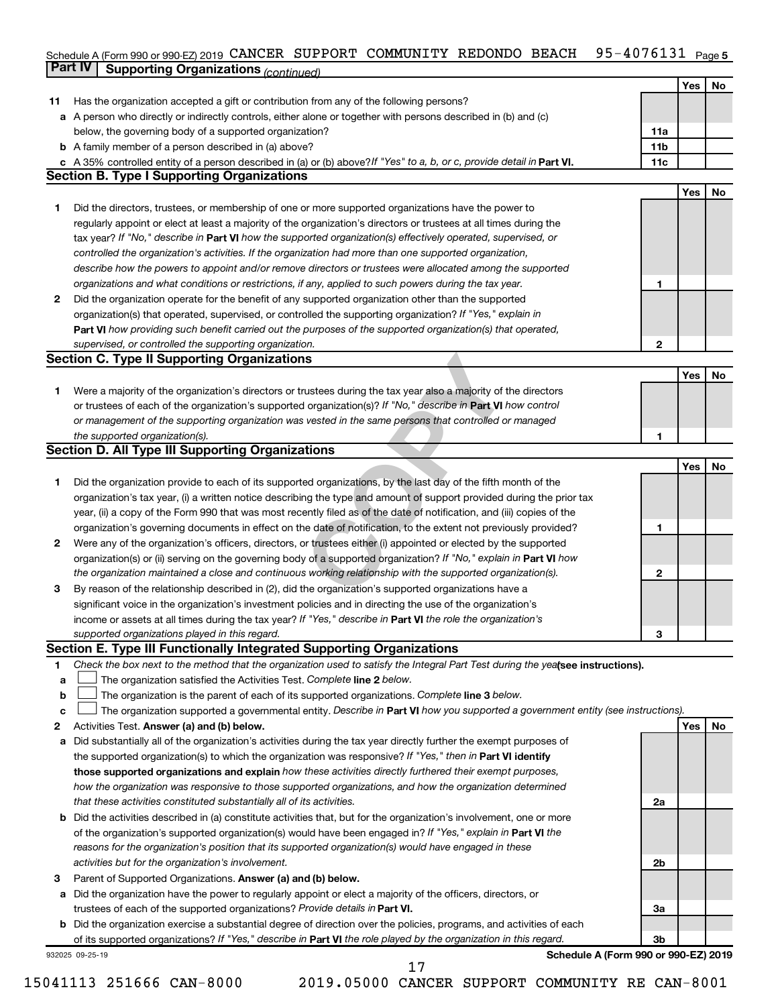## Schedule A (Form 990 or 990-EZ) 2019 CANCER SUPPORT COMMUNITY REDONDO BEACH 95-4076I3I Page 5 **Part IV Supporting Organizations** *(continued)* CANCER SUPPORT COMMUNITY REDONDO BEACH 95-4076131

|              |                                                                                                                                 |                 | Yes | No |
|--------------|---------------------------------------------------------------------------------------------------------------------------------|-----------------|-----|----|
| 11           | Has the organization accepted a gift or contribution from any of the following persons?                                         |                 |     |    |
| а            | A person who directly or indirectly controls, either alone or together with persons described in (b) and (c)                    |                 |     |    |
|              | below, the governing body of a supported organization?                                                                          | 11a             |     |    |
|              | <b>b</b> A family member of a person described in (a) above?                                                                    | 11 <sub>b</sub> |     |    |
| c            | A 35% controlled entity of a person described in (a) or (b) above? If "Yes" to a, b, or c, provide detail in Part VI.           | 11c             |     |    |
|              | <b>Section B. Type I Supporting Organizations</b>                                                                               |                 |     |    |
|              |                                                                                                                                 |                 | Yes | No |
| 1.           | Did the directors, trustees, or membership of one or more supported organizations have the power to                             |                 |     |    |
|              | regularly appoint or elect at least a majority of the organization's directors or trustees at all times during the              |                 |     |    |
|              | tax year? If "No," describe in Part VI how the supported organization(s) effectively operated, supervised, or                   |                 |     |    |
|              | controlled the organization's activities. If the organization had more than one supported organization,                         |                 |     |    |
|              | describe how the powers to appoint and/or remove directors or trustees were allocated among the supported                       |                 |     |    |
|              | organizations and what conditions or restrictions, if any, applied to such powers during the tax year.                          | 1               |     |    |
| $\mathbf{2}$ | Did the organization operate for the benefit of any supported organization other than the supported                             |                 |     |    |
|              | organization(s) that operated, supervised, or controlled the supporting organization? If "Yes," explain in                      |                 |     |    |
|              | Part VI how providing such benefit carried out the purposes of the supported organization(s) that operated,                     |                 |     |    |
|              | supervised, or controlled the supporting organization.                                                                          | $\mathbf{2}$    |     |    |
|              | <b>Section C. Type II Supporting Organizations</b>                                                                              |                 |     |    |
|              |                                                                                                                                 |                 | Yes | No |
| 1.           | Were a majority of the organization's directors or trustees during the tax year also a majority of the directors                |                 |     |    |
|              | or trustees of each of the organization's supported organization(s)? If "No," describe in Part VI how control                   |                 |     |    |
|              | or management of the supporting organization was vested in the same persons that controlled or managed                          |                 |     |    |
|              | the supported organization(s).                                                                                                  | 1               |     |    |
|              | <b>Section D. All Type III Supporting Organizations</b>                                                                         |                 |     |    |
|              |                                                                                                                                 |                 | Yes | No |
| 1.           | Did the organization provide to each of its supported organizations, by the last day of the fifth month of the                  |                 |     |    |
|              | organization's tax year, (i) a written notice describing the type and amount of support provided during the prior tax           |                 |     |    |
|              | year, (ii) a copy of the Form 990 that was most recently filed as of the date of notification, and (iii) copies of the          |                 |     |    |
|              | organization's governing documents in effect on the date of notification, to the extent not previously provided?                | 1               |     |    |
| $\mathbf{2}$ | Were any of the organization's officers, directors, or trustees either (i) appointed or elected by the supported                |                 |     |    |
|              | organization(s) or (ii) serving on the governing body of a supported organization? If "No," explain in <b>Part VI</b> how       |                 |     |    |
|              | the organization maintained a close and continuous working relationship with the supported organization(s).                     | 2               |     |    |
| 3            | By reason of the relationship described in (2), did the organization's supported organizations have a                           |                 |     |    |
|              | significant voice in the organization's investment policies and in directing the use of the organization's                      |                 |     |    |
|              | income or assets at all times during the tax year? If "Yes," describe in Part VI the role the organization's                    |                 |     |    |
|              | supported organizations played in this regard.                                                                                  | з               |     |    |
|              | Section E. Type III Functionally Integrated Supporting Organizations                                                            |                 |     |    |
| 1            | Check the box next to the method that the organization used to satisfy the Integral Part Test during the yealsee instructions). |                 |     |    |
| а            | The organization satisfied the Activities Test. Complete line 2 below.                                                          |                 |     |    |
| b            | The organization is the parent of each of its supported organizations. Complete line 3 below.                                   |                 |     |    |
| с            | The organization supported a governmental entity. Describe in Part VI how you supported a government entity (see instructions). |                 |     |    |
| 2            | Activities Test. Answer (a) and (b) below.                                                                                      |                 | Yes | No |
| a            | Did substantially all of the organization's activities during the tax year directly further the exempt purposes of              |                 |     |    |
|              | the supported organization(s) to which the organization was responsive? If "Yes," then in Part VI identify                      |                 |     |    |
|              | those supported organizations and explain how these activities directly furthered their exempt purposes,                        |                 |     |    |
|              | how the organization was responsive to those supported organizations, and how the organization determined                       |                 |     |    |
|              | that these activities constituted substantially all of its activities.                                                          | 2a              |     |    |
| b            | Did the activities described in (a) constitute activities that, but for the organization's involvement, one or more             |                 |     |    |
|              | of the organization's supported organization(s) would have been engaged in? If "Yes," explain in Part VI the                    |                 |     |    |
|              | reasons for the organization's position that its supported organization(s) would have engaged in these                          |                 |     |    |
|              | activities but for the organization's involvement.                                                                              | 2b              |     |    |
| 3            | Parent of Supported Organizations. Answer (a) and (b) below.                                                                    |                 |     |    |
| a            | Did the organization have the power to regularly appoint or elect a majority of the officers, directors, or                     |                 |     |    |
|              | trustees of each of the supported organizations? Provide details in Part VI.                                                    | 3a              |     |    |
| b            | Did the organization exercise a substantial degree of direction over the policies, programs, and activities of each             |                 |     |    |
|              | of its supported organizations? If "Yes," describe in Part VI the role played by the organization in this regard.               | 3 <sub>b</sub>  |     |    |
|              | Schedule A (Form 990 or 990-EZ) 2019<br>932025 09-25-19                                                                         |                 |     |    |
|              | 17                                                                                                                              |                 |     |    |

<sup>15041113 251666</sup> CAN-8000 2019.05000 CANCER SUPPORT COMMUNITY RE CAN-8001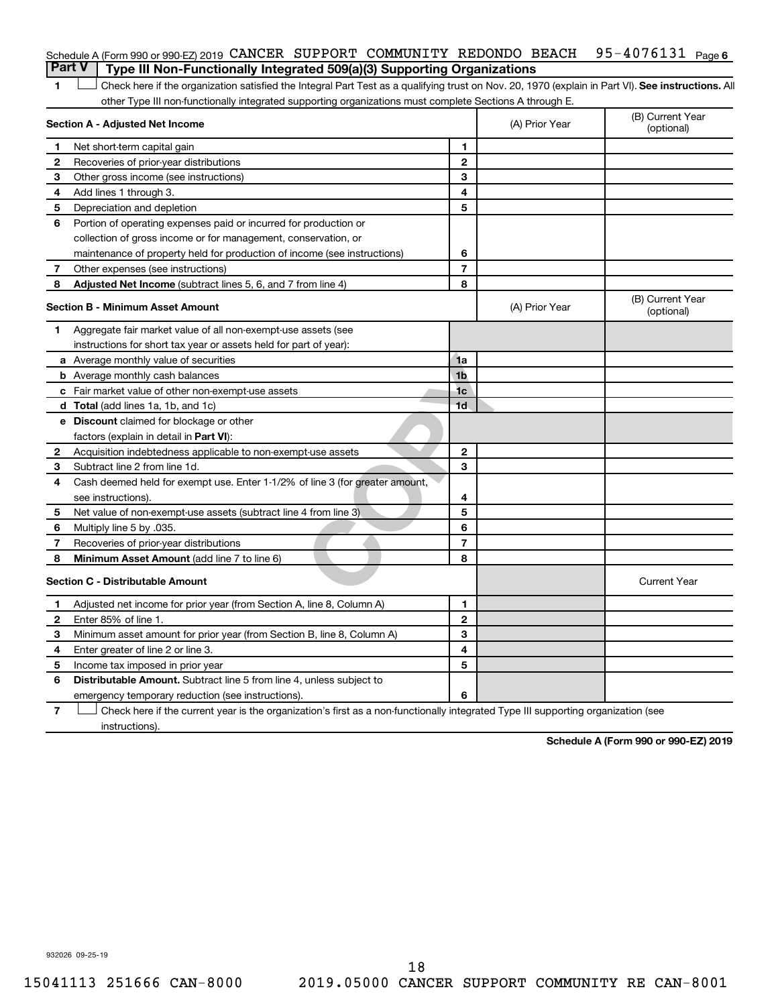### 95-4076131 Page 6 Schedule A (Form 990 or 990-EZ) 2019 CANCER SUPPORT COMMUNITY REDONDO BEACH 95-4076131 Page **Part V Type III Non-Functionally Integrated 509(a)(3) Supporting Organizations**

1 **Letter See instructions.** All Check here if the organization satisfied the Integral Part Test as a qualifying trust on Nov. 20, 1970 (explain in Part VI). See instructions. All other Type III non-functionally integrated supporting organizations must complete Sections A through E.

|    | Section A - Adjusted Net Income                                              |                | (A) Prior Year | (B) Current Year<br>(optional) |
|----|------------------------------------------------------------------------------|----------------|----------------|--------------------------------|
| 1  | Net short-term capital gain                                                  | 1              |                |                                |
| 2  | Recoveries of prior-year distributions                                       | $\overline{2}$ |                |                                |
| З  | Other gross income (see instructions)                                        | 3              |                |                                |
| 4  | Add lines 1 through 3.                                                       | 4              |                |                                |
| 5  | Depreciation and depletion                                                   | 5              |                |                                |
| 6  | Portion of operating expenses paid or incurred for production or             |                |                |                                |
|    | collection of gross income or for management, conservation, or               |                |                |                                |
|    | maintenance of property held for production of income (see instructions)     | 6              |                |                                |
| 7  | Other expenses (see instructions)                                            | $\overline{7}$ |                |                                |
| 8  | Adjusted Net Income (subtract lines 5, 6, and 7 from line 4)                 | 8              |                |                                |
|    | <b>Section B - Minimum Asset Amount</b>                                      |                | (A) Prior Year | (B) Current Year<br>(optional) |
| 1. | Aggregate fair market value of all non-exempt-use assets (see                |                |                |                                |
|    | instructions for short tax year or assets held for part of year):            |                |                |                                |
|    | a Average monthly value of securities                                        | 1a             |                |                                |
|    | <b>b</b> Average monthly cash balances                                       | 1 <sub>b</sub> |                |                                |
|    | c Fair market value of other non-exempt-use assets                           | 1 <sub>c</sub> |                |                                |
|    | d Total (add lines 1a, 1b, and 1c)                                           | 1 <sub>d</sub> |                |                                |
|    | <b>e</b> Discount claimed for blockage or other                              |                |                |                                |
|    | factors (explain in detail in Part VI):                                      |                |                |                                |
| 2  | Acquisition indebtedness applicable to non-exempt-use assets                 | $\mathbf{2}$   |                |                                |
| 3  | Subtract line 2 from line 1d.                                                | 3              |                |                                |
| 4  | Cash deemed held for exempt use. Enter 1-1/2% of line 3 (for greater amount, |                |                |                                |
|    | see instructions).                                                           | 4              |                |                                |
| 5  | Net value of non-exempt-use assets (subtract line 4 from line 3)             | 5              |                |                                |
| 6  | Multiply line 5 by .035.                                                     | 6              |                |                                |
| 7  | Recoveries of prior-year distributions                                       | $\overline{7}$ |                |                                |
| 8  | Minimum Asset Amount (add line 7 to line 6)                                  | 8              |                |                                |
|    | <b>Section C - Distributable Amount</b>                                      |                |                | <b>Current Year</b>            |
| 1  | Adjusted net income for prior year (from Section A, line 8, Column A)        | 1              |                |                                |
| 2  | Enter 85% of line 1.                                                         | $\mathbf{2}$   |                |                                |
| З  | Minimum asset amount for prior year (from Section B, line 8, Column A)       | 3              |                |                                |
| 4  | Enter greater of line 2 or line 3.                                           | 4              |                |                                |
| 5  | Income tax imposed in prior year                                             | 5              |                |                                |
| 6  | <b>Distributable Amount.</b> Subtract line 5 from line 4, unless subject to  |                |                |                                |
|    | emergency temporary reduction (see instructions).                            | 6              |                |                                |
|    |                                                                              |                |                |                                |

**7** Check here if the current year is the organization's first as a non-functionally integrated Type III supporting organization (see † instructions).

**Schedule A (Form 990 or 990-EZ) 2019**

932026 09-25-19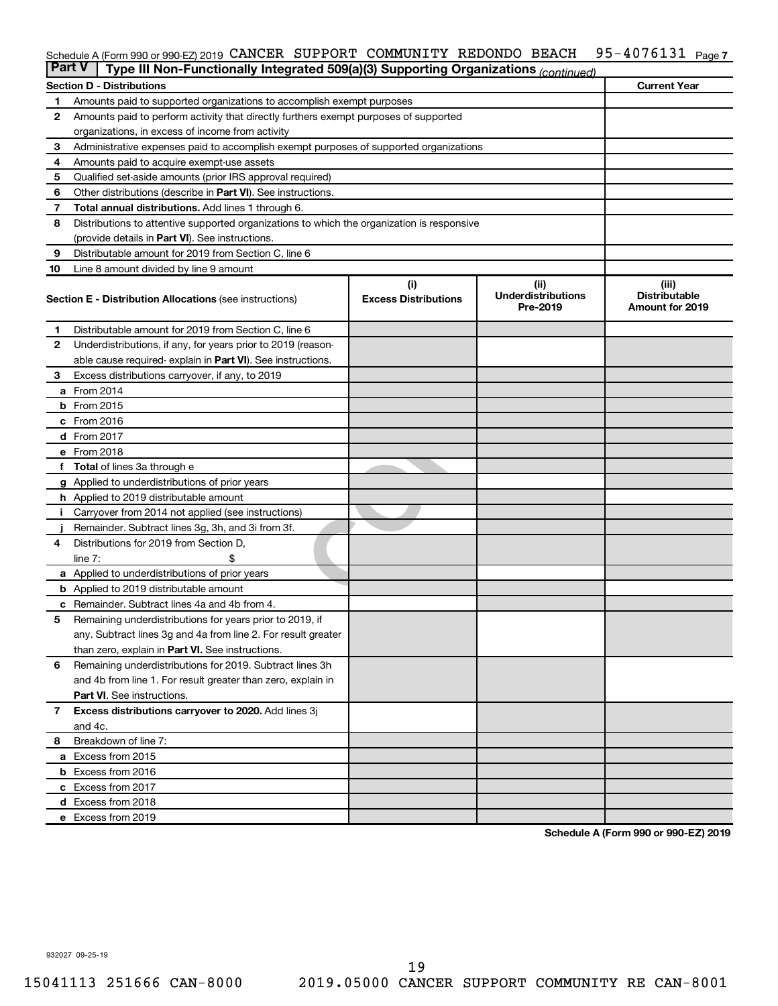#### 95-4076131 Page 7 Schedule A (Form 990 or 990-EZ) 2019 CANCER SUPPORT COMMUNITY REDONDO BEACH 95-4076131 Page

| <b>Part V</b> | Type III Non-Functionally Integrated 509(a)(3) Supporting Organizations (continued)        |                             |                                       |                                                |  |  |  |
|---------------|--------------------------------------------------------------------------------------------|-----------------------------|---------------------------------------|------------------------------------------------|--|--|--|
|               | <b>Section D - Distributions</b>                                                           |                             |                                       | <b>Current Year</b>                            |  |  |  |
| 1             | Amounts paid to supported organizations to accomplish exempt purposes                      |                             |                                       |                                                |  |  |  |
| $\mathbf{2}$  | Amounts paid to perform activity that directly furthers exempt purposes of supported       |                             |                                       |                                                |  |  |  |
|               | organizations, in excess of income from activity                                           |                             |                                       |                                                |  |  |  |
| 3             | Administrative expenses paid to accomplish exempt purposes of supported organizations      |                             |                                       |                                                |  |  |  |
| 4             | Amounts paid to acquire exempt-use assets                                                  |                             |                                       |                                                |  |  |  |
| 5             | Qualified set-aside amounts (prior IRS approval required)                                  |                             |                                       |                                                |  |  |  |
| 6             | Other distributions (describe in <b>Part VI</b> ). See instructions.                       |                             |                                       |                                                |  |  |  |
| 7             | Total annual distributions. Add lines 1 through 6.                                         |                             |                                       |                                                |  |  |  |
| 8             | Distributions to attentive supported organizations to which the organization is responsive |                             |                                       |                                                |  |  |  |
|               | (provide details in Part VI). See instructions.                                            |                             |                                       |                                                |  |  |  |
| 9             | Distributable amount for 2019 from Section C, line 6                                       |                             |                                       |                                                |  |  |  |
| 10            | Line 8 amount divided by line 9 amount                                                     |                             |                                       |                                                |  |  |  |
|               |                                                                                            | (i)                         | (ii)                                  | (iii)                                          |  |  |  |
|               | <b>Section E - Distribution Allocations (see instructions)</b>                             | <b>Excess Distributions</b> | <b>Underdistributions</b><br>Pre-2019 | <b>Distributable</b><br><b>Amount for 2019</b> |  |  |  |
| 1             | Distributable amount for 2019 from Section C, line 6                                       |                             |                                       |                                                |  |  |  |
| $\mathbf{2}$  | Underdistributions, if any, for years prior to 2019 (reason-                               |                             |                                       |                                                |  |  |  |
|               | able cause required- explain in Part VI). See instructions.                                |                             |                                       |                                                |  |  |  |
| 3             | Excess distributions carryover, if any, to 2019                                            |                             |                                       |                                                |  |  |  |
|               | a From 2014                                                                                |                             |                                       |                                                |  |  |  |
|               | <b>b</b> From 2015                                                                         |                             |                                       |                                                |  |  |  |
|               | c From 2016                                                                                |                             |                                       |                                                |  |  |  |
|               | <b>d</b> From 2017                                                                         |                             |                                       |                                                |  |  |  |
|               | e From 2018                                                                                |                             |                                       |                                                |  |  |  |
|               | f Total of lines 3a through e                                                              |                             |                                       |                                                |  |  |  |
|               | g Applied to underdistributions of prior years                                             |                             |                                       |                                                |  |  |  |
|               | h Applied to 2019 distributable amount                                                     |                             |                                       |                                                |  |  |  |
| Ť.            | Carryover from 2014 not applied (see instructions)                                         |                             |                                       |                                                |  |  |  |
|               | Remainder. Subtract lines 3g, 3h, and 3i from 3f.                                          |                             |                                       |                                                |  |  |  |
| 4             | Distributions for 2019 from Section D,                                                     |                             |                                       |                                                |  |  |  |
|               | line $7:$                                                                                  |                             |                                       |                                                |  |  |  |
|               | a Applied to underdistributions of prior years                                             |                             |                                       |                                                |  |  |  |
|               | <b>b</b> Applied to 2019 distributable amount                                              |                             |                                       |                                                |  |  |  |
| с             | Remainder. Subtract lines 4a and 4b from 4.                                                |                             |                                       |                                                |  |  |  |
| 5             | Remaining underdistributions for years prior to 2019, if                                   |                             |                                       |                                                |  |  |  |
|               | any. Subtract lines 3g and 4a from line 2. For result greater                              |                             |                                       |                                                |  |  |  |
|               | than zero, explain in Part VI. See instructions.                                           |                             |                                       |                                                |  |  |  |
| 6             | Remaining underdistributions for 2019. Subtract lines 3h                                   |                             |                                       |                                                |  |  |  |
|               | and 4b from line 1. For result greater than zero, explain in                               |                             |                                       |                                                |  |  |  |
|               | <b>Part VI.</b> See instructions.                                                          |                             |                                       |                                                |  |  |  |
| $\mathbf{7}$  | Excess distributions carryover to 2020. Add lines 3j                                       |                             |                                       |                                                |  |  |  |
|               | and 4c.                                                                                    |                             |                                       |                                                |  |  |  |
| 8             | Breakdown of line 7:                                                                       |                             |                                       |                                                |  |  |  |
|               | a Excess from 2015                                                                         |                             |                                       |                                                |  |  |  |
|               | <b>b</b> Excess from 2016                                                                  |                             |                                       |                                                |  |  |  |
|               | c Excess from 2017                                                                         |                             |                                       |                                                |  |  |  |
|               | d Excess from 2018                                                                         |                             |                                       |                                                |  |  |  |
|               | e Excess from 2019                                                                         |                             |                                       |                                                |  |  |  |

**Schedule A (Form 990 or 990-EZ) 2019**

932027 09-25-19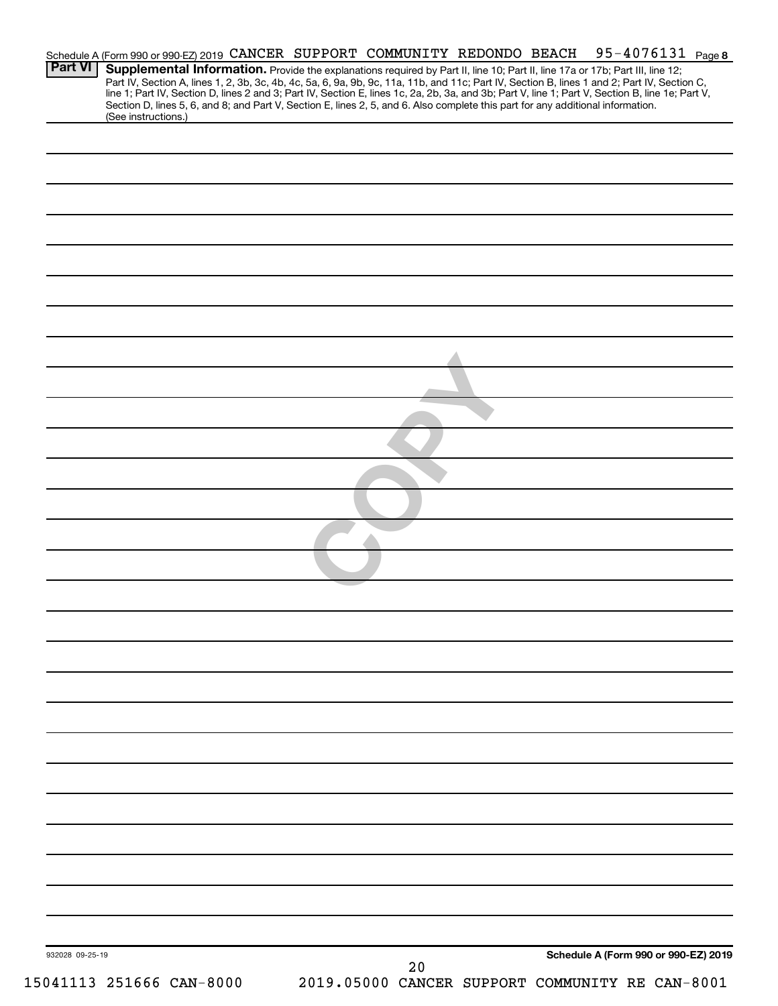|                 |                          |  | Schedule A (Form 990 or 990-EZ) 2019 CANCER SUPPORT COMMUNITY REDONDO BEACH                                                                                                                                                                                                                                                                                                                                                                                                                                                                                          |  | 95-40 <u>76131</u> Page 8            |  |
|-----------------|--------------------------|--|----------------------------------------------------------------------------------------------------------------------------------------------------------------------------------------------------------------------------------------------------------------------------------------------------------------------------------------------------------------------------------------------------------------------------------------------------------------------------------------------------------------------------------------------------------------------|--|--------------------------------------|--|
| Part VI         |                          |  | Supplemental Information. Provide the explanations required by Part II, line 10; Part II, line 17a or 17b; Part III, line 12;<br>Part IV, Section A, lines 1, 2, 3b, 3c, 4b, 4c, 5a, 6, 9a, 9b, 9c, 11a, 11b, and 11c; Part IV, Section B, lines 1 and 2; Part IV, Section C,<br>line 1; Part IV, Section D, lines 2 and 3; Part IV, Section E, lines 1c, 2a, 2b, 3a, and 3b; Part V, line 1; Part V, Section B, line 1e; Part V,<br>Section D, lines 5, 6, and 8; and Part V, Section E, lines 2, 5, and 6. Also complete this part for any additional information. |  |                                      |  |
|                 | (See instructions.)      |  |                                                                                                                                                                                                                                                                                                                                                                                                                                                                                                                                                                      |  |                                      |  |
|                 |                          |  |                                                                                                                                                                                                                                                                                                                                                                                                                                                                                                                                                                      |  |                                      |  |
|                 |                          |  |                                                                                                                                                                                                                                                                                                                                                                                                                                                                                                                                                                      |  |                                      |  |
|                 |                          |  |                                                                                                                                                                                                                                                                                                                                                                                                                                                                                                                                                                      |  |                                      |  |
|                 |                          |  |                                                                                                                                                                                                                                                                                                                                                                                                                                                                                                                                                                      |  |                                      |  |
|                 |                          |  |                                                                                                                                                                                                                                                                                                                                                                                                                                                                                                                                                                      |  |                                      |  |
|                 |                          |  |                                                                                                                                                                                                                                                                                                                                                                                                                                                                                                                                                                      |  |                                      |  |
|                 |                          |  |                                                                                                                                                                                                                                                                                                                                                                                                                                                                                                                                                                      |  |                                      |  |
|                 |                          |  |                                                                                                                                                                                                                                                                                                                                                                                                                                                                                                                                                                      |  |                                      |  |
|                 |                          |  |                                                                                                                                                                                                                                                                                                                                                                                                                                                                                                                                                                      |  |                                      |  |
|                 |                          |  |                                                                                                                                                                                                                                                                                                                                                                                                                                                                                                                                                                      |  |                                      |  |
|                 |                          |  |                                                                                                                                                                                                                                                                                                                                                                                                                                                                                                                                                                      |  |                                      |  |
|                 |                          |  |                                                                                                                                                                                                                                                                                                                                                                                                                                                                                                                                                                      |  |                                      |  |
|                 |                          |  |                                                                                                                                                                                                                                                                                                                                                                                                                                                                                                                                                                      |  |                                      |  |
|                 |                          |  |                                                                                                                                                                                                                                                                                                                                                                                                                                                                                                                                                                      |  |                                      |  |
|                 |                          |  |                                                                                                                                                                                                                                                                                                                                                                                                                                                                                                                                                                      |  |                                      |  |
|                 |                          |  |                                                                                                                                                                                                                                                                                                                                                                                                                                                                                                                                                                      |  |                                      |  |
|                 |                          |  |                                                                                                                                                                                                                                                                                                                                                                                                                                                                                                                                                                      |  |                                      |  |
|                 |                          |  |                                                                                                                                                                                                                                                                                                                                                                                                                                                                                                                                                                      |  |                                      |  |
|                 |                          |  |                                                                                                                                                                                                                                                                                                                                                                                                                                                                                                                                                                      |  |                                      |  |
|                 |                          |  |                                                                                                                                                                                                                                                                                                                                                                                                                                                                                                                                                                      |  |                                      |  |
|                 |                          |  |                                                                                                                                                                                                                                                                                                                                                                                                                                                                                                                                                                      |  |                                      |  |
|                 |                          |  |                                                                                                                                                                                                                                                                                                                                                                                                                                                                                                                                                                      |  |                                      |  |
|                 |                          |  |                                                                                                                                                                                                                                                                                                                                                                                                                                                                                                                                                                      |  |                                      |  |
|                 |                          |  |                                                                                                                                                                                                                                                                                                                                                                                                                                                                                                                                                                      |  |                                      |  |
|                 |                          |  |                                                                                                                                                                                                                                                                                                                                                                                                                                                                                                                                                                      |  |                                      |  |
|                 |                          |  |                                                                                                                                                                                                                                                                                                                                                                                                                                                                                                                                                                      |  |                                      |  |
|                 |                          |  |                                                                                                                                                                                                                                                                                                                                                                                                                                                                                                                                                                      |  |                                      |  |
|                 |                          |  |                                                                                                                                                                                                                                                                                                                                                                                                                                                                                                                                                                      |  |                                      |  |
|                 |                          |  |                                                                                                                                                                                                                                                                                                                                                                                                                                                                                                                                                                      |  |                                      |  |
|                 |                          |  |                                                                                                                                                                                                                                                                                                                                                                                                                                                                                                                                                                      |  |                                      |  |
|                 |                          |  |                                                                                                                                                                                                                                                                                                                                                                                                                                                                                                                                                                      |  |                                      |  |
|                 |                          |  |                                                                                                                                                                                                                                                                                                                                                                                                                                                                                                                                                                      |  |                                      |  |
|                 |                          |  |                                                                                                                                                                                                                                                                                                                                                                                                                                                                                                                                                                      |  |                                      |  |
|                 |                          |  |                                                                                                                                                                                                                                                                                                                                                                                                                                                                                                                                                                      |  |                                      |  |
| 932028 09-25-19 |                          |  | 20                                                                                                                                                                                                                                                                                                                                                                                                                                                                                                                                                                   |  | Schedule A (Form 990 or 990-EZ) 2019 |  |
|                 | 15041113 251666 CAN-8000 |  | 2019.05000 CANCER SUPPORT COMMUNITY RE CAN-8001                                                                                                                                                                                                                                                                                                                                                                                                                                                                                                                      |  |                                      |  |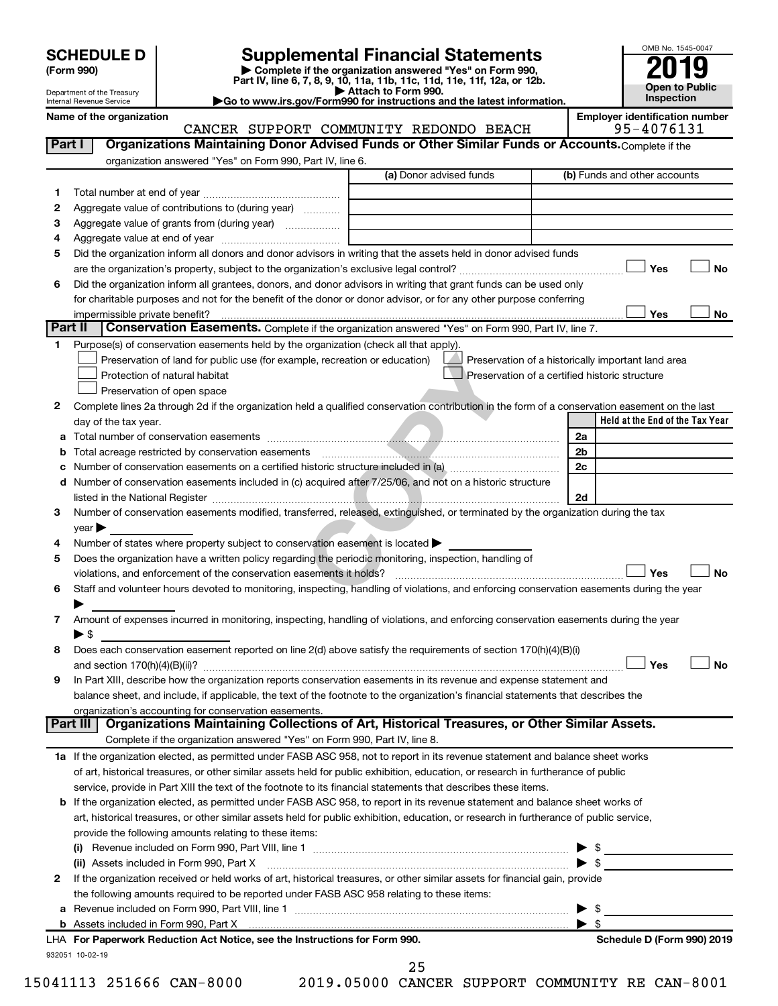| (Form 990) |  |
|------------|--|
|------------|--|

# **SCHEDULE D Supplemental Financial Statements**<br> **Form 990 2019**<br> **Part IV** line 6.7.8.9.10, 11a, 11b, 11d, 11d, 11d, 11d, 11d, 12a, 0r, 12b

**(Form 990) | Complete if the organization answered "Yes" on Form 990, Part IV, line 6, 7, 8, 9, 10, 11a, 11b, 11c, 11d, 11e, 11f, 12a, or 12b.**

**| Attach to Form 990. |Go to www.irs.gov/Form990 for instructions and the latest information.**



Department of the Treasury Internal Revenue Service

**Name of the organization**<br>CANCER SUPPORT COMMUNITTY REDONDO BEACH 95-4076131 CANCER SUPPORT COMMUNITY REDONDO BEACH

| Part I  | CANCER SOFFORI COMMONIII REDONDO BEACH<br>Organizations Maintaining Donor Advised Funds or Other Similar Funds or Accounts. Complete if the    |                         | JJ = ± V / V + J +                                 |
|---------|------------------------------------------------------------------------------------------------------------------------------------------------|-------------------------|----------------------------------------------------|
|         | organization answered "Yes" on Form 990, Part IV, line 6.                                                                                      |                         |                                                    |
|         |                                                                                                                                                | (a) Donor advised funds | (b) Funds and other accounts                       |
| 1.      |                                                                                                                                                |                         |                                                    |
| 2       | Aggregate value of contributions to (during year)                                                                                              |                         |                                                    |
| з       |                                                                                                                                                |                         |                                                    |
| 4       |                                                                                                                                                |                         |                                                    |
| 5       | Did the organization inform all donors and donor advisors in writing that the assets held in donor advised funds                               |                         |                                                    |
|         |                                                                                                                                                |                         | Yes<br>No                                          |
| 6       | Did the organization inform all grantees, donors, and donor advisors in writing that grant funds can be used only                              |                         |                                                    |
|         | for charitable purposes and not for the benefit of the donor or donor advisor, or for any other purpose conferring                             |                         |                                                    |
|         | impermissible private benefit?                                                                                                                 |                         | Yes<br>No                                          |
| Part II | Conservation Easements. Complete if the organization answered "Yes" on Form 990, Part IV, line 7.                                              |                         |                                                    |
| 1       | Purpose(s) of conservation easements held by the organization (check all that apply).                                                          |                         |                                                    |
|         | Preservation of land for public use (for example, recreation or education)                                                                     |                         | Preservation of a historically important land area |
|         | Protection of natural habitat                                                                                                                  |                         | Preservation of a certified historic structure     |
|         | Preservation of open space                                                                                                                     |                         |                                                    |
| 2       | Complete lines 2a through 2d if the organization held a qualified conservation contribution in the form of a conservation easement on the last |                         |                                                    |
|         | day of the tax year.                                                                                                                           |                         | Held at the End of the Tax Year                    |
|         |                                                                                                                                                |                         | 2a                                                 |
| b       | Total acreage restricted by conservation easements manufactured acreage restricted by conservation easements                                   |                         | 2 <sub>b</sub>                                     |
|         |                                                                                                                                                |                         | 2c                                                 |
| d       | Number of conservation easements included in (c) acquired after 7/25/06, and not on a historic structure                                       |                         |                                                    |
|         |                                                                                                                                                |                         | 2d                                                 |
| 3       | Number of conservation easements modified, transferred, released, extinguished, or terminated by the organization during the tax               |                         |                                                    |
|         | $year \triangleright$                                                                                                                          |                         |                                                    |
| 4       | Number of states where property subject to conservation easement is located >                                                                  |                         |                                                    |
| 5       | Does the organization have a written policy regarding the periodic monitoring, inspection, handling of                                         |                         |                                                    |
|         | violations, and enforcement of the conservation easements it holds?                                                                            |                         | Yes<br><b>No</b>                                   |
| 6       | Staff and volunteer hours devoted to monitoring, inspecting, handling of violations, and enforcing conservation easements during the year      |                         |                                                    |
|         |                                                                                                                                                |                         |                                                    |
| 7       | Amount of expenses incurred in monitoring, inspecting, handling of violations, and enforcing conservation easements during the year            |                         |                                                    |
|         | $\blacktriangleright$ \$                                                                                                                       |                         |                                                    |
| 8       | Does each conservation easement reported on line 2(d) above satisfy the requirements of section 170(h)(4)(B)(i)                                |                         |                                                    |
|         |                                                                                                                                                |                         | Yes<br><b>No</b>                                   |
| 9       | In Part XIII, describe how the organization reports conservation easements in its revenue and expense statement and                            |                         |                                                    |
|         | balance sheet, and include, if applicable, the text of the footnote to the organization's financial statements that describes the              |                         |                                                    |
|         | organization's accounting for conservation easements.                                                                                          |                         |                                                    |
|         | Organizations Maintaining Collections of Art, Historical Treasures, or Other Similar Assets.<br>Part III                                       |                         |                                                    |
|         | Complete if the organization answered "Yes" on Form 990, Part IV, line 8.                                                                      |                         |                                                    |
|         | 1a If the organization elected, as permitted under FASB ASC 958, not to report in its revenue statement and balance sheet works                |                         |                                                    |
|         | of art, historical treasures, or other similar assets held for public exhibition, education, or research in furtherance of public              |                         |                                                    |
|         | service, provide in Part XIII the text of the footnote to its financial statements that describes these items.                                 |                         |                                                    |
|         | <b>b</b> If the organization elected, as permitted under FASB ASC 958, to report in its revenue statement and balance sheet works of           |                         |                                                    |
|         | art, historical treasures, or other similar assets held for public exhibition, education, or research in furtherance of public service,        |                         |                                                    |
|         | provide the following amounts relating to these items:                                                                                         |                         |                                                    |
|         | (i)                                                                                                                                            |                         | $\triangleright$ \$                                |
|         | (ii) Assets included in Form 990, Part X [11] Marten and Martin Martin Marten and Martin Martin Marten and Mar                                 |                         |                                                    |
| 2       | If the organization received or held works of art, historical treasures, or other similar assets for financial gain, provide                   |                         |                                                    |
|         | the following amounts required to be reported under FASB ASC 958 relating to these items:                                                      |                         |                                                    |
| а       |                                                                                                                                                |                         | \$                                                 |
|         |                                                                                                                                                |                         | $\blacktriangleright$ \$                           |
|         | LHA For Paperwork Reduction Act Notice, see the Instructions for Form 990.                                                                     |                         | Schedule D (Form 990) 2019                         |
|         | 932051 10-02-19                                                                                                                                |                         |                                                    |

25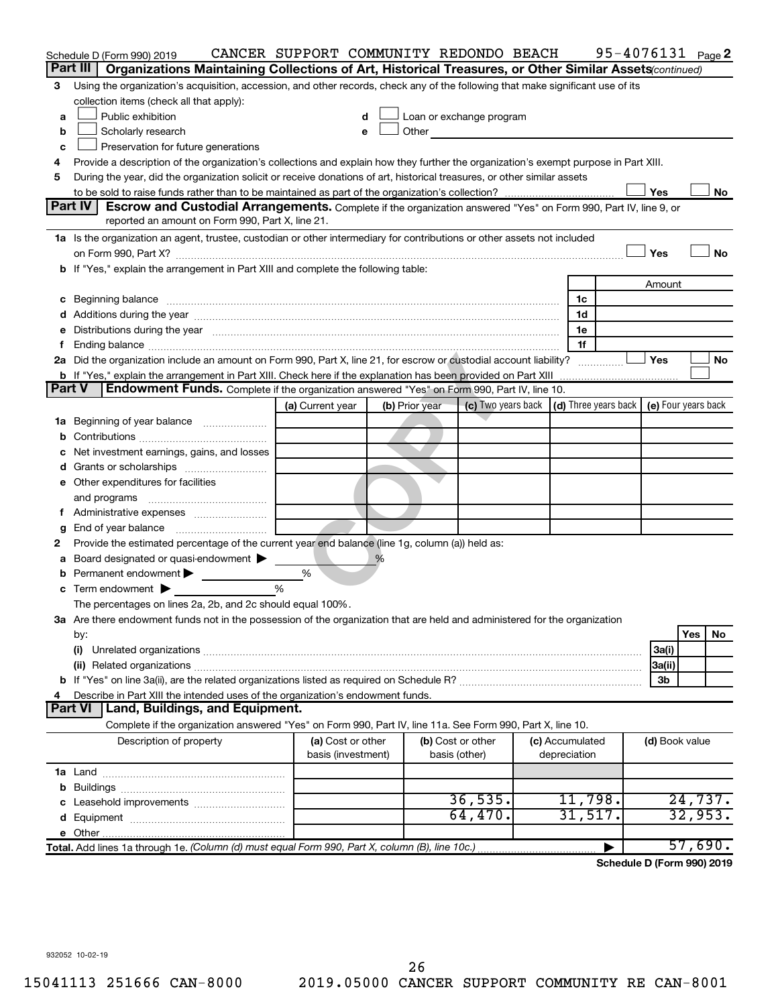|               | Schedule D (Form 990) 2019                                                                                                                                                                                                     | CANCER SUPPORT COMMUNITY REDONDO BEACH |                |                                                                                                                                                                                                                                |                 | 95-4076131 Page 2                                 |         |           |
|---------------|--------------------------------------------------------------------------------------------------------------------------------------------------------------------------------------------------------------------------------|----------------------------------------|----------------|--------------------------------------------------------------------------------------------------------------------------------------------------------------------------------------------------------------------------------|-----------------|---------------------------------------------------|---------|-----------|
|               | Organizations Maintaining Collections of Art, Historical Treasures, or Other Similar Assets (continued)<br>Part III                                                                                                            |                                        |                |                                                                                                                                                                                                                                |                 |                                                   |         |           |
| З             | Using the organization's acquisition, accession, and other records, check any of the following that make significant use of its                                                                                                |                                        |                |                                                                                                                                                                                                                                |                 |                                                   |         |           |
|               | collection items (check all that apply):                                                                                                                                                                                       |                                        |                |                                                                                                                                                                                                                                |                 |                                                   |         |           |
| a             | Public exhibition                                                                                                                                                                                                              | d                                      |                | Loan or exchange program                                                                                                                                                                                                       |                 |                                                   |         |           |
| b             | Scholarly research                                                                                                                                                                                                             | е                                      |                | Other and the control of the control of the control of the control of the control of the control of the control of the control of the control of the control of the control of the control of the control of the control of th |                 |                                                   |         |           |
| c             | Preservation for future generations                                                                                                                                                                                            |                                        |                |                                                                                                                                                                                                                                |                 |                                                   |         |           |
| 4             | Provide a description of the organization's collections and explain how they further the organization's exempt purpose in Part XIII.                                                                                           |                                        |                |                                                                                                                                                                                                                                |                 |                                                   |         |           |
| 5             | During the year, did the organization solicit or receive donations of art, historical treasures, or other similar assets                                                                                                       |                                        |                |                                                                                                                                                                                                                                |                 |                                                   |         |           |
|               |                                                                                                                                                                                                                                |                                        |                |                                                                                                                                                                                                                                |                 | Yes                                               |         | No        |
|               | Part IV<br>Escrow and Custodial Arrangements. Complete if the organization answered "Yes" on Form 990, Part IV, line 9, or                                                                                                     |                                        |                |                                                                                                                                                                                                                                |                 |                                                   |         |           |
|               | reported an amount on Form 990, Part X, line 21.                                                                                                                                                                               |                                        |                |                                                                                                                                                                                                                                |                 |                                                   |         |           |
|               | 1a Is the organization an agent, trustee, custodian or other intermediary for contributions or other assets not included                                                                                                       |                                        |                |                                                                                                                                                                                                                                |                 |                                                   |         |           |
|               |                                                                                                                                                                                                                                |                                        |                |                                                                                                                                                                                                                                |                 | Yes                                               |         | <b>No</b> |
|               | If "Yes," explain the arrangement in Part XIII and complete the following table:                                                                                                                                               |                                        |                |                                                                                                                                                                                                                                |                 |                                                   |         |           |
|               |                                                                                                                                                                                                                                |                                        |                |                                                                                                                                                                                                                                |                 | Amount                                            |         |           |
| c             | Beginning balance manufactured and contain an account of the state of the state of the state of the state of the state of the state of the state of the state of the state of the state of the state of the state of the state |                                        |                |                                                                                                                                                                                                                                | 1c              |                                                   |         |           |
|               |                                                                                                                                                                                                                                |                                        |                |                                                                                                                                                                                                                                | 1d              |                                                   |         |           |
| е             | Distributions during the year measurement contains and all the year measurement of the state of the state of the state of the state of the state of the state of the state of the state of the state of the state of the state |                                        |                |                                                                                                                                                                                                                                | 1e              |                                                   |         |           |
|               |                                                                                                                                                                                                                                |                                        |                |                                                                                                                                                                                                                                | 1f              |                                                   |         |           |
|               | 2a Did the organization include an amount on Form 990, Part X, line 21, for escrow or custodial account liability?                                                                                                             |                                        |                |                                                                                                                                                                                                                                |                 | Yes                                               |         | No        |
| <b>Part V</b> | <b>b</b> If "Yes," explain the arrangement in Part XIII. Check here if the explanation has been provided on Part XIII<br><b>Endowment Funds.</b> Complete if the organization answered "Yes" on Form 990, Part IV, line 10.    |                                        |                |                                                                                                                                                                                                                                |                 |                                                   |         |           |
|               |                                                                                                                                                                                                                                | (a) Current year                       | (b) Prior year | (c) Two years back                                                                                                                                                                                                             |                 | $(d)$ Three years back $\mid$ (e) Four years back |         |           |
|               | Beginning of year balance                                                                                                                                                                                                      |                                        |                |                                                                                                                                                                                                                                |                 |                                                   |         |           |
| 1а            |                                                                                                                                                                                                                                |                                        |                |                                                                                                                                                                                                                                |                 |                                                   |         |           |
|               | Net investment earnings, gains, and losses                                                                                                                                                                                     |                                        |                |                                                                                                                                                                                                                                |                 |                                                   |         |           |
|               |                                                                                                                                                                                                                                |                                        |                |                                                                                                                                                                                                                                |                 |                                                   |         |           |
|               | e Other expenditures for facilities                                                                                                                                                                                            |                                        |                |                                                                                                                                                                                                                                |                 |                                                   |         |           |
|               | and programs                                                                                                                                                                                                                   |                                        |                |                                                                                                                                                                                                                                |                 |                                                   |         |           |
|               |                                                                                                                                                                                                                                |                                        |                |                                                                                                                                                                                                                                |                 |                                                   |         |           |
| g             | End of year balance                                                                                                                                                                                                            |                                        |                |                                                                                                                                                                                                                                |                 |                                                   |         |           |
| 2             | Provide the estimated percentage of the current year end balance (line 1g, column (a)) held as:                                                                                                                                |                                        |                |                                                                                                                                                                                                                                |                 |                                                   |         |           |
|               | Board designated or quasi-endowment                                                                                                                                                                                            |                                        | ℅              |                                                                                                                                                                                                                                |                 |                                                   |         |           |
|               | Permanent endowment                                                                                                                                                                                                            | %                                      |                |                                                                                                                                                                                                                                |                 |                                                   |         |           |
| c             | Term endowment $\blacktriangleright$                                                                                                                                                                                           | %                                      |                |                                                                                                                                                                                                                                |                 |                                                   |         |           |
|               | The percentages on lines 2a, 2b, and 2c should equal 100%.                                                                                                                                                                     |                                        |                |                                                                                                                                                                                                                                |                 |                                                   |         |           |
|               | 3a Are there endowment funds not in the possession of the organization that are held and administered for the organization                                                                                                     |                                        |                |                                                                                                                                                                                                                                |                 |                                                   |         |           |
|               | by:                                                                                                                                                                                                                            |                                        |                |                                                                                                                                                                                                                                |                 |                                                   | Yes     | No        |
|               | (i)                                                                                                                                                                                                                            |                                        |                |                                                                                                                                                                                                                                |                 | 3a(i)                                             |         |           |
|               |                                                                                                                                                                                                                                |                                        |                |                                                                                                                                                                                                                                |                 | 3a(ii)                                            |         |           |
|               |                                                                                                                                                                                                                                |                                        |                |                                                                                                                                                                                                                                |                 | 3b                                                |         |           |
|               | Describe in Part XIII the intended uses of the organization's endowment funds.                                                                                                                                                 |                                        |                |                                                                                                                                                                                                                                |                 |                                                   |         |           |
|               | Land, Buildings, and Equipment.<br><b>Part VI</b>                                                                                                                                                                              |                                        |                |                                                                                                                                                                                                                                |                 |                                                   |         |           |
|               | Complete if the organization answered "Yes" on Form 990, Part IV, line 11a. See Form 990, Part X, line 10.                                                                                                                     |                                        |                |                                                                                                                                                                                                                                |                 |                                                   |         |           |
|               | Description of property                                                                                                                                                                                                        | (a) Cost or other                      |                | (b) Cost or other                                                                                                                                                                                                              | (c) Accumulated | (d) Book value                                    |         |           |
|               |                                                                                                                                                                                                                                | basis (investment)                     |                | basis (other)                                                                                                                                                                                                                  | depreciation    |                                                   |         |           |
|               |                                                                                                                                                                                                                                |                                        |                |                                                                                                                                                                                                                                |                 |                                                   |         |           |
| b             |                                                                                                                                                                                                                                |                                        |                |                                                                                                                                                                                                                                |                 |                                                   |         |           |
|               |                                                                                                                                                                                                                                |                                        |                | 36, 535.                                                                                                                                                                                                                       | 11,798.         |                                                   | 24,737. |           |
|               |                                                                                                                                                                                                                                |                                        |                | 64,470.                                                                                                                                                                                                                        | 31,517.         |                                                   | 32,953. |           |
|               | e Other.                                                                                                                                                                                                                       |                                        |                |                                                                                                                                                                                                                                |                 |                                                   |         |           |
|               | Total. Add lines 1a through 1e. (Column (d) must equal Form 990, Part X, column (B), line 10c.)                                                                                                                                |                                        |                |                                                                                                                                                                                                                                |                 |                                                   | 57,690. |           |

**Schedule D (Form 990) 2019**

932052 10-02-19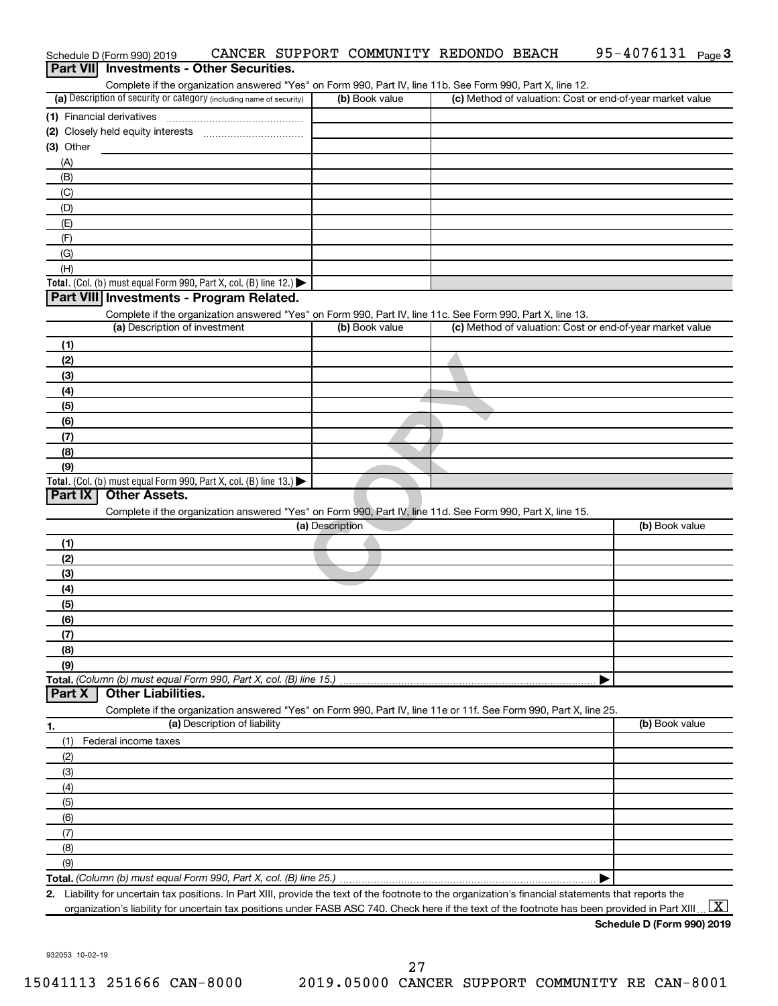|                | Schedule D (Form 990) 2019                                                                      |                              |                 | CANCER SUPPORT COMMUNITY REDONDO BEACH                                                                            |  | 95-4076131 Page 3                                                                                                                                                       |
|----------------|-------------------------------------------------------------------------------------------------|------------------------------|-----------------|-------------------------------------------------------------------------------------------------------------------|--|-------------------------------------------------------------------------------------------------------------------------------------------------------------------------|
| Part VIII      | <b>Investments - Other Securities.</b>                                                          |                              |                 |                                                                                                                   |  |                                                                                                                                                                         |
|                |                                                                                                 |                              |                 | Complete if the organization answered "Yes" on Form 990, Part IV, line 11b. See Form 990, Part X, line 12.        |  |                                                                                                                                                                         |
|                | (a) Description of security or category (including name of security)                            |                              |                 | (b) Book value                                                                                                    |  | (c) Method of valuation: Cost or end-of-year market value                                                                                                               |
|                | (1) Financial derivatives                                                                       |                              |                 |                                                                                                                   |  |                                                                                                                                                                         |
|                |                                                                                                 |                              |                 |                                                                                                                   |  |                                                                                                                                                                         |
| (3) Other      |                                                                                                 |                              |                 |                                                                                                                   |  |                                                                                                                                                                         |
| (A)            |                                                                                                 |                              |                 |                                                                                                                   |  |                                                                                                                                                                         |
| (B)            |                                                                                                 |                              |                 |                                                                                                                   |  |                                                                                                                                                                         |
| (C)            |                                                                                                 |                              |                 |                                                                                                                   |  |                                                                                                                                                                         |
| (D)            |                                                                                                 |                              |                 |                                                                                                                   |  |                                                                                                                                                                         |
| (E)<br>(F)     |                                                                                                 |                              |                 |                                                                                                                   |  |                                                                                                                                                                         |
| (G)            |                                                                                                 |                              |                 |                                                                                                                   |  |                                                                                                                                                                         |
| (H)            |                                                                                                 |                              |                 |                                                                                                                   |  |                                                                                                                                                                         |
|                | Total. (Col. (b) must equal Form 990, Part X, col. (B) line 12.) $\blacktriangleright$          |                              |                 |                                                                                                                   |  |                                                                                                                                                                         |
|                | Part VIII Investments - Program Related.                                                        |                              |                 |                                                                                                                   |  |                                                                                                                                                                         |
|                |                                                                                                 |                              |                 | Complete if the organization answered "Yes" on Form 990, Part IV, line 11c. See Form 990, Part X, line 13.        |  |                                                                                                                                                                         |
|                | (a) Description of investment                                                                   |                              |                 | (b) Book value                                                                                                    |  | (c) Method of valuation: Cost or end-of-year market value                                                                                                               |
| (1)            |                                                                                                 |                              |                 |                                                                                                                   |  |                                                                                                                                                                         |
| (2)            |                                                                                                 |                              |                 |                                                                                                                   |  |                                                                                                                                                                         |
| (3)            |                                                                                                 |                              |                 |                                                                                                                   |  |                                                                                                                                                                         |
| (4)            |                                                                                                 |                              |                 |                                                                                                                   |  |                                                                                                                                                                         |
| (5)            |                                                                                                 |                              |                 |                                                                                                                   |  |                                                                                                                                                                         |
| (6)            |                                                                                                 |                              |                 |                                                                                                                   |  |                                                                                                                                                                         |
| (7)            |                                                                                                 |                              |                 |                                                                                                                   |  |                                                                                                                                                                         |
| (8)            |                                                                                                 |                              |                 |                                                                                                                   |  |                                                                                                                                                                         |
| (9)            | Total. (Col. (b) must equal Form 990, Part X, col. (B) line $13.$ )                             |                              |                 |                                                                                                                   |  |                                                                                                                                                                         |
| <b>Part IX</b> | <b>Other Assets.</b>                                                                            |                              |                 |                                                                                                                   |  |                                                                                                                                                                         |
|                |                                                                                                 |                              |                 | Complete if the organization answered "Yes" on Form 990, Part IV, line 11d. See Form 990, Part X, line 15.        |  |                                                                                                                                                                         |
|                |                                                                                                 |                              | (a) Description |                                                                                                                   |  | (b) Book value                                                                                                                                                          |
| (1)            |                                                                                                 |                              |                 |                                                                                                                   |  |                                                                                                                                                                         |
| (2)            |                                                                                                 |                              |                 |                                                                                                                   |  |                                                                                                                                                                         |
| (3)            |                                                                                                 |                              |                 |                                                                                                                   |  |                                                                                                                                                                         |
| (4)            |                                                                                                 |                              |                 |                                                                                                                   |  |                                                                                                                                                                         |
| (5)            |                                                                                                 |                              |                 |                                                                                                                   |  |                                                                                                                                                                         |
| (6)            |                                                                                                 |                              |                 |                                                                                                                   |  |                                                                                                                                                                         |
| (7)            |                                                                                                 |                              |                 |                                                                                                                   |  |                                                                                                                                                                         |
| (8)            |                                                                                                 |                              |                 |                                                                                                                   |  |                                                                                                                                                                         |
| (9)            |                                                                                                 |                              |                 |                                                                                                                   |  |                                                                                                                                                                         |
| <b>Part X</b>  | Total. (Column (b) must equal Form 990, Part X, col. (B) line 15.)<br><b>Other Liabilities.</b> |                              |                 |                                                                                                                   |  |                                                                                                                                                                         |
|                |                                                                                                 |                              |                 | Complete if the organization answered "Yes" on Form 990, Part IV, line 11e or 11f. See Form 990, Part X, line 25. |  |                                                                                                                                                                         |
| 1.             |                                                                                                 | (a) Description of liability |                 |                                                                                                                   |  | (b) Book value                                                                                                                                                          |
| (1)            | Federal income taxes                                                                            |                              |                 |                                                                                                                   |  |                                                                                                                                                                         |
| (2)            |                                                                                                 |                              |                 |                                                                                                                   |  |                                                                                                                                                                         |
| (3)            |                                                                                                 |                              |                 |                                                                                                                   |  |                                                                                                                                                                         |
| (4)            |                                                                                                 |                              |                 |                                                                                                                   |  |                                                                                                                                                                         |
| (5)            |                                                                                                 |                              |                 |                                                                                                                   |  |                                                                                                                                                                         |
| (6)            |                                                                                                 |                              |                 |                                                                                                                   |  |                                                                                                                                                                         |
| (7)            |                                                                                                 |                              |                 |                                                                                                                   |  |                                                                                                                                                                         |
| (8)            |                                                                                                 |                              |                 |                                                                                                                   |  |                                                                                                                                                                         |
| (9)            |                                                                                                 |                              |                 |                                                                                                                   |  |                                                                                                                                                                         |
|                |                                                                                                 |                              |                 |                                                                                                                   |  |                                                                                                                                                                         |
|                |                                                                                                 |                              |                 |                                                                                                                   |  | 2. Liability for uncertain tax positions. In Part XIII, provide the text of the footnote to the organization's financial statements that reports the                    |
|                |                                                                                                 |                              |                 |                                                                                                                   |  | $\boxed{\mathbf{X}}$<br>organization's liability for uncertain tax positions under FASB ASC 740. Check here if the text of the footnote has been provided in Part XIII. |

932053 10-02-19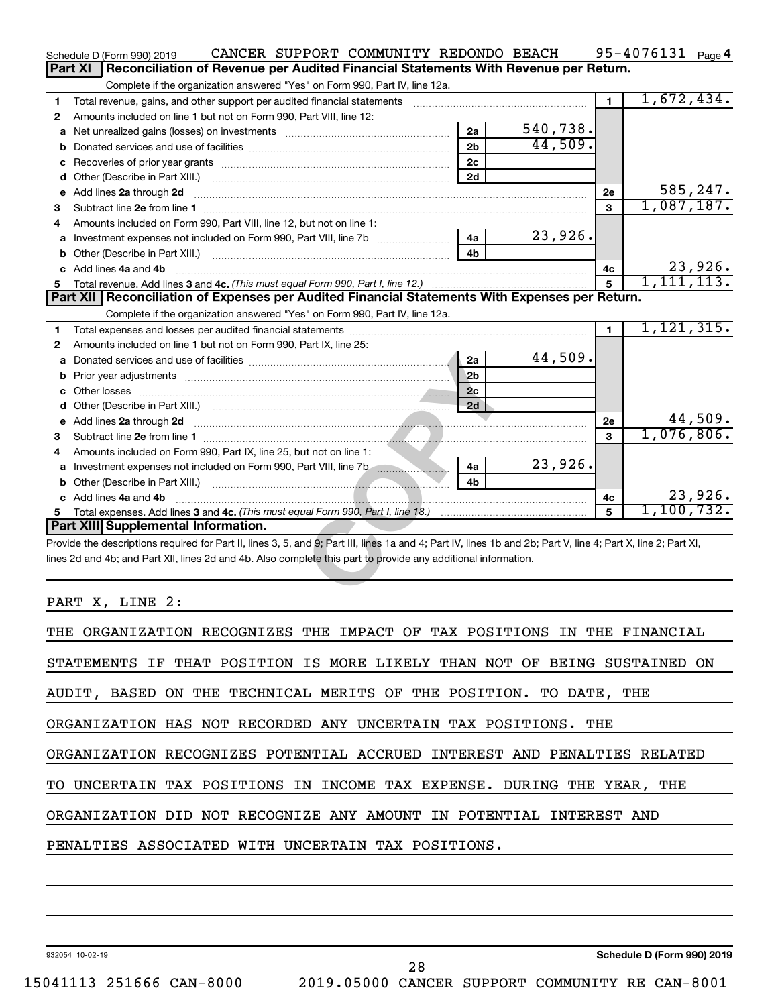|    | CANCER SUPPORT COMMUNITY REDONDO BEACH<br>Schedule D (Form 990) 2019                                                                                                                                                                |                |          |                | $95 - 4076131$ Page 4 |
|----|-------------------------------------------------------------------------------------------------------------------------------------------------------------------------------------------------------------------------------------|----------------|----------|----------------|-----------------------|
|    | Reconciliation of Revenue per Audited Financial Statements With Revenue per Return.<br><b>Part XI</b>                                                                                                                               |                |          |                |                       |
|    | Complete if the organization answered "Yes" on Form 990, Part IV, line 12a.                                                                                                                                                         |                |          |                |                       |
| 1. | Total revenue, gains, and other support per audited financial statements                                                                                                                                                            |                |          | $\mathbf 1$    | 1,672,434.            |
| 2  | Amounts included on line 1 but not on Form 990, Part VIII, line 12:                                                                                                                                                                 |                |          |                |                       |
|    |                                                                                                                                                                                                                                     | 2a             | 540,738. |                |                       |
|    |                                                                                                                                                                                                                                     | 2 <sub>b</sub> | 44,509.  |                |                       |
|    |                                                                                                                                                                                                                                     | 2c             |          |                |                       |
|    |                                                                                                                                                                                                                                     | 2d             |          |                |                       |
|    | e Add lines 2a through 2d                                                                                                                                                                                                           |                |          | 2e             | 585,247.              |
| 3  |                                                                                                                                                                                                                                     |                |          | 3              | 1,087,187.            |
| 4  | Amounts included on Form 990, Part VIII, line 12, but not on line 1:                                                                                                                                                                |                |          |                |                       |
|    |                                                                                                                                                                                                                                     | 4a             | 23,926.  |                |                       |
|    |                                                                                                                                                                                                                                     | 4b             |          |                |                       |
|    | c Add lines 4a and 4b                                                                                                                                                                                                               |                |          | 4c             | 23,926.               |
|    |                                                                                                                                                                                                                                     |                |          | 5              | 1,111,113.            |
|    | Part XII   Reconciliation of Expenses per Audited Financial Statements With Expenses per Return.                                                                                                                                    |                |          |                |                       |
|    | Complete if the organization answered "Yes" on Form 990, Part IV, line 12a.                                                                                                                                                         |                |          |                |                       |
| 1. |                                                                                                                                                                                                                                     |                |          | $\blacksquare$ | 1, 121, 315.          |
| 2  | Amounts included on line 1 but not on Form 990, Part IX, line 25:                                                                                                                                                                   |                |          |                |                       |
|    |                                                                                                                                                                                                                                     | 2a             | 44,509.  |                |                       |
|    | <b>b</b> Prior year adjustments <i>manually contained and a contained a prior year</i> adjustments                                                                                                                                  | 2 <sub>b</sub> |          |                |                       |
|    |                                                                                                                                                                                                                                     | 2c             |          |                |                       |
|    |                                                                                                                                                                                                                                     | 2d             |          |                |                       |
|    | e Add lines 2a through 2d <b>must be a constructed as a constructed by a construction of the Add lines 2a through 2d</b>                                                                                                            |                |          | 2e             | 44,509.               |
| 3  |                                                                                                                                                                                                                                     |                |          | 3              | 1,076,806.            |
| 4  | Amounts included on Form 990, Part IX, line 25, but not on line 1:                                                                                                                                                                  |                |          |                |                       |
|    | a Investment expenses not included on Form 990, Part VIII, line 7b                                                                                                                                                                  | 4a             | 23,926.  |                |                       |
| b  | Other (Describe in Part XIII.) <b>Construction and Construction Construction</b> and Construction of the Construction of the Construction of the Construction of the Construction of the Construction of the Construction of the Co | 4h             |          |                |                       |
|    | c Add lines 4a and 4b                                                                                                                                                                                                               |                |          | 4c             | 23,926.               |
|    |                                                                                                                                                                                                                                     |                |          | $\mathbf{5}$   | 1,100,732.            |
|    | Part XIII Supplemental Information.                                                                                                                                                                                                 |                |          |                |                       |
|    | Provide the descriptions required for Part II, lines 3, 5, and 9; Part III, lines 1a and 4; Part IV, lines 1b and 2b; Part V, line 4; Part X, line 2; Part XI,                                                                      |                |          |                |                       |
|    | lines 2d and 4b; and Part XII, lines 2d and 4b. Also complete this part to provide any additional information.                                                                                                                      |                |          |                |                       |
|    |                                                                                                                                                                                                                                     |                |          |                |                       |
|    |                                                                                                                                                                                                                                     |                |          |                |                       |

PART X, LINE 2:

| THE ORGANIZATION RECOGNIZES THE IMPACT OF TAX POSITIONS IN THE FINANCIAL  |
|---------------------------------------------------------------------------|
| STATEMENTS IF THAT POSITION IS MORE LIKELY THAN NOT OF BEING SUSTAINED ON |
| AUDIT, BASED ON THE TECHNICAL MERITS OF THE POSITION. TO DATE, THE        |
| ORGANIZATION HAS NOT RECORDED ANY UNCERTAIN TAX POSITIONS. THE            |
| ORGANIZATION RECOGNIZES POTENTIAL ACCRUED INTEREST AND PENALTIES RELATED  |
| TO UNCERTAIN TAX POSITIONS IN INCOME TAX EXPENSE. DURING THE YEAR, THE    |
| ORGANIZATION DID NOT RECOGNIZE ANY AMOUNT IN POTENTIAL INTEREST AND       |
| PENALTIES ASSOCIATED WITH UNCERTAIN TAX POSITIONS.                        |
|                                                                           |

932054 10-02-19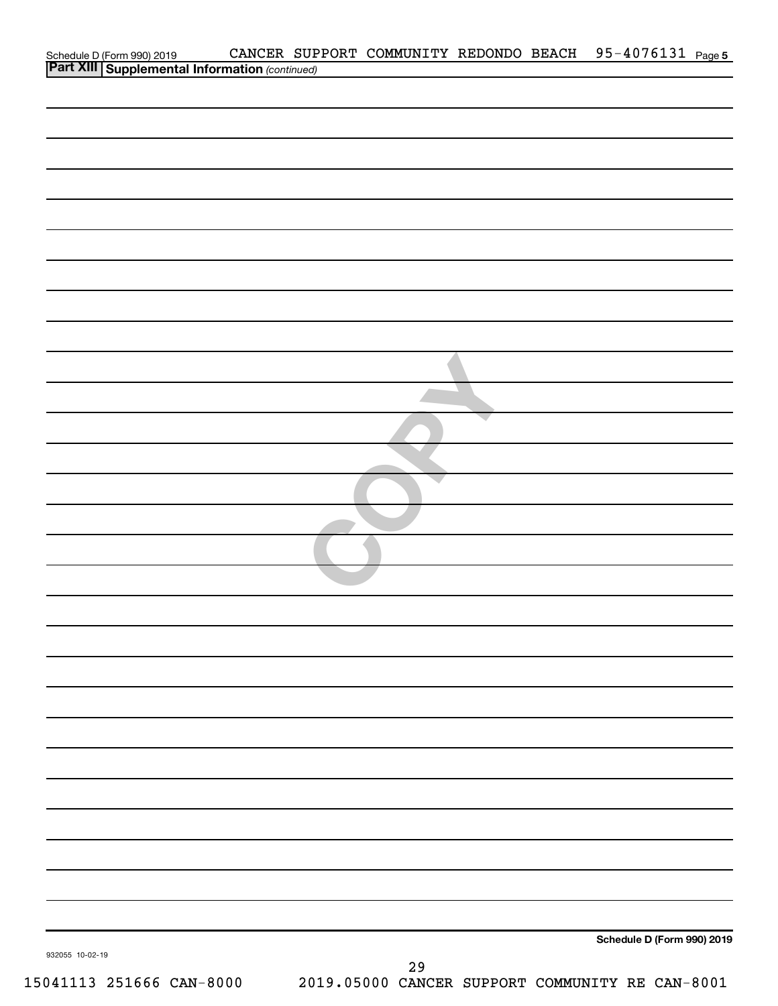| Schedule D (Form 990) 2019 CANCER SUP<br>Part XIII Supplemental Information (continued) |           | CANCER SUPPORT COMMUNITY REDONDO BEACH 95-4076131 Page 5 |
|-----------------------------------------------------------------------------------------|-----------|----------------------------------------------------------|
|                                                                                         |           |                                                          |
|                                                                                         |           |                                                          |
|                                                                                         |           |                                                          |
|                                                                                         |           |                                                          |
|                                                                                         |           |                                                          |
|                                                                                         |           |                                                          |
|                                                                                         |           |                                                          |
|                                                                                         |           |                                                          |
|                                                                                         |           |                                                          |
|                                                                                         |           |                                                          |
|                                                                                         |           |                                                          |
|                                                                                         |           |                                                          |
|                                                                                         |           |                                                          |
|                                                                                         |           |                                                          |
|                                                                                         |           |                                                          |
|                                                                                         |           |                                                          |
|                                                                                         |           |                                                          |
|                                                                                         |           |                                                          |
|                                                                                         |           |                                                          |
|                                                                                         |           |                                                          |
|                                                                                         |           |                                                          |
|                                                                                         |           |                                                          |
|                                                                                         |           |                                                          |
|                                                                                         |           |                                                          |
|                                                                                         |           |                                                          |
|                                                                                         |           |                                                          |
|                                                                                         |           |                                                          |
|                                                                                         |           |                                                          |
|                                                                                         |           |                                                          |
|                                                                                         |           |                                                          |
|                                                                                         |           |                                                          |
|                                                                                         |           |                                                          |
|                                                                                         |           |                                                          |
|                                                                                         |           |                                                          |
|                                                                                         |           |                                                          |
|                                                                                         |           |                                                          |
|                                                                                         |           |                                                          |
|                                                                                         |           |                                                          |
|                                                                                         |           |                                                          |
|                                                                                         |           |                                                          |
|                                                                                         |           |                                                          |
|                                                                                         |           |                                                          |
|                                                                                         |           |                                                          |
|                                                                                         |           | Schedule D (Form 990) 2019                               |
| 932055 10-02-19                                                                         | 29        |                                                          |
| $\sim$<br>$\epsilon$<br>◢                                                               | 0 F 0 Q 0 |                                                          |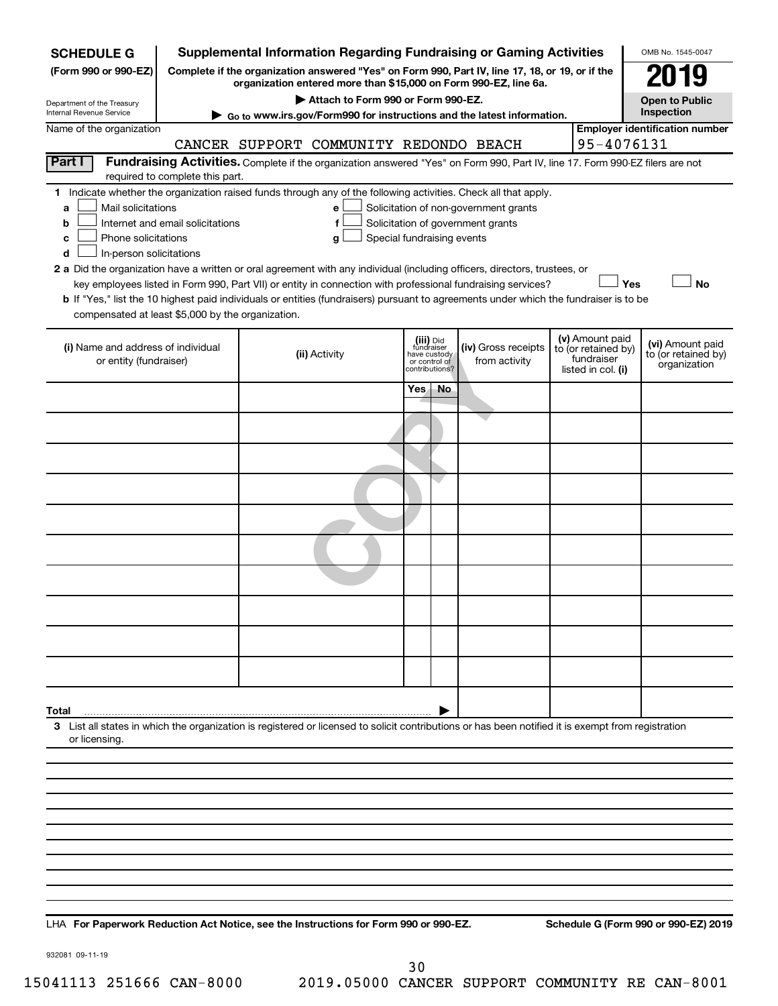| <b>SCHEDULE G</b>                                      |                                                                                                        | <b>Supplemental Information Regarding Fundraising or Gaming Activities</b>                                                                         |                                         |                                 |                                       |  |                                  | OMB No. 1545-0047                       |  |
|--------------------------------------------------------|--------------------------------------------------------------------------------------------------------|----------------------------------------------------------------------------------------------------------------------------------------------------|-----------------------------------------|---------------------------------|---------------------------------------|--|----------------------------------|-----------------------------------------|--|
| (Form 990 or 990-EZ)                                   | Complete if the organization answered "Yes" on Form 990, Part IV, line 17, 18, or 19, or if the        |                                                                                                                                                    |                                         |                                 |                                       |  |                                  |                                         |  |
|                                                        | organization entered more than \$15,000 on Form 990-EZ, line 6a.<br>Attach to Form 990 or Form 990-EZ. |                                                                                                                                                    |                                         |                                 |                                       |  |                                  |                                         |  |
| Department of the Treasury<br>Internal Revenue Service | Go to www.irs.gov/Form990 for instructions and the latest information.                                 |                                                                                                                                                    | <b>Open to Public</b><br>Inspection     |                                 |                                       |  |                                  |                                         |  |
| Name of the organization                               |                                                                                                        |                                                                                                                                                    | <b>Employer identification number</b>   |                                 |                                       |  |                                  |                                         |  |
| 95-4076131<br>CANCER SUPPORT COMMUNITY REDONDO BEACH   |                                                                                                        |                                                                                                                                                    |                                         |                                 |                                       |  |                                  |                                         |  |
| Part I                                                 | required to complete this part.                                                                        | Fundraising Activities. Complete if the organization answered "Yes" on Form 990, Part IV, line 17. Form 990-EZ filers are not                      |                                         |                                 |                                       |  |                                  |                                         |  |
|                                                        |                                                                                                        | 1 Indicate whether the organization raised funds through any of the following activities. Check all that apply.                                    |                                         |                                 |                                       |  |                                  |                                         |  |
| Mail solicitations<br>a                                |                                                                                                        | e                                                                                                                                                  |                                         |                                 | Solicitation of non-government grants |  |                                  |                                         |  |
| b<br>Phone solicitations                               | Internet and email solicitations                                                                       | f                                                                                                                                                  |                                         |                                 | Solicitation of government grants     |  |                                  |                                         |  |
| c<br>In-person solicitations<br>d                      |                                                                                                        | Special fundraising events<br>g                                                                                                                    |                                         |                                 |                                       |  |                                  |                                         |  |
|                                                        |                                                                                                        | 2 a Did the organization have a written or oral agreement with any individual (including officers, directors, trustees, or                         |                                         |                                 |                                       |  |                                  |                                         |  |
|                                                        |                                                                                                        | key employees listed in Form 990, Part VII) or entity in connection with professional fundraising services?                                        |                                         |                                 |                                       |  | Yes                              | No                                      |  |
|                                                        |                                                                                                        | b If "Yes," list the 10 highest paid individuals or entities (fundraisers) pursuant to agreements under which the fundraiser is to be              |                                         |                                 |                                       |  |                                  |                                         |  |
| compensated at least \$5,000 by the organization.      |                                                                                                        |                                                                                                                                                    |                                         |                                 |                                       |  |                                  |                                         |  |
|                                                        |                                                                                                        |                                                                                                                                                    |                                         |                                 |                                       |  | (v) Amount paid                  |                                         |  |
| (i) Name and address of individual                     |                                                                                                        | (ii) Activity                                                                                                                                      | (iii) Did<br>fundraiser<br>have custody |                                 | (iv) Gross receipts                   |  | to (or retained by)              | (vi) Amount paid<br>to (or retained by) |  |
| or entity (fundraiser)                                 |                                                                                                        |                                                                                                                                                    |                                         | or control of<br>contributions? | from activity                         |  | fundraiser<br>listed in col. (i) | organization                            |  |
|                                                        |                                                                                                        |                                                                                                                                                    | Yes.                                    | No.                             |                                       |  |                                  |                                         |  |
|                                                        |                                                                                                        |                                                                                                                                                    |                                         |                                 |                                       |  |                                  |                                         |  |
|                                                        |                                                                                                        |                                                                                                                                                    |                                         |                                 |                                       |  |                                  |                                         |  |
|                                                        |                                                                                                        |                                                                                                                                                    |                                         |                                 |                                       |  |                                  |                                         |  |
|                                                        |                                                                                                        |                                                                                                                                                    |                                         |                                 |                                       |  |                                  |                                         |  |
|                                                        |                                                                                                        |                                                                                                                                                    |                                         |                                 |                                       |  |                                  |                                         |  |
|                                                        |                                                                                                        |                                                                                                                                                    |                                         |                                 |                                       |  |                                  |                                         |  |
|                                                        |                                                                                                        |                                                                                                                                                    |                                         |                                 |                                       |  |                                  |                                         |  |
|                                                        |                                                                                                        |                                                                                                                                                    |                                         |                                 |                                       |  |                                  |                                         |  |
|                                                        |                                                                                                        |                                                                                                                                                    |                                         |                                 |                                       |  |                                  |                                         |  |
|                                                        |                                                                                                        |                                                                                                                                                    |                                         |                                 |                                       |  |                                  |                                         |  |
|                                                        |                                                                                                        |                                                                                                                                                    |                                         |                                 |                                       |  |                                  |                                         |  |
|                                                        |                                                                                                        |                                                                                                                                                    |                                         |                                 |                                       |  |                                  |                                         |  |
| Total                                                  |                                                                                                        |                                                                                                                                                    |                                         |                                 |                                       |  |                                  |                                         |  |
|                                                        |                                                                                                        | 3 List all states in which the organization is registered or licensed to solicit contributions or has been notified it is exempt from registration |                                         |                                 |                                       |  |                                  |                                         |  |
| or licensing.                                          |                                                                                                        |                                                                                                                                                    |                                         |                                 |                                       |  |                                  |                                         |  |
|                                                        |                                                                                                        |                                                                                                                                                    |                                         |                                 |                                       |  |                                  |                                         |  |
|                                                        |                                                                                                        |                                                                                                                                                    |                                         |                                 |                                       |  |                                  |                                         |  |
|                                                        |                                                                                                        |                                                                                                                                                    |                                         |                                 |                                       |  |                                  |                                         |  |
|                                                        |                                                                                                        |                                                                                                                                                    |                                         |                                 |                                       |  |                                  |                                         |  |
|                                                        |                                                                                                        |                                                                                                                                                    |                                         |                                 |                                       |  |                                  |                                         |  |
|                                                        |                                                                                                        |                                                                                                                                                    |                                         |                                 |                                       |  |                                  |                                         |  |
|                                                        |                                                                                                        |                                                                                                                                                    |                                         |                                 |                                       |  |                                  |                                         |  |
|                                                        |                                                                                                        |                                                                                                                                                    |                                         |                                 |                                       |  |                                  |                                         |  |
|                                                        |                                                                                                        |                                                                                                                                                    |                                         |                                 |                                       |  |                                  |                                         |  |
|                                                        |                                                                                                        |                                                                                                                                                    |                                         |                                 |                                       |  |                                  |                                         |  |

**For Paperwork Reduction Act Notice, see the Instructions for Form 990 or 990-EZ. Schedule G (Form 990 or 990-EZ) 2019** LHA

932081 09-11-19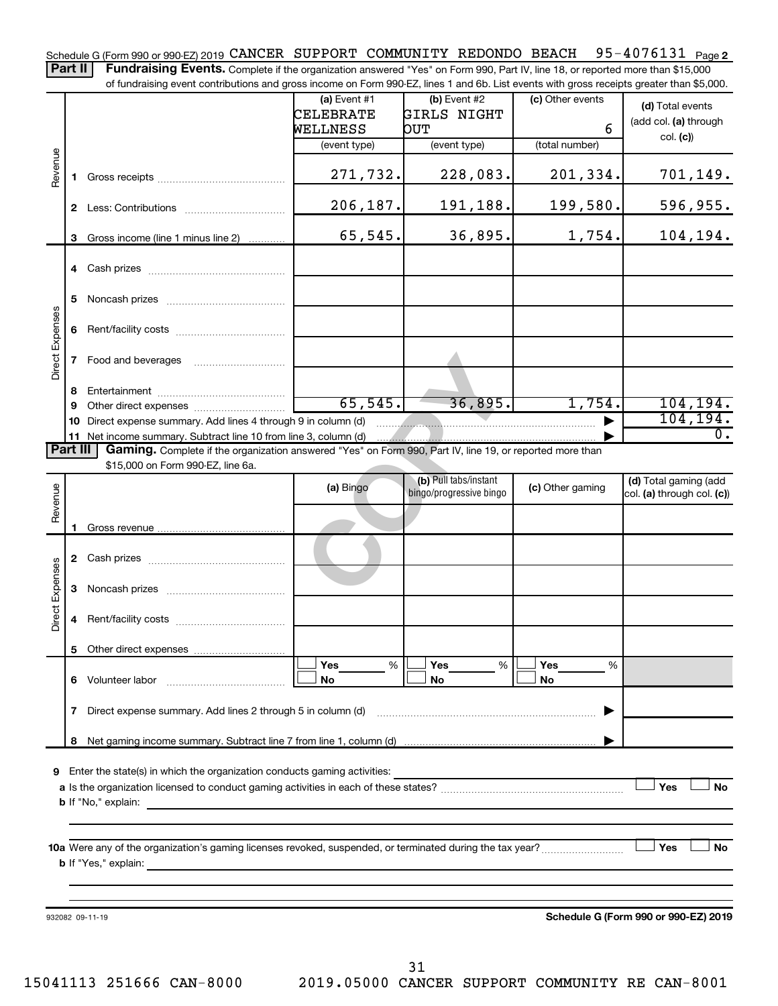95-4076131 Page 2 Schedule G (Form 990 or 990-EZ) 2019 CANCER SUPPORT COMMUNITY REDONDO BEACH 95-4076131 Page

Part II | Fundraising Events. Complete if the organization answered "Yes" on Form 990, Part IV, line 18, or reported more than \$15,000 of fundraising event contributions and gross income on Form 990-EZ, lines 1 and 6b. List events with gross receipts greater than \$5,000.

| Revenue<br>Direct Expenses<br>Revenue |                                                                                                                                                                                                                                                                                                                                                                                                                                                                                                                                                                                                                                                                                                                                                                                                                    |                    |                                                                                                                                                                                                                                                                                                                                                                                                                                                                                                                                                                                                                                                                  |  |          |  |          |  |  |
|---------------------------------------|--------------------------------------------------------------------------------------------------------------------------------------------------------------------------------------------------------------------------------------------------------------------------------------------------------------------------------------------------------------------------------------------------------------------------------------------------------------------------------------------------------------------------------------------------------------------------------------------------------------------------------------------------------------------------------------------------------------------------------------------------------------------------------------------------------------------|--------------------|------------------------------------------------------------------------------------------------------------------------------------------------------------------------------------------------------------------------------------------------------------------------------------------------------------------------------------------------------------------------------------------------------------------------------------------------------------------------------------------------------------------------------------------------------------------------------------------------------------------------------------------------------------------|--|----------|--|----------|--|--|
|                                       |                                                                                                                                                                                                                                                                                                                                                                                                                                                                                                                                                                                                                                                                                                                                                                                                                    |                    |                                                                                                                                                                                                                                                                                                                                                                                                                                                                                                                                                                                                                                                                  |  |          |  |          |  |  |
|                                       |                                                                                                                                                                                                                                                                                                                                                                                                                                                                                                                                                                                                                                                                                                                                                                                                                    |                    |                                                                                                                                                                                                                                                                                                                                                                                                                                                                                                                                                                                                                                                                  |  |          |  |          |  |  |
|                                       |                                                                                                                                                                                                                                                                                                                                                                                                                                                                                                                                                                                                                                                                                                                                                                                                                    |                    |                                                                                                                                                                                                                                                                                                                                                                                                                                                                                                                                                                                                                                                                  |  |          |  |          |  |  |
|                                       |                                                                                                                                                                                                                                                                                                                                                                                                                                                                                                                                                                                                                                                                                                                                                                                                                    |                    | 271,732.                                                                                                                                                                                                                                                                                                                                                                                                                                                                                                                                                                                                                                                         |  | 228,083. |  | 701,149. |  |  |
|                                       |                                                                                                                                                                                                                                                                                                                                                                                                                                                                                                                                                                                                                                                                                                                                                                                                                    |                    |                                                                                                                                                                                                                                                                                                                                                                                                                                                                                                                                                                                                                                                                  |  | 191,188. |  |          |  |  |
|                                       |                                                                                                                                                                                                                                                                                                                                                                                                                                                                                                                                                                                                                                                                                                                                                                                                                    |                    | 65,545.                                                                                                                                                                                                                                                                                                                                                                                                                                                                                                                                                                                                                                                          |  | 36,895.  |  | 104,194. |  |  |
|                                       |                                                                                                                                                                                                                                                                                                                                                                                                                                                                                                                                                                                                                                                                                                                                                                                                                    |                    |                                                                                                                                                                                                                                                                                                                                                                                                                                                                                                                                                                                                                                                                  |  |          |  |          |  |  |
|                                       | 5                                                                                                                                                                                                                                                                                                                                                                                                                                                                                                                                                                                                                                                                                                                                                                                                                  |                    |                                                                                                                                                                                                                                                                                                                                                                                                                                                                                                                                                                                                                                                                  |  |          |  |          |  |  |
|                                       | 6                                                                                                                                                                                                                                                                                                                                                                                                                                                                                                                                                                                                                                                                                                                                                                                                                  |                    |                                                                                                                                                                                                                                                                                                                                                                                                                                                                                                                                                                                                                                                                  |  |          |  |          |  |  |
|                                       | $\mathbf{7}$                                                                                                                                                                                                                                                                                                                                                                                                                                                                                                                                                                                                                                                                                                                                                                                                       | Food and beverages |                                                                                                                                                                                                                                                                                                                                                                                                                                                                                                                                                                                                                                                                  |  |          |  |          |  |  |
|                                       |                                                                                                                                                                                                                                                                                                                                                                                                                                                                                                                                                                                                                                                                                                                                                                                                                    |                    |                                                                                                                                                                                                                                                                                                                                                                                                                                                                                                                                                                                                                                                                  |  |          |  |          |  |  |
|                                       |                                                                                                                                                                                                                                                                                                                                                                                                                                                                                                                                                                                                                                                                                                                                                                                                                    |                    |                                                                                                                                                                                                                                                                                                                                                                                                                                                                                                                                                                                                                                                                  |  |          |  |          |  |  |
|                                       |                                                                                                                                                                                                                                                                                                                                                                                                                                                                                                                                                                                                                                                                                                                                                                                                                    |                    |                                                                                                                                                                                                                                                                                                                                                                                                                                                                                                                                                                                                                                                                  |  |          |  |          |  |  |
|                                       |                                                                                                                                                                                                                                                                                                                                                                                                                                                                                                                                                                                                                                                                                                                                                                                                                    |                    |                                                                                                                                                                                                                                                                                                                                                                                                                                                                                                                                                                                                                                                                  |  |          |  |          |  |  |
|                                       |                                                                                                                                                                                                                                                                                                                                                                                                                                                                                                                                                                                                                                                                                                                                                                                                                    |                    |                                                                                                                                                                                                                                                                                                                                                                                                                                                                                                                                                                                                                                                                  |  |          |  |          |  |  |
|                                       |                                                                                                                                                                                                                                                                                                                                                                                                                                                                                                                                                                                                                                                                                                                                                                                                                    |                    |                                                                                                                                                                                                                                                                                                                                                                                                                                                                                                                                                                                                                                                                  |  |          |  |          |  |  |
|                                       |                                                                                                                                                                                                                                                                                                                                                                                                                                                                                                                                                                                                                                                                                                                                                                                                                    |                    |                                                                                                                                                                                                                                                                                                                                                                                                                                                                                                                                                                                                                                                                  |  |          |  |          |  |  |
|                                       |                                                                                                                                                                                                                                                                                                                                                                                                                                                                                                                                                                                                                                                                                                                                                                                                                    |                    |                                                                                                                                                                                                                                                                                                                                                                                                                                                                                                                                                                                                                                                                  |  |          |  |          |  |  |
|                                       |                                                                                                                                                                                                                                                                                                                                                                                                                                                                                                                                                                                                                                                                                                                                                                                                                    |                    |                                                                                                                                                                                                                                                                                                                                                                                                                                                                                                                                                                                                                                                                  |  |          |  |          |  |  |
|                                       |                                                                                                                                                                                                                                                                                                                                                                                                                                                                                                                                                                                                                                                                                                                                                                                                                    |                    |                                                                                                                                                                                                                                                                                                                                                                                                                                                                                                                                                                                                                                                                  |  |          |  |          |  |  |
|                                       |                                                                                                                                                                                                                                                                                                                                                                                                                                                                                                                                                                                                                                                                                                                                                                                                                    |                    |                                                                                                                                                                                                                                                                                                                                                                                                                                                                                                                                                                                                                                                                  |  |          |  |          |  |  |
|                                       |                                                                                                                                                                                                                                                                                                                                                                                                                                                                                                                                                                                                                                                                                                                                                                                                                    |                    |                                                                                                                                                                                                                                                                                                                                                                                                                                                                                                                                                                                                                                                                  |  |          |  |          |  |  |
|                                       |                                                                                                                                                                                                                                                                                                                                                                                                                                                                                                                                                                                                                                                                                                                                                                                                                    |                    |                                                                                                                                                                                                                                                                                                                                                                                                                                                                                                                                                                                                                                                                  |  |          |  |          |  |  |
|                                       |                                                                                                                                                                                                                                                                                                                                                                                                                                                                                                                                                                                                                                                                                                                                                                                                                    |                    |                                                                                                                                                                                                                                                                                                                                                                                                                                                                                                                                                                                                                                                                  |  |          |  |          |  |  |
|                                       |                                                                                                                                                                                                                                                                                                                                                                                                                                                                                                                                                                                                                                                                                                                                                                                                                    |                    |                                                                                                                                                                                                                                                                                                                                                                                                                                                                                                                                                                                                                                                                  |  |          |  |          |  |  |
|                                       |                                                                                                                                                                                                                                                                                                                                                                                                                                                                                                                                                                                                                                                                                                                                                                                                                    |                    |                                                                                                                                                                                                                                                                                                                                                                                                                                                                                                                                                                                                                                                                  |  |          |  |          |  |  |
| Direct Expenses                       | 4                                                                                                                                                                                                                                                                                                                                                                                                                                                                                                                                                                                                                                                                                                                                                                                                                  |                    |                                                                                                                                                                                                                                                                                                                                                                                                                                                                                                                                                                                                                                                                  |  |          |  |          |  |  |
|                                       |                                                                                                                                                                                                                                                                                                                                                                                                                                                                                                                                                                                                                                                                                                                                                                                                                    |                    |                                                                                                                                                                                                                                                                                                                                                                                                                                                                                                                                                                                                                                                                  |  |          |  |          |  |  |
|                                       |                                                                                                                                                                                                                                                                                                                                                                                                                                                                                                                                                                                                                                                                                                                                                                                                                    |                    |                                                                                                                                                                                                                                                                                                                                                                                                                                                                                                                                                                                                                                                                  |  |          |  |          |  |  |
|                                       |                                                                                                                                                                                                                                                                                                                                                                                                                                                                                                                                                                                                                                                                                                                                                                                                                    |                    |                                                                                                                                                                                                                                                                                                                                                                                                                                                                                                                                                                                                                                                                  |  |          |  |          |  |  |
|                                       |                                                                                                                                                                                                                                                                                                                                                                                                                                                                                                                                                                                                                                                                                                                                                                                                                    |                    |                                                                                                                                                                                                                                                                                                                                                                                                                                                                                                                                                                                                                                                                  |  |          |  |          |  |  |
|                                       | 7                                                                                                                                                                                                                                                                                                                                                                                                                                                                                                                                                                                                                                                                                                                                                                                                                  |                    |                                                                                                                                                                                                                                                                                                                                                                                                                                                                                                                                                                                                                                                                  |  |          |  |          |  |  |
|                                       |                                                                                                                                                                                                                                                                                                                                                                                                                                                                                                                                                                                                                                                                                                                                                                                                                    |                    |                                                                                                                                                                                                                                                                                                                                                                                                                                                                                                                                                                                                                                                                  |  |          |  |          |  |  |
|                                       |                                                                                                                                                                                                                                                                                                                                                                                                                                                                                                                                                                                                                                                                                                                                                                                                                    |                    |                                                                                                                                                                                                                                                                                                                                                                                                                                                                                                                                                                                                                                                                  |  |          |  |          |  |  |
|                                       |                                                                                                                                                                                                                                                                                                                                                                                                                                                                                                                                                                                                                                                                                                                                                                                                                    |                    |                                                                                                                                                                                                                                                                                                                                                                                                                                                                                                                                                                                                                                                                  |  |          |  |          |  |  |
| 9                                     |                                                                                                                                                                                                                                                                                                                                                                                                                                                                                                                                                                                                                                                                                                                                                                                                                    |                    |                                                                                                                                                                                                                                                                                                                                                                                                                                                                                                                                                                                                                                                                  |  |          |  |          |  |  |
|                                       |                                                                                                                                                                                                                                                                                                                                                                                                                                                                                                                                                                                                                                                                                                                                                                                                                    |                    | (a) Event $#1$<br>(b) Event $#2$<br>(c) Other events<br>(d) Total events<br><b>CELEBRATE</b><br>GIRLS NIGHT<br>(add col. (a) through<br>6<br><b>WELLNESS</b><br><b>OUT</b><br>col. (c))<br>(event type)<br>(total number)<br>(event type)<br>201,334.<br>206,187.<br>596, 955.<br>199,580.<br>1,754.<br>65, 545.<br>36,895.<br>1,754.<br>104, 194.<br>104, 194.<br>$\overline{0}$ .<br>(b) Pull tabs/instant<br>(d) Total gaming (add<br>(c) Other gaming<br>(a) Bingo<br>bingo/progressive bingo<br>col. (a) through col. (c))<br>Yes<br>Yes<br>Yes<br>%<br>%<br>%<br>No<br>No<br>No<br>Yes<br>No<br>J Yes<br><b>No</b><br>Schedule G (Form 990 or 990-EZ) 2019 |  |          |  |          |  |  |
|                                       | 3 Gross income (line 1 minus line 2)<br>8<br>9<br>Direct expense summary. Add lines 4 through 9 in column (d)<br>10<br>11 Net income summary. Subtract line 10 from line 3, column (d)<br>Part III<br>Gaming. Complete if the organization answered "Yes" on Form 990, Part IV, line 19, or reported more than<br>\$15,000 on Form 990-EZ, line 6a.<br>3<br>Volunteer labor<br>6<br>Direct expense summary. Add lines 2 through 5 in column (d)<br>8<br>Enter the state(s) in which the organization conducts gaming activities:<br><b>b</b> If "No," explain:<br>the control of the control of the control of the control of the control of<br><b>b</b> If "Yes," explain:<br>and the control of the control of the control of the control of the control of the control of the control of the<br>932082 09-11-19 |                    |                                                                                                                                                                                                                                                                                                                                                                                                                                                                                                                                                                                                                                                                  |  |          |  |          |  |  |
|                                       |                                                                                                                                                                                                                                                                                                                                                                                                                                                                                                                                                                                                                                                                                                                                                                                                                    |                    |                                                                                                                                                                                                                                                                                                                                                                                                                                                                                                                                                                                                                                                                  |  |          |  |          |  |  |
|                                       |                                                                                                                                                                                                                                                                                                                                                                                                                                                                                                                                                                                                                                                                                                                                                                                                                    |                    |                                                                                                                                                                                                                                                                                                                                                                                                                                                                                                                                                                                                                                                                  |  |          |  |          |  |  |
|                                       |                                                                                                                                                                                                                                                                                                                                                                                                                                                                                                                                                                                                                                                                                                                                                                                                                    |                    |                                                                                                                                                                                                                                                                                                                                                                                                                                                                                                                                                                                                                                                                  |  |          |  |          |  |  |
|                                       |                                                                                                                                                                                                                                                                                                                                                                                                                                                                                                                                                                                                                                                                                                                                                                                                                    |                    |                                                                                                                                                                                                                                                                                                                                                                                                                                                                                                                                                                                                                                                                  |  |          |  |          |  |  |
|                                       |                                                                                                                                                                                                                                                                                                                                                                                                                                                                                                                                                                                                                                                                                                                                                                                                                    |                    |                                                                                                                                                                                                                                                                                                                                                                                                                                                                                                                                                                                                                                                                  |  |          |  |          |  |  |
|                                       |                                                                                                                                                                                                                                                                                                                                                                                                                                                                                                                                                                                                                                                                                                                                                                                                                    |                    |                                                                                                                                                                                                                                                                                                                                                                                                                                                                                                                                                                                                                                                                  |  |          |  |          |  |  |
|                                       |                                                                                                                                                                                                                                                                                                                                                                                                                                                                                                                                                                                                                                                                                                                                                                                                                    |                    |                                                                                                                                                                                                                                                                                                                                                                                                                                                                                                                                                                                                                                                                  |  |          |  |          |  |  |
|                                       |                                                                                                                                                                                                                                                                                                                                                                                                                                                                                                                                                                                                                                                                                                                                                                                                                    |                    |                                                                                                                                                                                                                                                                                                                                                                                                                                                                                                                                                                                                                                                                  |  |          |  |          |  |  |
|                                       |                                                                                                                                                                                                                                                                                                                                                                                                                                                                                                                                                                                                                                                                                                                                                                                                                    |                    |                                                                                                                                                                                                                                                                                                                                                                                                                                                                                                                                                                                                                                                                  |  |          |  |          |  |  |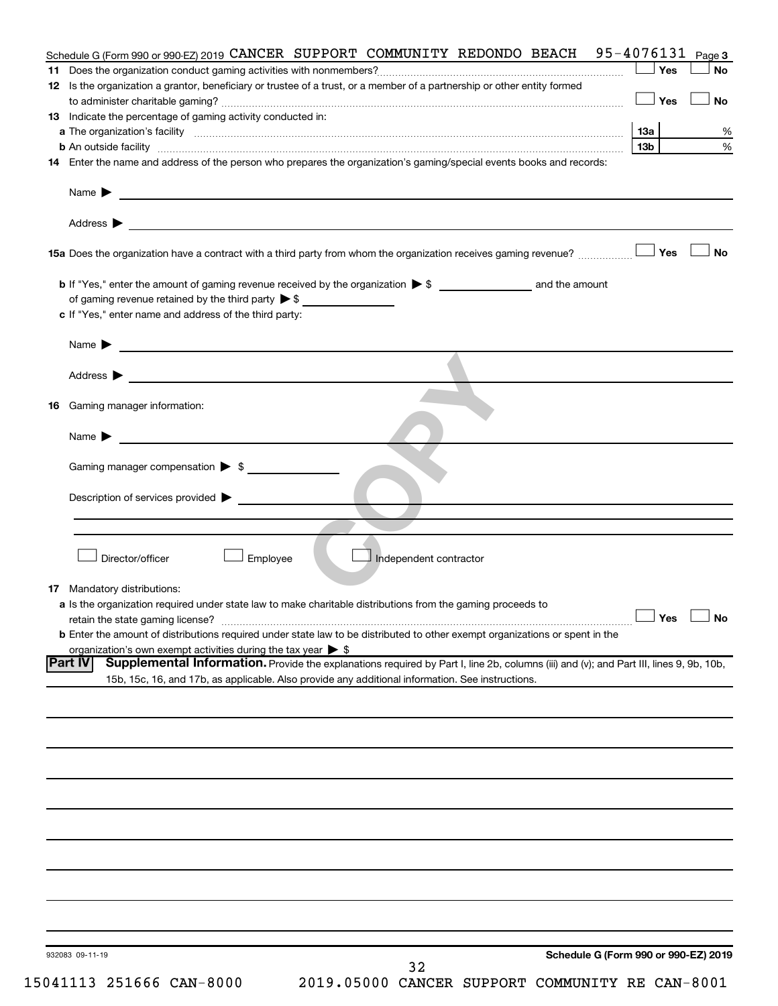|                                                                                                                                                                                                                                                                    | Yes                  | <b>No</b> |
|--------------------------------------------------------------------------------------------------------------------------------------------------------------------------------------------------------------------------------------------------------------------|----------------------|-----------|
| 12 Is the organization a grantor, beneficiary or trustee of a trust, or a member of a partnership or other entity formed                                                                                                                                           | <b>」Yes</b>          | <b>No</b> |
| 13 Indicate the percentage of gaming activity conducted in:                                                                                                                                                                                                        |                      |           |
|                                                                                                                                                                                                                                                                    | 13a                  | %         |
| <b>b</b> An outside facility <i>www.communicality.communicality.communicality www.communicality.communicality.communicality</i>                                                                                                                                    | 13 <sub>b</sub>      | %         |
| 14 Enter the name and address of the person who prepares the organization's gaming/special events books and records:                                                                                                                                               |                      |           |
| Name $\blacktriangleright$<br><u> 1989 - Johann Barbara, martin amerikan basal dan berasal dan berasal dalam basal dan berasal dan berasal dan</u>                                                                                                                 |                      |           |
| Address ><br><u> 1989 - Johann Harry Harry Harry Harry Harry Harry Harry Harry Harry Harry Harry Harry Harry Harry Harry Harry</u>                                                                                                                                 |                      |           |
|                                                                                                                                                                                                                                                                    |                      | <b>No</b> |
|                                                                                                                                                                                                                                                                    |                      |           |
| of gaming revenue retained by the third party $\triangleright$ \$                                                                                                                                                                                                  |                      |           |
| c If "Yes," enter name and address of the third party:                                                                                                                                                                                                             |                      |           |
| Name $\blacktriangleright$<br><u>and the contract of the contract of the contract of the contract of the contract of the contract of the contract of the contract of the contract of the contract of the contract of the contract of the contract of the contr</u> |                      |           |
| Address ><br><u>and the state of the state of the state of the state of the state of the state of the state of the state of the state of the state of the state of the state of the state of the state of the state of the state of the state</u>                  |                      |           |
|                                                                                                                                                                                                                                                                    |                      |           |
| <b>16</b> Gaming manager information:                                                                                                                                                                                                                              |                      |           |
| <u>and the state of the state of the state of the state of the state of the state of the state of the state of the state of the state of the state of the state of the state of the state of the state of the state of the state</u><br>Name $\blacktriangleright$ |                      |           |
| Gaming manager compensation > \$                                                                                                                                                                                                                                   |                      |           |
| Description of services provided >                                                                                                                                                                                                                                 |                      |           |
|                                                                                                                                                                                                                                                                    |                      |           |
|                                                                                                                                                                                                                                                                    |                      |           |
| Director/officer<br>Employee<br>Independent contractor                                                                                                                                                                                                             |                      |           |
| <b>17</b> Mandatory distributions:                                                                                                                                                                                                                                 |                      |           |
| a Is the organization required under state law to make charitable distributions from the gaming proceeds to                                                                                                                                                        |                      |           |
| retain the state gaming license?                                                                                                                                                                                                                                   | $\Box$ Yes $\Box$ No |           |
| <b>b</b> Enter the amount of distributions required under state law to be distributed to other exempt organizations or spent in the                                                                                                                                |                      |           |
| organization's own exempt activities during the tax year $\triangleright$ \$                                                                                                                                                                                       |                      |           |
| Supplemental Information. Provide the explanations required by Part I, line 2b, columns (iii) and (v); and Part III, lines 9, 9b, 10b,<br><b>Part IV</b>                                                                                                           |                      |           |
| 15b, 15c, 16, and 17b, as applicable. Also provide any additional information. See instructions.                                                                                                                                                                   |                      |           |
|                                                                                                                                                                                                                                                                    |                      |           |
|                                                                                                                                                                                                                                                                    |                      |           |
|                                                                                                                                                                                                                                                                    |                      |           |
|                                                                                                                                                                                                                                                                    |                      |           |
|                                                                                                                                                                                                                                                                    |                      |           |
|                                                                                                                                                                                                                                                                    |                      |           |
|                                                                                                                                                                                                                                                                    |                      |           |
|                                                                                                                                                                                                                                                                    |                      |           |
|                                                                                                                                                                                                                                                                    |                      |           |
|                                                                                                                                                                                                                                                                    |                      |           |
|                                                                                                                                                                                                                                                                    |                      |           |
|                                                                                                                                                                                                                                                                    |                      |           |
|                                                                                                                                                                                                                                                                    |                      |           |
| Schedule G (Form 990 or 990-EZ) 2019<br>932083 09-11-19<br>32                                                                                                                                                                                                      |                      |           |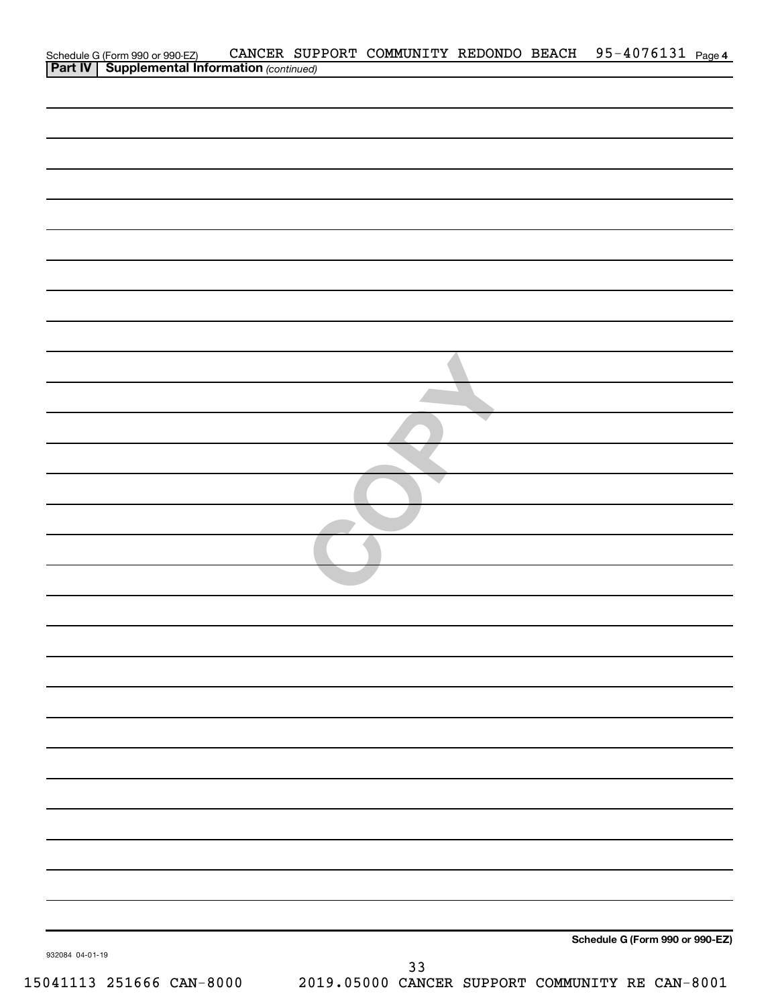|                 | Schedule G (Form 990 or 990-EZ) CANCER SUP<br><b>Part IV   Supplemental Information</b> (continued) |  |    |  | CANCER SUPPORT COMMUNITY REDONDO BEACH 95-4076131 Page 4 |  |
|-----------------|-----------------------------------------------------------------------------------------------------|--|----|--|----------------------------------------------------------|--|
|                 |                                                                                                     |  |    |  |                                                          |  |
|                 |                                                                                                     |  |    |  |                                                          |  |
|                 |                                                                                                     |  |    |  |                                                          |  |
|                 |                                                                                                     |  |    |  |                                                          |  |
|                 |                                                                                                     |  |    |  |                                                          |  |
|                 |                                                                                                     |  |    |  |                                                          |  |
|                 |                                                                                                     |  |    |  |                                                          |  |
|                 |                                                                                                     |  |    |  |                                                          |  |
|                 |                                                                                                     |  |    |  |                                                          |  |
|                 |                                                                                                     |  |    |  |                                                          |  |
|                 |                                                                                                     |  |    |  |                                                          |  |
|                 |                                                                                                     |  |    |  |                                                          |  |
|                 |                                                                                                     |  |    |  |                                                          |  |
|                 |                                                                                                     |  |    |  |                                                          |  |
|                 |                                                                                                     |  |    |  |                                                          |  |
|                 |                                                                                                     |  |    |  |                                                          |  |
|                 |                                                                                                     |  |    |  |                                                          |  |
|                 |                                                                                                     |  |    |  |                                                          |  |
|                 |                                                                                                     |  |    |  |                                                          |  |
|                 |                                                                                                     |  |    |  |                                                          |  |
|                 |                                                                                                     |  |    |  |                                                          |  |
|                 |                                                                                                     |  |    |  |                                                          |  |
|                 |                                                                                                     |  |    |  |                                                          |  |
|                 |                                                                                                     |  |    |  |                                                          |  |
|                 |                                                                                                     |  |    |  |                                                          |  |
|                 |                                                                                                     |  |    |  |                                                          |  |
|                 |                                                                                                     |  |    |  |                                                          |  |
|                 |                                                                                                     |  |    |  |                                                          |  |
|                 |                                                                                                     |  |    |  |                                                          |  |
|                 |                                                                                                     |  |    |  |                                                          |  |
|                 |                                                                                                     |  |    |  |                                                          |  |
|                 |                                                                                                     |  |    |  |                                                          |  |
|                 |                                                                                                     |  |    |  |                                                          |  |
|                 |                                                                                                     |  |    |  |                                                          |  |
|                 |                                                                                                     |  |    |  |                                                          |  |
|                 |                                                                                                     |  |    |  |                                                          |  |
|                 |                                                                                                     |  |    |  |                                                          |  |
|                 |                                                                                                     |  |    |  |                                                          |  |
|                 |                                                                                                     |  |    |  |                                                          |  |
|                 |                                                                                                     |  |    |  |                                                          |  |
|                 |                                                                                                     |  |    |  |                                                          |  |
|                 |                                                                                                     |  |    |  | Schedule G (Form 990 or 990-EZ)                          |  |
| 932084 04-01-19 |                                                                                                     |  | 33 |  |                                                          |  |